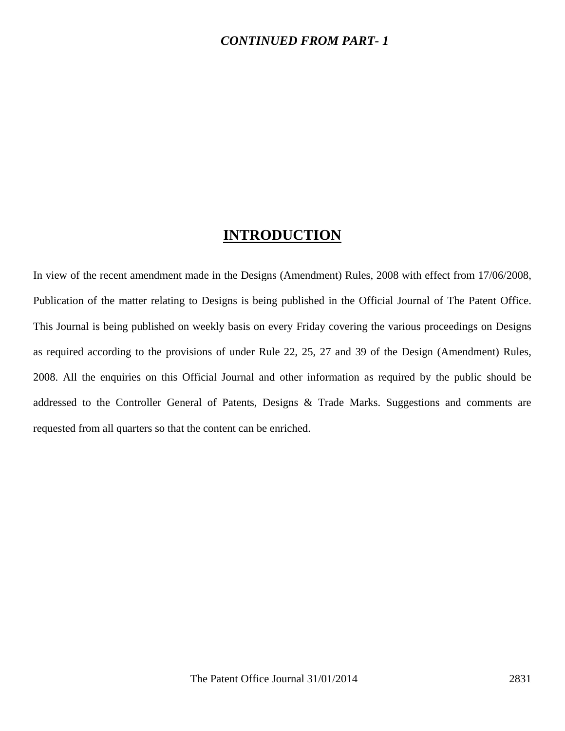### *CONTINUED FROM PART- 1*

## **INTRODUCTION**

In view of the recent amendment made in the Designs (Amendment) Rules, 2008 with effect from 17/06/2008, Publication of the matter relating to Designs is being published in the Official Journal of The Patent Office. This Journal is being published on weekly basis on every Friday covering the various proceedings on Designs as required according to the provisions of under Rule 22, 25, 27 and 39 of the Design (Amendment) Rules, 2008. All the enquiries on this Official Journal and other information as required by the public should be addressed to the Controller General of Patents, Designs & Trade Marks. Suggestions and comments are requested from all quarters so that the content can be enriched.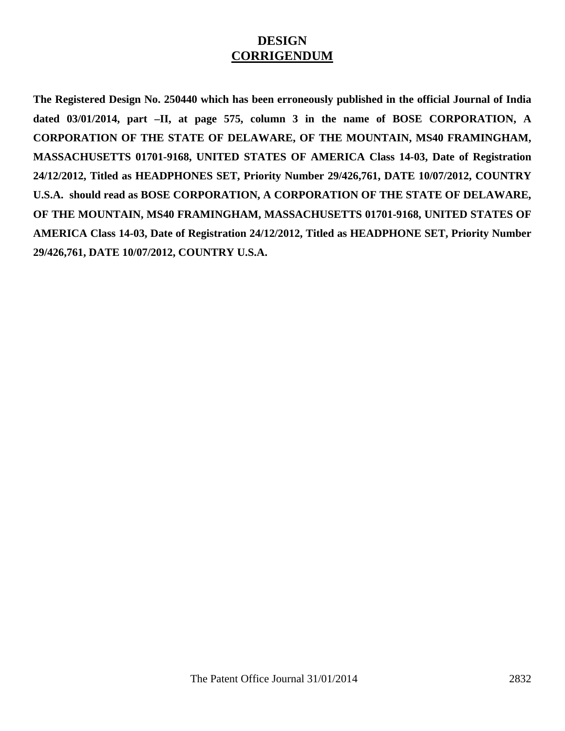### **DESIGN CORRIGENDUM**

**The Registered Design No. 250440 which has been erroneously published in the official Journal of India dated 03/01/2014, part –II, at page 575, column 3 in the name of BOSE CORPORATION, A CORPORATION OF THE STATE OF DELAWARE, OF THE MOUNTAIN, MS40 FRAMINGHAM, MASSACHUSETTS 01701-9168, UNITED STATES OF AMERICA Class 14-03, Date of Registration 24/12/2012, Titled as HEADPHONES SET, Priority Number 29/426,761, DATE 10/07/2012, COUNTRY U.S.A. should read as BOSE CORPORATION, A CORPORATION OF THE STATE OF DELAWARE, OF THE MOUNTAIN, MS40 FRAMINGHAM, MASSACHUSETTS 01701-9168, UNITED STATES OF AMERICA Class 14-03, Date of Registration 24/12/2012, Titled as HEADPHONE SET, Priority Number 29/426,761, DATE 10/07/2012, COUNTRY U.S.A.**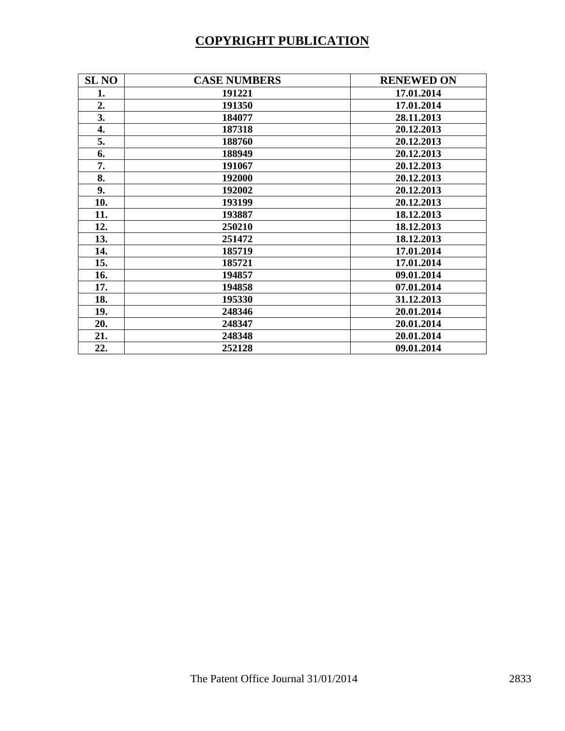# **COPYRIGHT PUBLICATION**

| <b>SL NO</b> | <b>CASE NUMBERS</b> | <b>RENEWED ON</b> |
|--------------|---------------------|-------------------|
| 1.           | 191221              | 17.01.2014        |
| 2.           | 191350              | 17.01.2014        |
| 3.           | 184077              | 28.11.2013        |
| 4.           | 187318              | 20.12.2013        |
| 5.           | 188760              | 20.12.2013        |
| 6.           | 188949              | 20.12.2013        |
| 7.           | 191067              | 20.12.2013        |
| 8.           | 192000              | 20.12.2013        |
| 9.           | 192002              | 20.12.2013        |
| 10.          | 193199              | 20.12.2013        |
| 11.          | 193887              | 18.12.2013        |
| 12.          | 250210              | 18.12.2013        |
| 13.          | 251472              | 18.12.2013        |
| 14.          | 185719              | 17.01.2014        |
| 15.          | 185721              | 17.01.2014        |
| 16.          | 194857              | 09.01.2014        |
| 17.          | 194858              | 07.01.2014        |
| 18.          | 195330              | 31.12.2013        |
| 19.          | 248346              | 20.01.2014        |
| 20.          | 248347              | 20.01.2014        |
| 21.          | 248348              | 20.01.2014        |
| 22.          | 252128              | 09.01.2014        |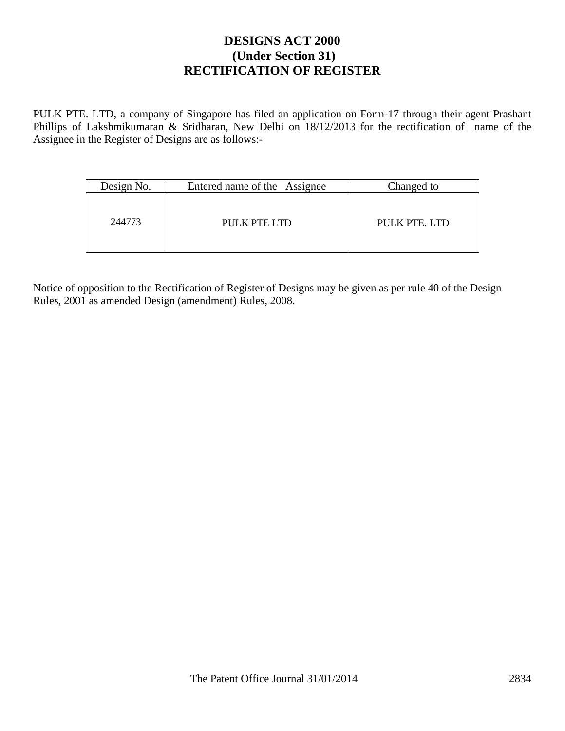### **DESIGNS ACT 2000 (Under Section 31) RECTIFICATION OF REGISTER**

PULK PTE. LTD, a company of Singapore has filed an application on Form-17 through their agent Prashant Phillips of Lakshmikumaran & Sridharan, New Delhi on 18/12/2013 for the rectification of name of the Assignee in the Register of Designs are as follows:-

| Design No. | Entered name of the Assignee | Changed to    |
|------------|------------------------------|---------------|
| 244773     | PULK PTE LTD                 | PULK PTE, LTD |

Notice of opposition to the Rectification of Register of Designs may be given as per rule 40 of the Design Rules, 2001 as amended Design (amendment) Rules, 2008.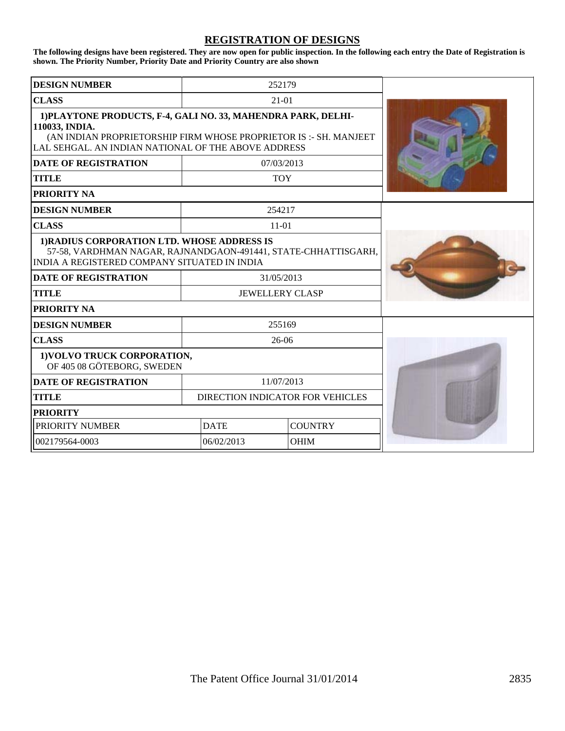#### **REGISTRATION OF DESIGNS**

**The following designs have been registered. They are now open for public inspection. In the following each entry the Date of Registration is shown. The Priority Number, Priority Date and Priority Country are also shown**

| <b>DESIGN NUMBER</b>                                                                                                                                                                                        |                        | 252179                           |  |
|-------------------------------------------------------------------------------------------------------------------------------------------------------------------------------------------------------------|------------------------|----------------------------------|--|
| <b>CLASS</b>                                                                                                                                                                                                | $21-01$                |                                  |  |
| 1) PLAYTONE PRODUCTS, F-4, GALI NO. 33, MAHENDRA PARK, DELHI-<br>110033, INDIA.<br>(AN INDIAN PROPRIETORSHIP FIRM WHOSE PROPRIETOR IS :- SH. MANJEET<br>LAL SEHGAL. AN INDIAN NATIONAL OF THE ABOVE ADDRESS |                        |                                  |  |
| <b>DATE OF REGISTRATION</b>                                                                                                                                                                                 |                        | 07/03/2013                       |  |
| TITLE                                                                                                                                                                                                       |                        | <b>TOY</b>                       |  |
| <b>PRIORITY NA</b>                                                                                                                                                                                          |                        |                                  |  |
| <b>DESIGN NUMBER</b>                                                                                                                                                                                        |                        | 254217                           |  |
| <b>CLASS</b>                                                                                                                                                                                                |                        | $11-01$                          |  |
| 1) RADIUS CORPORATION LTD. WHOSE ADDRESS IS<br>57-58, VARDHMAN NAGAR, RAJNANDGAON-491441, STATE-CHHATTISGARH,<br>INDIA A REGISTERED COMPANY SITUATED IN INDIA                                               |                        |                                  |  |
| <b>DATE OF REGISTRATION</b>                                                                                                                                                                                 | 31/05/2013             |                                  |  |
| <b>TITLE</b>                                                                                                                                                                                                | <b>JEWELLERY CLASP</b> |                                  |  |
| <b>PRIORITY NA</b>                                                                                                                                                                                          |                        |                                  |  |
| <b>DESIGN NUMBER</b>                                                                                                                                                                                        |                        | 255169                           |  |
| <b>CLASS</b>                                                                                                                                                                                                |                        | $26-06$                          |  |
| 1) VOLVO TRUCK CORPORATION,<br>OF 405 08 GÖTEBORG, SWEDEN                                                                                                                                                   |                        |                                  |  |
| <b>DATE OF REGISTRATION</b><br>11/07/2013                                                                                                                                                                   |                        |                                  |  |
| <b>TITLE</b>                                                                                                                                                                                                |                        | DIRECTION INDICATOR FOR VEHICLES |  |
| <b>PRIORITY</b>                                                                                                                                                                                             |                        |                                  |  |
| PRIORITY NUMBER                                                                                                                                                                                             | <b>DATE</b>            | <b>COUNTRY</b>                   |  |
| 002179564-0003<br>06/02/2013<br><b>OHIM</b>                                                                                                                                                                 |                        |                                  |  |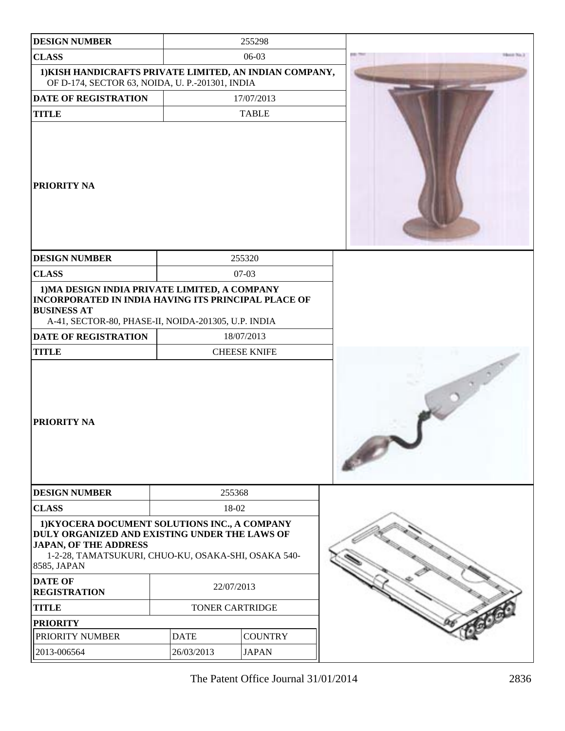| <b>DESIGN NUMBER</b>                                                                                                                                                                                 |                 | 255298              |                  |
|------------------------------------------------------------------------------------------------------------------------------------------------------------------------------------------------------|-----------------|---------------------|------------------|
| <b>CLASS</b>                                                                                                                                                                                         |                 | 06-03               | <b>BOOT THEY</b> |
| 1) KISH HANDICRAFTS PRIVATE LIMITED, AN INDIAN COMPANY,<br>OF D-174, SECTOR 63, NOIDA, U. P.-201301, INDIA                                                                                           |                 |                     |                  |
| DATE OF REGISTRATION                                                                                                                                                                                 |                 | 17/07/2013          |                  |
| <b>TITLE</b>                                                                                                                                                                                         |                 | <b>TABLE</b>        |                  |
| <b>PRIORITY NA</b>                                                                                                                                                                                   |                 |                     |                  |
| <b>DESIGN NUMBER</b>                                                                                                                                                                                 |                 | 255320              |                  |
| <b>CLASS</b>                                                                                                                                                                                         |                 | 07-03               |                  |
| 1) MA DESIGN INDIA PRIVATE LIMITED, A COMPANY<br><b>INCORPORATED IN INDIA HAVING ITS PRINCIPAL PLACE OF</b><br><b>BUSINESS AT</b><br>A-41, SECTOR-80, PHASE-II, NOIDA-201305, U.P. INDIA             |                 |                     |                  |
| <b>DATE OF REGISTRATION</b>                                                                                                                                                                          |                 | 18/07/2013          |                  |
| <b>TITLE</b>                                                                                                                                                                                         |                 | <b>CHEESE KNIFE</b> |                  |
| <b>PRIORITY NA</b>                                                                                                                                                                                   |                 |                     |                  |
| <b>DESIGN NUMBER</b>                                                                                                                                                                                 | 255368          |                     |                  |
| <b>CLASS</b>                                                                                                                                                                                         | 18-02           |                     |                  |
| 1) KYOCERA DOCUMENT SOLUTIONS INC., A COMPANY<br>DULY ORGANIZED AND EXISTING UNDER THE LAWS OF<br><b>JAPAN, OF THE ADDRESS</b><br>1-2-28, TAMATSUKURI, CHUO-KU, OSAKA-SHI, OSAKA 540-<br>8585, JAPAN |                 |                     |                  |
| <b>DATE OF</b><br><b>REGISTRATION</b>                                                                                                                                                                | 22/07/2013      |                     |                  |
| <b>TITLE</b>                                                                                                                                                                                         | TONER CARTRIDGE |                     |                  |
| <b>PRIORITY</b>                                                                                                                                                                                      |                 |                     |                  |
| PRIORITY NUMBER                                                                                                                                                                                      | <b>DATE</b>     | <b>COUNTRY</b>      |                  |
| 2013-006564                                                                                                                                                                                          | 26/03/2013      | <b>JAPAN</b>        |                  |

The Patent Office Journal 31/01/2014 2836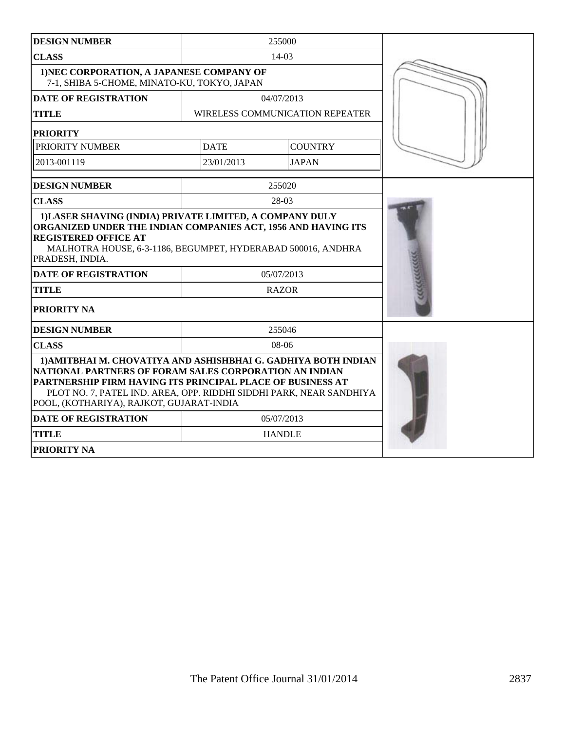| <b>DESIGN NUMBER</b>                                                                                                                                                                                                                                                                                      |              | 255000                          |  |
|-----------------------------------------------------------------------------------------------------------------------------------------------------------------------------------------------------------------------------------------------------------------------------------------------------------|--------------|---------------------------------|--|
| <b>CLASS</b><br>14-03                                                                                                                                                                                                                                                                                     |              |                                 |  |
| 1) NEC CORPORATION, A JAPANESE COMPANY OF<br>7-1, SHIBA 5-CHOME, MINATO-KU, TOKYO, JAPAN                                                                                                                                                                                                                  |              |                                 |  |
| <b>DATE OF REGISTRATION</b>                                                                                                                                                                                                                                                                               |              | 04/07/2013                      |  |
| <b>TITLE</b>                                                                                                                                                                                                                                                                                              |              | WIRELESS COMMUNICATION REPEATER |  |
| <b>PRIORITY</b>                                                                                                                                                                                                                                                                                           |              |                                 |  |
| PRIORITY NUMBER                                                                                                                                                                                                                                                                                           | <b>DATE</b>  | <b>COUNTRY</b>                  |  |
| 2013-001119                                                                                                                                                                                                                                                                                               | 23/01/2013   | <b>JAPAN</b>                    |  |
| <b>DESIGN NUMBER</b>                                                                                                                                                                                                                                                                                      |              | 255020                          |  |
| <b>CLASS</b>                                                                                                                                                                                                                                                                                              |              | 28-03                           |  |
| <b>REGISTERED OFFICE AT</b><br>MALHOTRA HOUSE, 6-3-1186, BEGUMPET, HYDERABAD 500016, ANDHRA<br>PRADESH, INDIA.<br>05/07/2013                                                                                                                                                                              |              |                                 |  |
| <b>DATE OF REGISTRATION</b>                                                                                                                                                                                                                                                                               |              |                                 |  |
| <b>TITLE</b>                                                                                                                                                                                                                                                                                              | <b>RAZOR</b> |                                 |  |
| <b>PRIORITY NA</b>                                                                                                                                                                                                                                                                                        |              |                                 |  |
| <b>DESIGN NUMBER</b>                                                                                                                                                                                                                                                                                      |              | 255046                          |  |
| <b>CLASS</b><br>$08-06$                                                                                                                                                                                                                                                                                   |              |                                 |  |
| 1) AMITBHAI M. CHOVATIYA AND ASHISHBHAI G. GADHIYA BOTH INDIAN<br>NATIONAL PARTNERS OF FORAM SALES CORPORATION AN INDIAN<br>PARTNERSHIP FIRM HAVING ITS PRINCIPAL PLACE OF BUSINESS AT<br>PLOT NO. 7, PATEL IND. AREA, OPP. RIDDHI SIDDHI PARK, NEAR SANDHIYA<br>POOL, (KOTHARIYA), RAJKOT, GUJARAT-INDIA |              |                                 |  |
| <b>DATE OF REGISTRATION</b><br>05/07/2013                                                                                                                                                                                                                                                                 |              |                                 |  |
| <b>TITLE</b>                                                                                                                                                                                                                                                                                              |              | <b>HANDLE</b>                   |  |
| <b>PRIORITY NA</b>                                                                                                                                                                                                                                                                                        |              |                                 |  |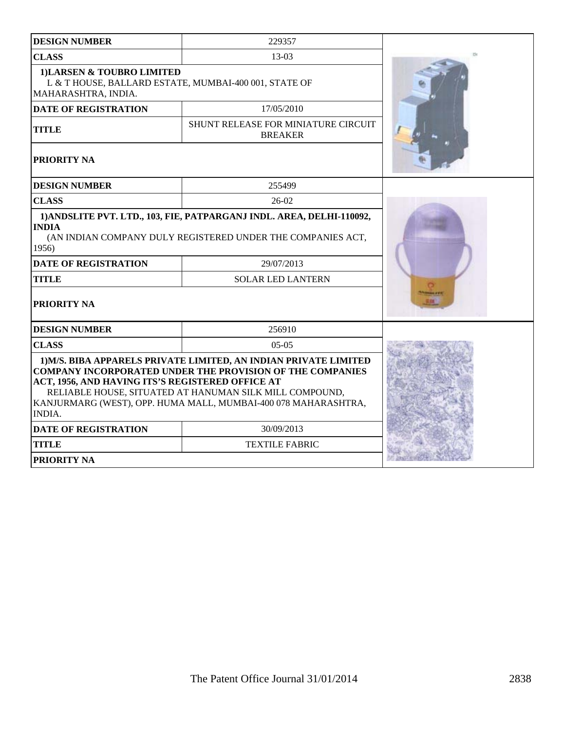| <b>DESIGN NUMBER</b>                                                                                                                                                                                                                                                                                                            | 229357                                                       |  |
|---------------------------------------------------------------------------------------------------------------------------------------------------------------------------------------------------------------------------------------------------------------------------------------------------------------------------------|--------------------------------------------------------------|--|
| <b>CLASS</b>                                                                                                                                                                                                                                                                                                                    | 13-03                                                        |  |
| 1) LARSEN & TOUBRO LIMITED<br>L & T HOUSE, BALLARD ESTATE, MUMBAI-400 001, STATE OF<br>MAHARASHTRA, INDIA.                                                                                                                                                                                                                      |                                                              |  |
| <b>DATE OF REGISTRATION</b>                                                                                                                                                                                                                                                                                                     | 17/05/2010                                                   |  |
| <b>TITLE</b>                                                                                                                                                                                                                                                                                                                    | <b>SHUNT RELEASE FOR MINIATURE CIRCUIT</b><br><b>BREAKER</b> |  |
| PRIORITY NA                                                                                                                                                                                                                                                                                                                     |                                                              |  |
| <b>DESIGN NUMBER</b>                                                                                                                                                                                                                                                                                                            | 255499                                                       |  |
| <b>CLASS</b>                                                                                                                                                                                                                                                                                                                    | $26-02$                                                      |  |
| 1) ANDSLITE PVT. LTD., 103, FIE, PATPARGANJ INDL. AREA, DELHI-110092,<br><b>INDIA</b><br>(AN INDIAN COMPANY DULY REGISTERED UNDER THE COMPANIES ACT,<br>1956)<br><b>DATE OF REGISTRATION</b><br><b>TITLE</b><br><b>PRIORITY NA</b>                                                                                              |                                                              |  |
| <b>DESIGN NUMBER</b>                                                                                                                                                                                                                                                                                                            | 256910                                                       |  |
| <b>CLASS</b>                                                                                                                                                                                                                                                                                                                    | $05-05$                                                      |  |
| 1) M/S. BIBA APPARELS PRIVATE LIMITED, AN INDIAN PRIVATE LIMITED<br><b>COMPANY INCORPORATED UNDER THE PROVISION OF THE COMPANIES</b><br>ACT, 1956, AND HAVING ITS'S REGISTERED OFFICE AT<br>RELIABLE HOUSE, SITUATED AT HANUMAN SILK MILL COMPOUND,<br>KANJURMARG (WEST), OPP. HUMA MALL, MUMBAI-400 078 MAHARASHTRA,<br>INDIA. |                                                              |  |
| <b>DATE OF REGISTRATION</b><br>30/09/2013                                                                                                                                                                                                                                                                                       |                                                              |  |
| <b>TITLE</b><br><b>TEXTILE FABRIC</b>                                                                                                                                                                                                                                                                                           |                                                              |  |
| <b>PRIORITY NA</b>                                                                                                                                                                                                                                                                                                              |                                                              |  |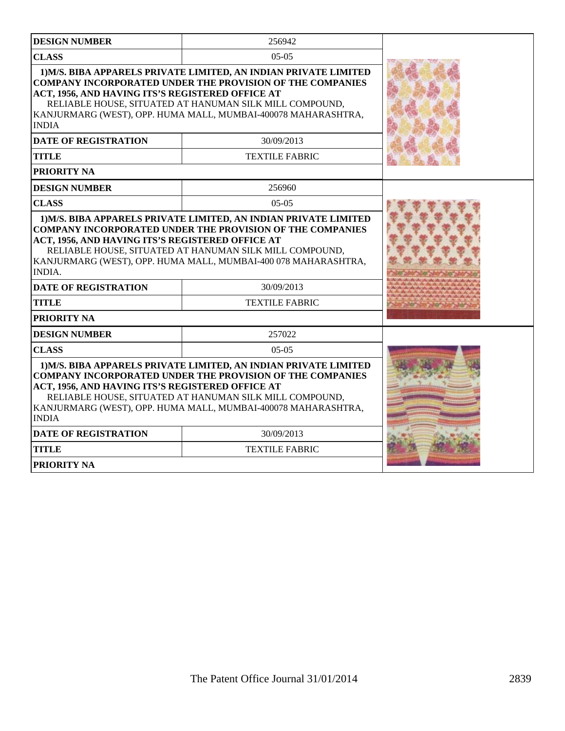| <b>DESIGN NUMBER</b>                                                                                                                                                                                                                                                                                                                 | 256942                |  |
|--------------------------------------------------------------------------------------------------------------------------------------------------------------------------------------------------------------------------------------------------------------------------------------------------------------------------------------|-----------------------|--|
| <b>CLASS</b>                                                                                                                                                                                                                                                                                                                         | $05-05$               |  |
| 1) M/S. BIBA APPARELS PRIVATE LIMITED, AN INDIAN PRIVATE LIMITED<br><b>COMPANY INCORPORATED UNDER THE PROVISION OF THE COMPANIES</b><br>ACT, 1956, AND HAVING ITS'S REGISTERED OFFICE AT<br>RELIABLE HOUSE, SITUATED AT HANUMAN SILK MILL COMPOUND,<br>KANJURMARG (WEST), OPP. HUMA MALL, MUMBAI-400078 MAHARASHTRA,<br><b>INDIA</b> |                       |  |
| <b>DATE OF REGISTRATION</b>                                                                                                                                                                                                                                                                                                          | 30/09/2013            |  |
| <b>TITLE</b>                                                                                                                                                                                                                                                                                                                         | <b>TEXTILE FABRIC</b> |  |
| PRIORITY NA                                                                                                                                                                                                                                                                                                                          |                       |  |
| <b>DESIGN NUMBER</b>                                                                                                                                                                                                                                                                                                                 | 256960                |  |
| <b>CLASS</b>                                                                                                                                                                                                                                                                                                                         | $05-05$               |  |
| <b>COMPANY INCORPORATED UNDER THE PROVISION OF THE COMPANIES</b><br>ACT, 1956, AND HAVING ITS'S REGISTERED OFFICE AT<br>RELIABLE HOUSE, SITUATED AT HANUMAN SILK MILL COMPOUND,<br>KANJURMARG (WEST), OPP. HUMA MALL, MUMBAI-400 078 MAHARASHTRA,<br><b>INDIA.</b>                                                                   |                       |  |
| <b>DATE OF REGISTRATION</b>                                                                                                                                                                                                                                                                                                          |                       |  |
| <b>TITLE</b>                                                                                                                                                                                                                                                                                                                         | <b>TEXTILE FABRIC</b> |  |
| PRIORITY NA                                                                                                                                                                                                                                                                                                                          |                       |  |
| <b>DESIGN NUMBER</b>                                                                                                                                                                                                                                                                                                                 | 257022                |  |
| <b>CLASS</b>                                                                                                                                                                                                                                                                                                                         | $05-05$               |  |
| 1) M/S. BIBA APPARELS PRIVATE LIMITED, AN INDIAN PRIVATE LIMITED<br><b>COMPANY INCORPORATED UNDER THE PROVISION OF THE COMPANIES</b><br>ACT, 1956, AND HAVING ITS'S REGISTERED OFFICE AT<br>RELIABLE HOUSE, SITUATED AT HANUMAN SILK MILL COMPOUND,<br>KANJURMARG (WEST), OPP. HUMA MALL, MUMBAI-400078 MAHARASHTRA,<br><b>INDIA</b> |                       |  |
| <b>DATE OF REGISTRATION</b>                                                                                                                                                                                                                                                                                                          |                       |  |
| <b>TITLE</b>                                                                                                                                                                                                                                                                                                                         |                       |  |
| <b>PRIORITY NA</b>                                                                                                                                                                                                                                                                                                                   |                       |  |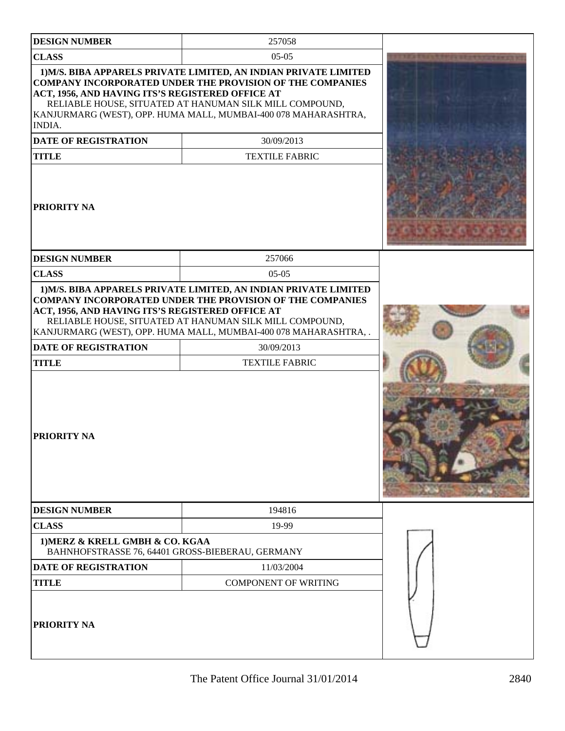| <b>DESIGN NUMBER</b>                                                                                                     | 257058                                                                                                                                                                                                                                                                                                     |  |
|--------------------------------------------------------------------------------------------------------------------------|------------------------------------------------------------------------------------------------------------------------------------------------------------------------------------------------------------------------------------------------------------------------------------------------------------|--|
| <b>CLASS</b>                                                                                                             | $05-05$                                                                                                                                                                                                                                                                                                    |  |
| ACT, 1956, AND HAVING ITS'S REGISTERED OFFICE AT<br>INDIA.<br><b>DATE OF REGISTRATION</b><br><b>TITLE</b><br>PRIORITY NA | 1) M/S. BIBA APPARELS PRIVATE LIMITED, AN INDIAN PRIVATE LIMITED<br><b>COMPANY INCORPORATED UNDER THE PROVISION OF THE COMPANIES</b><br>RELIABLE HOUSE, SITUATED AT HANUMAN SILK MILL COMPOUND,<br>KANJURMARG (WEST), OPP. HUMA MALL, MUMBAI-400 078 MAHARASHTRA,<br>30/09/2013<br><b>TEXTILE FABRIC</b>   |  |
| <b>DESIGN NUMBER</b>                                                                                                     | 257066                                                                                                                                                                                                                                                                                                     |  |
| <b>CLASS</b>                                                                                                             | $05-05$                                                                                                                                                                                                                                                                                                    |  |
| ACT, 1956, AND HAVING ITS'S REGISTERED OFFICE AT<br>DATE OF REGISTRATION<br><b>TITLE</b><br><b>PRIORITY NA</b>           | 1) M/S. BIBA APPARELS PRIVATE LIMITED, AN INDIAN PRIVATE LIMITED<br><b>COMPANY INCORPORATED UNDER THE PROVISION OF THE COMPANIES</b><br>RELIABLE HOUSE, SITUATED AT HANUMAN SILK MILL COMPOUND,<br>KANJURMARG (WEST), OPP. HUMA MALL, MUMBAI-400 078 MAHARASHTRA, .<br>30/09/2013<br><b>TEXTILE FABRIC</b> |  |
|                                                                                                                          |                                                                                                                                                                                                                                                                                                            |  |
| <b>DESIGN NUMBER</b>                                                                                                     | 194816                                                                                                                                                                                                                                                                                                     |  |
| <b>CLASS</b>                                                                                                             | 19-99                                                                                                                                                                                                                                                                                                      |  |
| 1) MERZ & KRELL GMBH & CO. KGAA<br>BAHNHOFSTRASSE 76, 64401 GROSS-BIEBERAU, GERMANY                                      |                                                                                                                                                                                                                                                                                                            |  |
| <b>DATE OF REGISTRATION</b><br>11/03/2004                                                                                |                                                                                                                                                                                                                                                                                                            |  |
| <b>TITLE</b>                                                                                                             | <b>COMPONENT OF WRITING</b>                                                                                                                                                                                                                                                                                |  |
| PRIORITY NA                                                                                                              |                                                                                                                                                                                                                                                                                                            |  |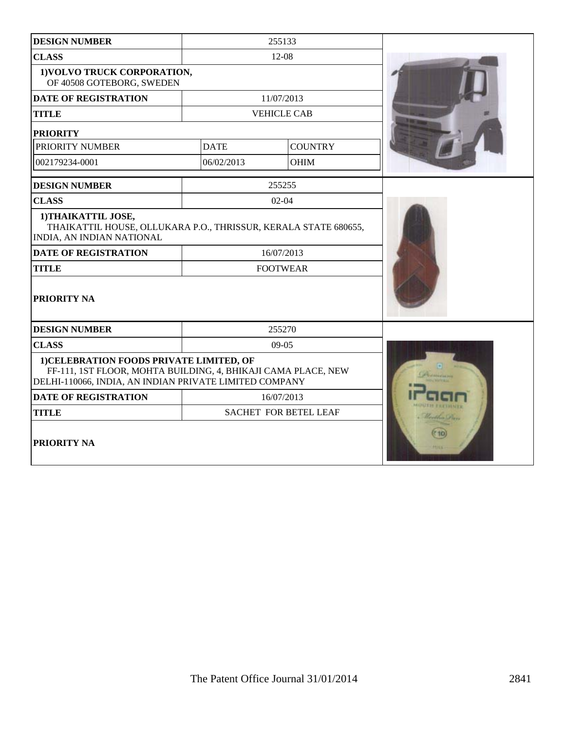| 255133<br><b>DESIGN NUMBER</b>                                                                                                                                      |                 |                    |  |
|---------------------------------------------------------------------------------------------------------------------------------------------------------------------|-----------------|--------------------|--|
| <b>CLASS</b>                                                                                                                                                        | 12-08           |                    |  |
| 1) VOLVO TRUCK CORPORATION,<br>OF 40508 GOTEBORG, SWEDEN                                                                                                            |                 |                    |  |
| <b>DATE OF REGISTRATION</b>                                                                                                                                         |                 | 11/07/2013         |  |
| <b>TITLE</b>                                                                                                                                                        |                 | <b>VEHICLE CAB</b> |  |
| <b>PRIORITY</b>                                                                                                                                                     |                 |                    |  |
| PRIORITY NUMBER                                                                                                                                                     | <b>DATE</b>     | <b>COUNTRY</b>     |  |
| 002179234-0001                                                                                                                                                      | 06/02/2013      | <b>OHIM</b>        |  |
| <b>DESIGN NUMBER</b>                                                                                                                                                |                 | 255255             |  |
| <b>CLASS</b>                                                                                                                                                        |                 | $02 - 04$          |  |
| 1) THAIKATTIL JOSE,<br>THAIKATTIL HOUSE, OLLUKARA P.O., THRISSUR, KERALA STATE 680655,<br>INDIA, AN INDIAN NATIONAL                                                 |                 |                    |  |
| <b>DATE OF REGISTRATION</b>                                                                                                                                         |                 | 16/07/2013         |  |
| <b>TITLE</b>                                                                                                                                                        | <b>FOOTWEAR</b> |                    |  |
| PRIORITY NA                                                                                                                                                         |                 |                    |  |
| <b>DESIGN NUMBER</b>                                                                                                                                                |                 | 255270             |  |
| <b>CLASS</b><br>$09-05$                                                                                                                                             |                 |                    |  |
| 1) CELEBRATION FOODS PRIVATE LIMITED, OF<br>FF-111, 1ST FLOOR, MOHTA BUILDING, 4, BHIKAJI CAMA PLACE, NEW<br>DELHI-110066, INDIA, AN INDIAN PRIVATE LIMITED COMPANY |                 |                    |  |
| <b>DATE OF REGISTRATION</b>                                                                                                                                         | 16/07/2013      |                    |  |
| <b>TITLE</b><br>SACHET FOR BETEL LEAF                                                                                                                               |                 | Continue (De)      |  |
| <b>PRIORITY NA</b>                                                                                                                                                  |                 |                    |  |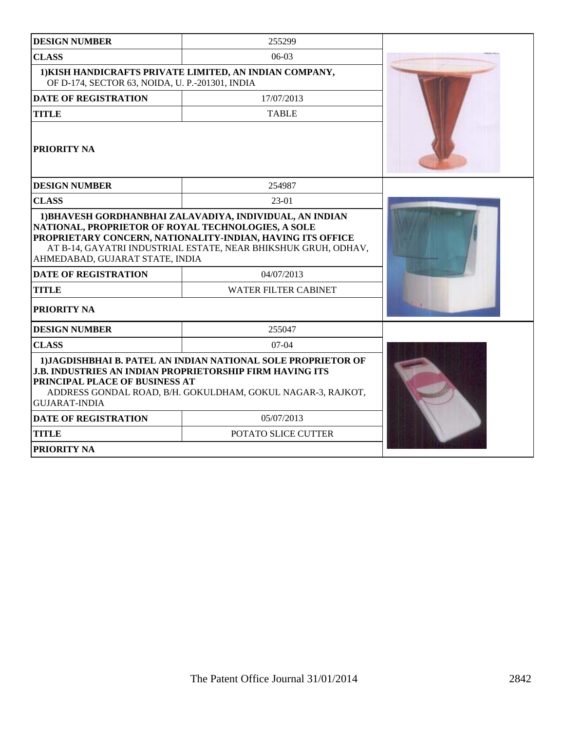| <b>DESIGN NUMBER</b>                                                                                                                                                                                                                                      | 255299              |  |
|-----------------------------------------------------------------------------------------------------------------------------------------------------------------------------------------------------------------------------------------------------------|---------------------|--|
| <b>CLASS</b>                                                                                                                                                                                                                                              | $06-03$             |  |
| 1) KISH HANDICRAFTS PRIVATE LIMITED, AN INDIAN COMPANY,<br>OF D-174, SECTOR 63, NOIDA, U. P.-201301, INDIA                                                                                                                                                |                     |  |
| <b>DATE OF REGISTRATION</b>                                                                                                                                                                                                                               |                     |  |
| <b>TITLE</b>                                                                                                                                                                                                                                              | <b>TABLE</b>        |  |
| PRIORITY NA                                                                                                                                                                                                                                               |                     |  |
| <b>DESIGN NUMBER</b>                                                                                                                                                                                                                                      | 254987              |  |
| <b>CLASS</b>                                                                                                                                                                                                                                              | $23-01$             |  |
| NATIONAL, PROPRIETOR OF ROYAL TECHNOLOGIES, A SOLE<br>PROPRIETARY CONCERN, NATIONALITY-INDIAN, HAVING ITS OFFICE<br>AT B-14, GAYATRI INDUSTRIAL ESTATE, NEAR BHIKSHUK GRUH, ODHAV,<br>AHMEDABAD, GUJARAT STATE, INDIA                                     |                     |  |
| <b>DATE OF REGISTRATION</b>                                                                                                                                                                                                                               | 04/07/2013          |  |
| <b>WATER FILTER CABINET</b><br><b>TITLE</b>                                                                                                                                                                                                               |                     |  |
| PRIORITY NA                                                                                                                                                                                                                                               |                     |  |
| <b>DESIGN NUMBER</b>                                                                                                                                                                                                                                      | 255047              |  |
| <b>CLASS</b>                                                                                                                                                                                                                                              | $07-04$             |  |
| 1) JAGDISHBHAI B. PATEL AN INDIAN NATIONAL SOLE PROPRIETOR OF<br><b>J.B. INDUSTRIES AN INDIAN PROPRIETORSHIP FIRM HAVING ITS</b><br>PRINCIPAL PLACE OF BUSINESS AT<br>ADDRESS GONDAL ROAD, B/H. GOKULDHAM, GOKUL NAGAR-3, RAJKOT,<br><b>GUJARAT-INDIA</b> |                     |  |
| <b>DATE OF REGISTRATION</b>                                                                                                                                                                                                                               | 05/07/2013          |  |
| <b>TITLE</b>                                                                                                                                                                                                                                              | POTATO SLICE CUTTER |  |
| <b>PRIORITY NA</b>                                                                                                                                                                                                                                        |                     |  |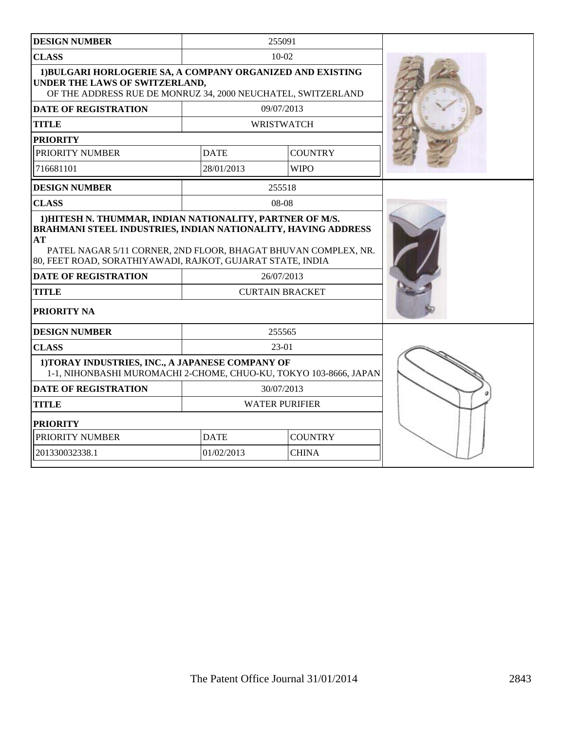| <b>DESIGN NUMBER</b>                                                                                                                                                                                                                                                                                                                                                          |                       | 255091            |  |
|-------------------------------------------------------------------------------------------------------------------------------------------------------------------------------------------------------------------------------------------------------------------------------------------------------------------------------------------------------------------------------|-----------------------|-------------------|--|
| <b>CLASS</b>                                                                                                                                                                                                                                                                                                                                                                  | $10 - 02$             |                   |  |
| 1) BULGARI HORLOGERIE SA, A COMPANY ORGANIZED AND EXISTING<br>UNDER THE LAWS OF SWITZERLAND,<br>OF THE ADDRESS RUE DE MONRUZ 34, 2000 NEUCHATEL, SWITZERLAND                                                                                                                                                                                                                  |                       |                   |  |
| <b>DATE OF REGISTRATION</b>                                                                                                                                                                                                                                                                                                                                                   |                       | 09/07/2013        |  |
| <b>TITLE</b>                                                                                                                                                                                                                                                                                                                                                                  |                       | <b>WRISTWATCH</b> |  |
| <b>PRIORITY</b>                                                                                                                                                                                                                                                                                                                                                               |                       |                   |  |
| PRIORITY NUMBER                                                                                                                                                                                                                                                                                                                                                               | <b>DATE</b>           | <b>COUNTRY</b>    |  |
| 716681101                                                                                                                                                                                                                                                                                                                                                                     | 28/01/2013            | <b>WIPO</b>       |  |
| <b>DESIGN NUMBER</b>                                                                                                                                                                                                                                                                                                                                                          |                       | 255518            |  |
| <b>CLASS</b>                                                                                                                                                                                                                                                                                                                                                                  |                       | 08-08             |  |
| 1) HITESH N. THUMMAR, INDIAN NATIONALITY, PARTNER OF M/S.<br>BRAHMANI STEEL INDUSTRIES, INDIAN NATIONALITY, HAVING ADDRESS<br>AT<br>PATEL NAGAR 5/11 CORNER, 2ND FLOOR, BHAGAT BHUVAN COMPLEX, NR.<br>80, FEET ROAD, SORATHIYAWADI, RAJKOT, GUJARAT STATE, INDIA<br><b>DATE OF REGISTRATION</b><br>26/07/2013<br><b>CURTAIN BRACKET</b><br><b>TITLE</b><br><b>PRIORITY NA</b> |                       |                   |  |
| <b>DESIGN NUMBER</b>                                                                                                                                                                                                                                                                                                                                                          |                       | 255565            |  |
| <b>CLASS</b>                                                                                                                                                                                                                                                                                                                                                                  |                       | $23-01$           |  |
| 1) TORAY INDUSTRIES, INC., A JAPANESE COMPANY OF<br>1-1, NIHONBASHI MUROMACHI 2-CHOME, CHUO-KU, TOKYO 103-8666, JAPAN                                                                                                                                                                                                                                                         |                       |                   |  |
| <b>DATE OF REGISTRATION</b>                                                                                                                                                                                                                                                                                                                                                   |                       | 30/07/2013        |  |
| <b>TITLE</b>                                                                                                                                                                                                                                                                                                                                                                  | <b>WATER PURIFIER</b> |                   |  |
| <b>PRIORITY</b>                                                                                                                                                                                                                                                                                                                                                               |                       |                   |  |
| PRIORITY NUMBER                                                                                                                                                                                                                                                                                                                                                               | <b>DATE</b>           | <b>COUNTRY</b>    |  |
| 201330032338.1                                                                                                                                                                                                                                                                                                                                                                | 01/02/2013            | <b>CHINA</b>      |  |
|                                                                                                                                                                                                                                                                                                                                                                               |                       |                   |  |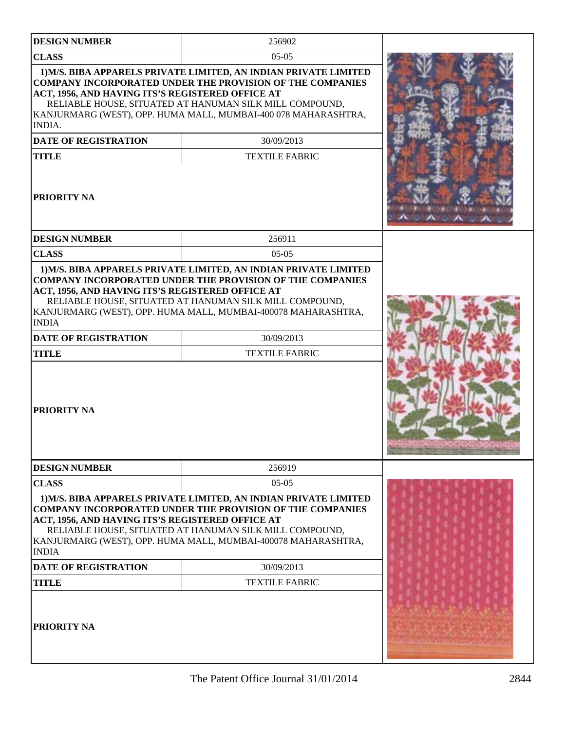| <b>DESIGN NUMBER</b>                                                                                                                   | 256902                                                                                                                                                                                                                                                                                                   |  |
|----------------------------------------------------------------------------------------------------------------------------------------|----------------------------------------------------------------------------------------------------------------------------------------------------------------------------------------------------------------------------------------------------------------------------------------------------------|--|
| <b>CLASS</b>                                                                                                                           | $05-05$                                                                                                                                                                                                                                                                                                  |  |
| ACT, 1956, AND HAVING ITS'S REGISTERED OFFICE AT<br><b>INDIA.</b><br><b>DATE OF REGISTRATION</b><br><b>TITLE</b><br><b>PRIORITY NA</b> | 1) M/S. BIBA APPARELS PRIVATE LIMITED, AN INDIAN PRIVATE LIMITED<br><b>COMPANY INCORPORATED UNDER THE PROVISION OF THE COMPANIES</b><br>RELIABLE HOUSE, SITUATED AT HANUMAN SILK MILL COMPOUND,<br>KANJURMARG (WEST), OPP. HUMA MALL, MUMBAI-400 078 MAHARASHTRA,<br>30/09/2013<br><b>TEXTILE FABRIC</b> |  |
|                                                                                                                                        |                                                                                                                                                                                                                                                                                                          |  |
| <b>DESIGN NUMBER</b>                                                                                                                   | 256911                                                                                                                                                                                                                                                                                                   |  |
| <b>CLASS</b>                                                                                                                           | $05-05$<br>1) M/S. BIBA APPARELS PRIVATE LIMITED, AN INDIAN PRIVATE LIMITED                                                                                                                                                                                                                              |  |
| <b>INDIA</b><br><b>DATE OF REGISTRATION</b><br><b>TITLE</b><br><b>PRIORITY NA</b>                                                      | RELIABLE HOUSE, SITUATED AT HANUMAN SILK MILL COMPOUND,<br>KANJURMARG (WEST), OPP. HUMA MALL, MUMBAI-400078 MAHARASHTRA,<br>30/09/2013<br><b>TEXTILE FABRIC</b>                                                                                                                                          |  |
| <b>DESIGN NUMBER</b>                                                                                                                   | 256919                                                                                                                                                                                                                                                                                                   |  |
| <b>CLASS</b>                                                                                                                           | $05-05$                                                                                                                                                                                                                                                                                                  |  |
| ACT, 1956, AND HAVING ITS'S REGISTERED OFFICE AT<br><b>INDIA</b>                                                                       | 1) M/S. BIBA APPARELS PRIVATE LIMITED, AN INDIAN PRIVATE LIMITED<br><b>COMPANY INCORPORATED UNDER THE PROVISION OF THE COMPANIES</b><br>RELIABLE HOUSE, SITUATED AT HANUMAN SILK MILL COMPOUND,<br>KANJURMARG (WEST), OPP. HUMA MALL, MUMBAI-400078 MAHARASHTRA,                                         |  |
| <b>DATE OF REGISTRATION</b>                                                                                                            | 30/09/2013                                                                                                                                                                                                                                                                                               |  |
| <b>TITLE</b>                                                                                                                           | <b>TEXTILE FABRIC</b>                                                                                                                                                                                                                                                                                    |  |
| <b>PRIORITY NA</b>                                                                                                                     |                                                                                                                                                                                                                                                                                                          |  |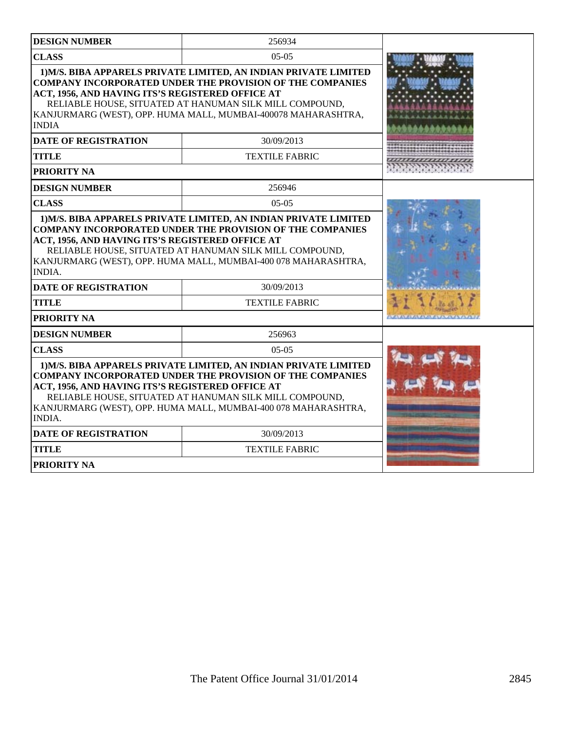| <b>DESIGN NUMBER</b>                                                                                                                                                                                                                                                                                                                   | 256934                                                                                                                                                                                                                                                           |  |
|----------------------------------------------------------------------------------------------------------------------------------------------------------------------------------------------------------------------------------------------------------------------------------------------------------------------------------------|------------------------------------------------------------------------------------------------------------------------------------------------------------------------------------------------------------------------------------------------------------------|--|
| <b>CLASS</b><br>$05-05$                                                                                                                                                                                                                                                                                                                |                                                                                                                                                                                                                                                                  |  |
| ACT, 1956, AND HAVING ITS'S REGISTERED OFFICE AT<br><b>INDIA</b>                                                                                                                                                                                                                                                                       | 1) M/S. BIBA APPARELS PRIVATE LIMITED, AN INDIAN PRIVATE LIMITED<br><b>COMPANY INCORPORATED UNDER THE PROVISION OF THE COMPANIES</b><br>RELIABLE HOUSE, SITUATED AT HANUMAN SILK MILL COMPOUND,<br>KANJURMARG (WEST), OPP. HUMA MALL, MUMBAI-400078 MAHARASHTRA, |  |
| <b>DATE OF REGISTRATION</b>                                                                                                                                                                                                                                                                                                            | 30/09/2013                                                                                                                                                                                                                                                       |  |
| <b>TITLE</b>                                                                                                                                                                                                                                                                                                                           | <b>TEXTILE FABRIC</b>                                                                                                                                                                                                                                            |  |
| PRIORITY NA                                                                                                                                                                                                                                                                                                                            |                                                                                                                                                                                                                                                                  |  |
| <b>DESIGN NUMBER</b>                                                                                                                                                                                                                                                                                                                   | 256946                                                                                                                                                                                                                                                           |  |
| <b>CLASS</b>                                                                                                                                                                                                                                                                                                                           | $05-05$                                                                                                                                                                                                                                                          |  |
| <b>COMPANY INCORPORATED UNDER THE PROVISION OF THE COMPANIES</b><br>ACT, 1956, AND HAVING ITS'S REGISTERED OFFICE AT<br>RELIABLE HOUSE, SITUATED AT HANUMAN SILK MILL COMPOUND,<br>KANJURMARG (WEST), OPP. HUMA MALL, MUMBAI-400 078 MAHARASHTRA,<br><b>INDIA.</b>                                                                     |                                                                                                                                                                                                                                                                  |  |
| <b>DATE OF REGISTRATION</b>                                                                                                                                                                                                                                                                                                            | 30/09/2013                                                                                                                                                                                                                                                       |  |
| <b>TITLE</b>                                                                                                                                                                                                                                                                                                                           | <b>TEXTILE FABRIC</b>                                                                                                                                                                                                                                            |  |
| PRIORITY NA                                                                                                                                                                                                                                                                                                                            |                                                                                                                                                                                                                                                                  |  |
| <b>DESIGN NUMBER</b>                                                                                                                                                                                                                                                                                                                   | 256963                                                                                                                                                                                                                                                           |  |
| <b>CLASS</b>                                                                                                                                                                                                                                                                                                                           | $05-05$                                                                                                                                                                                                                                                          |  |
| 1) M/S. BIBA APPARELS PRIVATE LIMITED, AN INDIAN PRIVATE LIMITED<br><b>COMPANY INCORPORATED UNDER THE PROVISION OF THE COMPANIES</b><br>ACT, 1956, AND HAVING ITS'S REGISTERED OFFICE AT<br>RELIABLE HOUSE, SITUATED AT HANUMAN SILK MILL COMPOUND,<br>KANJURMARG (WEST), OPP. HUMA MALL, MUMBAI-400 078 MAHARASHTRA,<br><b>INDIA.</b> |                                                                                                                                                                                                                                                                  |  |
| <b>DATE OF REGISTRATION</b>                                                                                                                                                                                                                                                                                                            | 30/09/2013                                                                                                                                                                                                                                                       |  |
| TITLE                                                                                                                                                                                                                                                                                                                                  | <b>TEXTILE FABRIC</b>                                                                                                                                                                                                                                            |  |
| <b>PRIORITY NA</b>                                                                                                                                                                                                                                                                                                                     |                                                                                                                                                                                                                                                                  |  |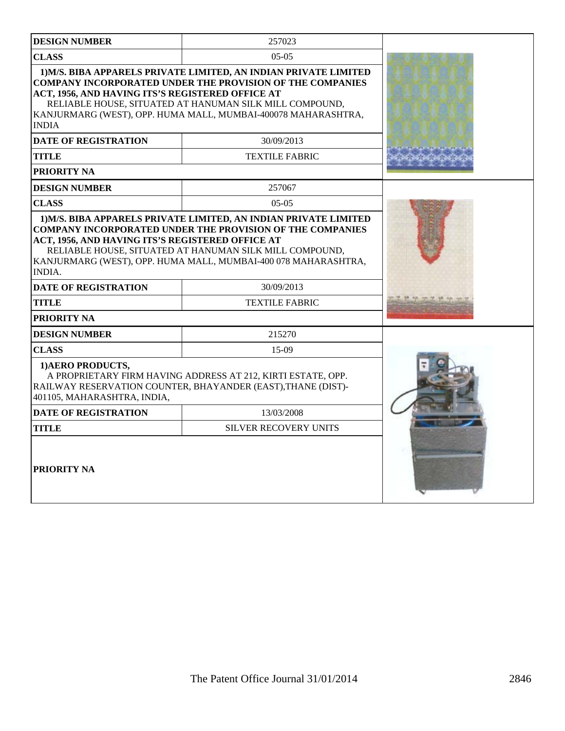| <b>DESIGN NUMBER</b>                                              | 257023                                                                                                                                                                                        |  |
|-------------------------------------------------------------------|-----------------------------------------------------------------------------------------------------------------------------------------------------------------------------------------------|--|
| <b>CLASS</b>                                                      | $0.5 - 0.5$                                                                                                                                                                                   |  |
|                                                                   | 1) M/S. BIBA APPARELS PRIVATE LIMITED, AN INDIAN PRIVATE LIMITED<br><b>COMPANY INCORPORATED UNDER THE PROVISION OF THE COMPANIES</b>                                                          |  |
| ACT, 1956, AND HAVING ITS'S REGISTERED OFFICE AT<br><b>INDIA</b>  | RELIABLE HOUSE, SITUATED AT HANUMAN SILK MILL COMPOUND,<br>KANJURMARG (WEST), OPP. HUMA MALL, MUMBAI-400078 MAHARASHTRA,                                                                      |  |
| <b>DATE OF REGISTRATION</b>                                       | 30/09/2013                                                                                                                                                                                    |  |
| TITLE                                                             | <b>TEXTILE FABRIC</b>                                                                                                                                                                         |  |
| <b>PRIORITY NA</b>                                                |                                                                                                                                                                                               |  |
| <b>DESIGN NUMBER</b>                                              | 257067                                                                                                                                                                                        |  |
| <b>CLASS</b>                                                      | $05-05$                                                                                                                                                                                       |  |
| ACT, 1956, AND HAVING ITS'S REGISTERED OFFICE AT<br><b>INDIA.</b> | <b>COMPANY INCORPORATED UNDER THE PROVISION OF THE COMPANIES</b><br>RELIABLE HOUSE, SITUATED AT HANUMAN SILK MILL COMPOUND,<br>KANJURMARG (WEST), OPP. HUMA MALL, MUMBAI-400 078 MAHARASHTRA, |  |
| <b>DATE OF REGISTRATION</b>                                       | 30/09/2013                                                                                                                                                                                    |  |
| <b>TITLE</b>                                                      | <b>TEXTILE FABRIC</b>                                                                                                                                                                         |  |
| <b>PRIORITY NA</b>                                                |                                                                                                                                                                                               |  |
| <b>DESIGN NUMBER</b>                                              | 215270                                                                                                                                                                                        |  |
| <b>CLASS</b>                                                      | 15-09                                                                                                                                                                                         |  |
| 1) AERO PRODUCTS,<br>401105, MAHARASHTRA, INDIA,                  | A PROPRIETARY FIRM HAVING ADDRESS AT 212, KIRTI ESTATE, OPP.<br>RAILWAY RESERVATION COUNTER, BHAYANDER (EAST), THANE (DIST)-                                                                  |  |
| <b>DATE OF REGISTRATION</b>                                       | 13/03/2008                                                                                                                                                                                    |  |
| <b>TITLE</b>                                                      | <b>SILVER RECOVERY UNITS</b>                                                                                                                                                                  |  |
| PRIORITY NA                                                       |                                                                                                                                                                                               |  |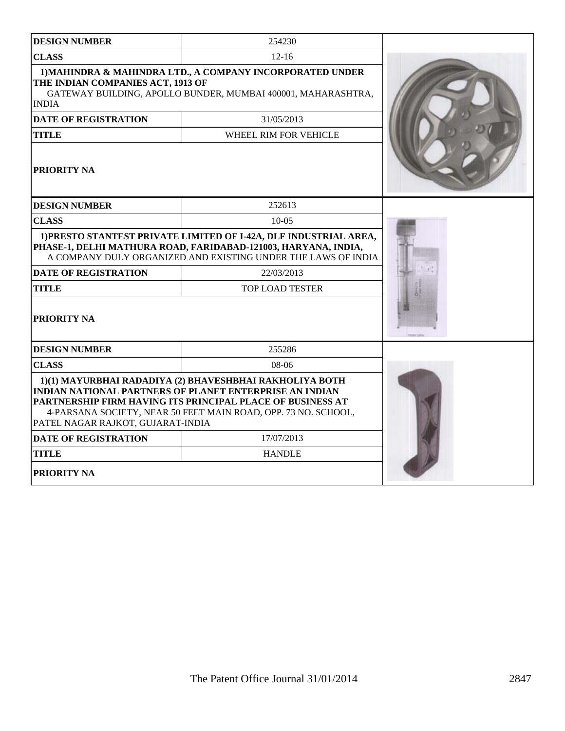| <b>DESIGN NUMBER</b>                              | 254230                                                                                                                                                                                                                                                    |  |
|---------------------------------------------------|-----------------------------------------------------------------------------------------------------------------------------------------------------------------------------------------------------------------------------------------------------------|--|
| <b>CLASS</b>                                      | $12 - 16$                                                                                                                                                                                                                                                 |  |
| THE INDIAN COMPANIES ACT, 1913 OF<br><b>INDIA</b> | 1) MAHINDRA & MAHINDRA LTD., A COMPANY INCORPORATED UNDER<br>GATEWAY BUILDING, APOLLO BUNDER, MUMBAI 400001, MAHARASHTRA,                                                                                                                                 |  |
| <b>DATE OF REGISTRATION</b>                       | 31/05/2013                                                                                                                                                                                                                                                |  |
| <b>TITLE</b>                                      | WHEEL RIM FOR VEHICLE                                                                                                                                                                                                                                     |  |
| PRIORITY NA                                       |                                                                                                                                                                                                                                                           |  |
| <b>DESIGN NUMBER</b>                              | 252613                                                                                                                                                                                                                                                    |  |
| <b>CLASS</b>                                      | $10-0.5$                                                                                                                                                                                                                                                  |  |
|                                                   | 1) PRESTO STANTEST PRIVATE LIMITED OF I-42A, DLF INDUSTRIAL AREA,<br>PHASE-1, DELHI MATHURA ROAD, FARIDABAD-121003, HARYANA, INDIA,<br>A COMPANY DULY ORGANIZED AND EXISTING UNDER THE LAWS OF INDIA                                                      |  |
| <b>DATE OF REGISTRATION</b>                       | 22/03/2013                                                                                                                                                                                                                                                |  |
| <b>TITLE</b>                                      | TOP LOAD TESTER                                                                                                                                                                                                                                           |  |
| <b>PRIORITY NA</b>                                |                                                                                                                                                                                                                                                           |  |
| <b>DESIGN NUMBER</b>                              | 255286                                                                                                                                                                                                                                                    |  |
| <b>CLASS</b>                                      | $08-06$                                                                                                                                                                                                                                                   |  |
| PATEL NAGAR RAJKOT, GUJARAT-INDIA                 | 1)(1) MAYURBHAI RADADIYA (2) BHAVESHBHAI RAKHOLIYA BOTH<br><b>INDIAN NATIONAL PARTNERS OF PLANET ENTERPRISE AN INDIAN</b><br>PARTNERSHIP FIRM HAVING ITS PRINCIPAL PLACE OF BUSINESS AT<br>4-PARSANA SOCIETY, NEAR 50 FEET MAIN ROAD, OPP. 73 NO. SCHOOL, |  |
| <b>DATE OF REGISTRATION</b>                       | 17/07/2013                                                                                                                                                                                                                                                |  |
| <b>TITLE</b>                                      | <b>HANDLE</b>                                                                                                                                                                                                                                             |  |
| <b>PRIORITY NA</b>                                |                                                                                                                                                                                                                                                           |  |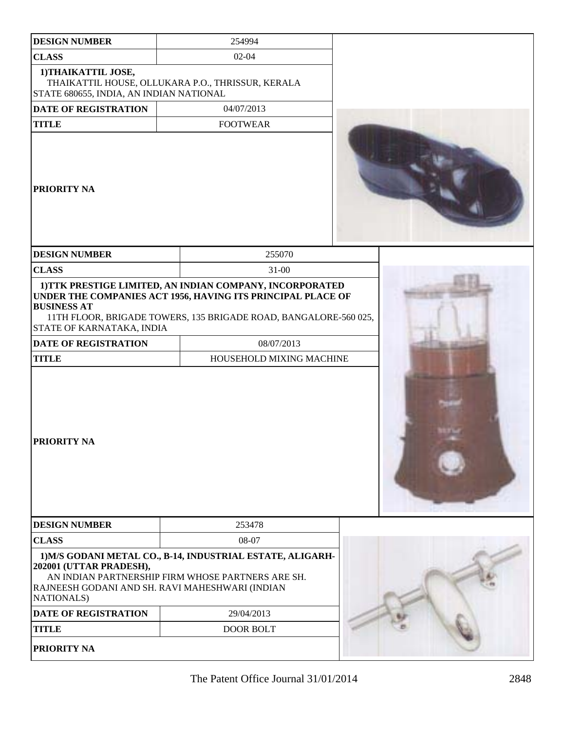| <b>DESIGN NUMBER</b>                                                                    | 254994                                                                                                                                                                                                                                |  |
|-----------------------------------------------------------------------------------------|---------------------------------------------------------------------------------------------------------------------------------------------------------------------------------------------------------------------------------------|--|
| <b>CLASS</b>                                                                            | $02 - 04$                                                                                                                                                                                                                             |  |
| 1) THAIKATTIL JOSE,<br>STATE 680655, INDIA, AN INDIAN NATIONAL                          | THAIKATTIL HOUSE, OLLUKARA P.O., THRISSUR, KERALA                                                                                                                                                                                     |  |
| DATE OF REGISTRATION                                                                    | 04/07/2013                                                                                                                                                                                                                            |  |
| <b>TITLE</b>                                                                            | <b>FOOTWEAR</b>                                                                                                                                                                                                                       |  |
| PRIORITY NA                                                                             |                                                                                                                                                                                                                                       |  |
| <b>DESIGN NUMBER</b>                                                                    | 255070                                                                                                                                                                                                                                |  |
| <b>CLASS</b>                                                                            | $31 - 00$                                                                                                                                                                                                                             |  |
| <b>BUSINESS AT</b><br>STATE OF KARNATAKA, INDIA<br>DATE OF REGISTRATION<br><b>TITLE</b> | 1) TTK PRESTIGE LIMITED, AN INDIAN COMPANY, INCORPORATED<br>UNDER THE COMPANIES ACT 1956, HAVING ITS PRINCIPAL PLACE OF<br>11TH FLOOR, BRIGADE TOWERS, 135 BRIGADE ROAD, BANGALORE-560 025,<br>08/07/2013<br>HOUSEHOLD MIXING MACHINE |  |
| <b>PRIORITY NA</b>                                                                      |                                                                                                                                                                                                                                       |  |
| <b>DESIGN NUMBER</b>                                                                    | 253478                                                                                                                                                                                                                                |  |
| <b>CLASS</b>                                                                            | 08-07                                                                                                                                                                                                                                 |  |
| 202001 (UTTAR PRADESH),<br><b>NATIONALS)</b>                                            | 1) M/S GODANI METAL CO., B-14, INDUSTRIAL ESTATE, ALIGARH-<br>AN INDIAN PARTNERSHIP FIRM WHOSE PARTNERS ARE SH.<br>RAJNEESH GODANI AND SH. RAVI MAHESHWARI (INDIAN                                                                    |  |
| <b>DATE OF REGISTRATION</b>                                                             | 29/04/2013                                                                                                                                                                                                                            |  |
| <b>TITLE</b>                                                                            | <b>DOOR BOLT</b>                                                                                                                                                                                                                      |  |
| PRIORITY NA                                                                             |                                                                                                                                                                                                                                       |  |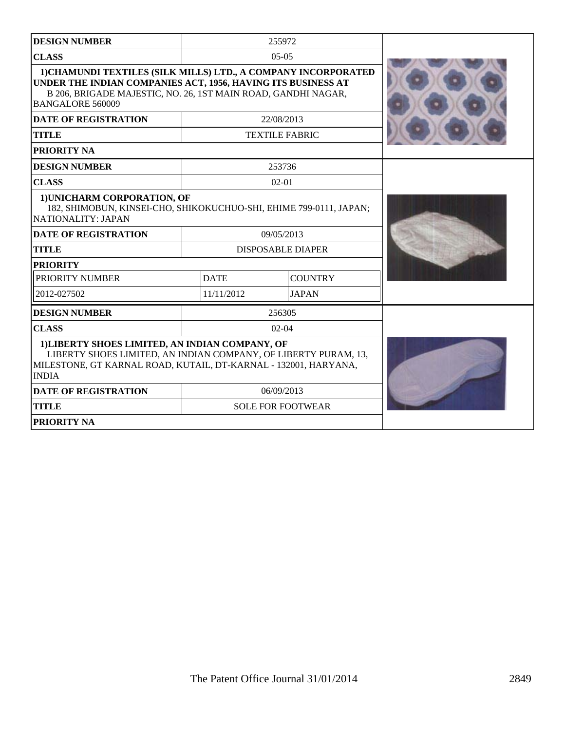| <b>DESIGN NUMBER</b>                                                                                                                                                                                                       |                          | 255972                   |  |
|----------------------------------------------------------------------------------------------------------------------------------------------------------------------------------------------------------------------------|--------------------------|--------------------------|--|
| <b>CLASS</b>                                                                                                                                                                                                               |                          | $05-05$                  |  |
| 1) CHAMUNDI TEXTILES (SILK MILLS) LTD., A COMPANY INCORPORATED<br>UNDER THE INDIAN COMPANIES ACT, 1956, HAVING ITS BUSINESS AT<br>B 206, BRIGADE MAJESTIC, NO. 26, 1ST MAIN ROAD, GANDHI NAGAR,<br><b>BANGALORE 560009</b> |                          |                          |  |
| <b>DATE OF REGISTRATION</b>                                                                                                                                                                                                |                          | 22/08/2013               |  |
| <b>TITLE</b>                                                                                                                                                                                                               |                          | <b>TEXTILE FABRIC</b>    |  |
| <b>PRIORITY NA</b>                                                                                                                                                                                                         |                          |                          |  |
| <b>DESIGN NUMBER</b>                                                                                                                                                                                                       |                          | 253736                   |  |
| <b>CLASS</b>                                                                                                                                                                                                               |                          | $02 - 01$                |  |
| 1) UNICHARM CORPORATION, OF<br>182, SHIMOBUN, KINSEI-CHO, SHIKOKUCHUO-SHI, EHIME 799-0111, JAPAN;<br>NATIONALITY: JAPAN                                                                                                    |                          |                          |  |
| <b>DATE OF REGISTRATION</b>                                                                                                                                                                                                | 09/05/2013               |                          |  |
| <b>TITLE</b>                                                                                                                                                                                                               | <b>DISPOSABLE DIAPER</b> |                          |  |
| <b>PRIORITY</b>                                                                                                                                                                                                            |                          |                          |  |
| PRIORITY NUMBER                                                                                                                                                                                                            | <b>DATE</b>              | <b>COUNTRY</b>           |  |
| 2012-027502                                                                                                                                                                                                                | 11/11/2012               | <b>JAPAN</b>             |  |
| <b>DESIGN NUMBER</b>                                                                                                                                                                                                       |                          | 256305                   |  |
| <b>CLASS</b>                                                                                                                                                                                                               |                          | $02-04$                  |  |
| 1) LIBERTY SHOES LIMITED, AN INDIAN COMPANY, OF<br>LIBERTY SHOES LIMITED, AN INDIAN COMPANY, OF LIBERTY PURAM, 13,<br>MILESTONE, GT KARNAL ROAD, KUTAIL, DT-KARNAL - 132001, HARYANA,<br><b>INDIA</b>                      |                          |                          |  |
| <b>DATE OF REGISTRATION</b>                                                                                                                                                                                                | 06/09/2013               |                          |  |
| <b>TITLE</b>                                                                                                                                                                                                               |                          | <b>SOLE FOR FOOTWEAR</b> |  |
| <b>PRIORITY NA</b>                                                                                                                                                                                                         |                          |                          |  |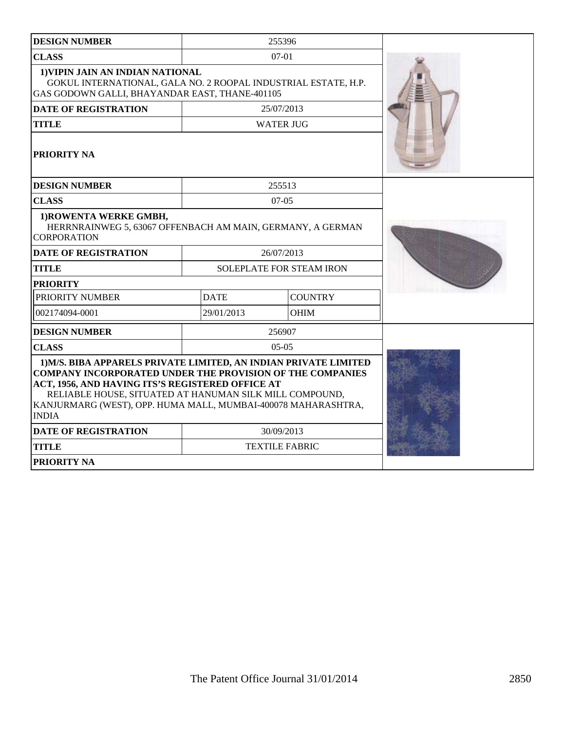| <b>DESIGN NUMBER</b>                                                                                                                                                                                                                                                                                                                 |                          | 255396                |  |
|--------------------------------------------------------------------------------------------------------------------------------------------------------------------------------------------------------------------------------------------------------------------------------------------------------------------------------------|--------------------------|-----------------------|--|
| <b>CLASS</b>                                                                                                                                                                                                                                                                                                                         | $07 - 01$                |                       |  |
| 1) VIPIN JAIN AN INDIAN NATIONAL<br>GOKUL INTERNATIONAL, GALA NO. 2 ROOPAL INDUSTRIAL ESTATE, H.P.<br>GAS GODOWN GALLI, BHAYANDAR EAST, THANE-401105                                                                                                                                                                                 |                          |                       |  |
| <b>DATE OF REGISTRATION</b>                                                                                                                                                                                                                                                                                                          |                          | 25/07/2013            |  |
| <b>TITLE</b>                                                                                                                                                                                                                                                                                                                         |                          | <b>WATER JUG</b>      |  |
| PRIORITY NA                                                                                                                                                                                                                                                                                                                          |                          |                       |  |
| <b>DESIGN NUMBER</b>                                                                                                                                                                                                                                                                                                                 |                          | 255513                |  |
| <b>CLASS</b>                                                                                                                                                                                                                                                                                                                         |                          | $07-05$               |  |
| 1) ROWENTA WERKE GMBH,<br>HERRNRAINWEG 5, 63067 OFFENBACH AM MAIN, GERMANY, A GERMAN<br><b>CORPORATION</b>                                                                                                                                                                                                                           |                          |                       |  |
| <b>DATE OF REGISTRATION</b>                                                                                                                                                                                                                                                                                                          | 26/07/2013               |                       |  |
| <b>TITLE</b>                                                                                                                                                                                                                                                                                                                         | SOLEPLATE FOR STEAM IRON |                       |  |
| <b>PRIORITY</b>                                                                                                                                                                                                                                                                                                                      |                          |                       |  |
| PRIORITY NUMBER                                                                                                                                                                                                                                                                                                                      | <b>DATE</b>              | <b>COUNTRY</b>        |  |
| 002174094-0001                                                                                                                                                                                                                                                                                                                       | 29/01/2013               | <b>OHIM</b>           |  |
| <b>DESIGN NUMBER</b>                                                                                                                                                                                                                                                                                                                 |                          | 256907                |  |
| <b>CLASS</b>                                                                                                                                                                                                                                                                                                                         |                          | $05-05$               |  |
| 1) M/S. BIBA APPARELS PRIVATE LIMITED, AN INDIAN PRIVATE LIMITED<br><b>COMPANY INCORPORATED UNDER THE PROVISION OF THE COMPANIES</b><br>ACT, 1956, AND HAVING ITS'S REGISTERED OFFICE AT<br>RELIABLE HOUSE, SITUATED AT HANUMAN SILK MILL COMPOUND,<br>KANJURMARG (WEST), OPP. HUMA MALL, MUMBAI-400078 MAHARASHTRA,<br><b>INDIA</b> |                          |                       |  |
| <b>DATE OF REGISTRATION</b>                                                                                                                                                                                                                                                                                                          | 30/09/2013               |                       |  |
| <b>TITLE</b>                                                                                                                                                                                                                                                                                                                         |                          | <b>TEXTILE FABRIC</b> |  |
| <b>PRIORITY NA</b>                                                                                                                                                                                                                                                                                                                   |                          |                       |  |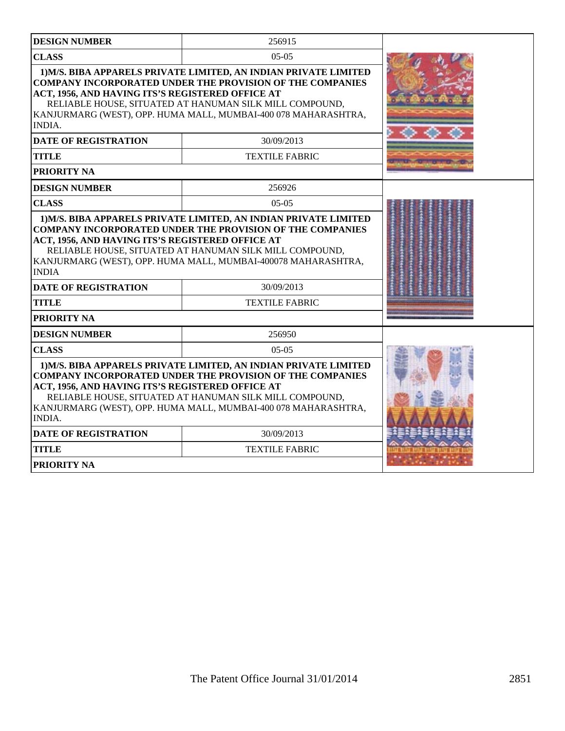| <b>DESIGN NUMBER</b>                                              | 256915                                                                                                                                                                                                                                                            |  |
|-------------------------------------------------------------------|-------------------------------------------------------------------------------------------------------------------------------------------------------------------------------------------------------------------------------------------------------------------|--|
| <b>CLASS</b>                                                      | $05-05$                                                                                                                                                                                                                                                           |  |
| ACT, 1956, AND HAVING ITS'S REGISTERED OFFICE AT<br><b>INDIA.</b> | 1) M/S. BIBA APPARELS PRIVATE LIMITED, AN INDIAN PRIVATE LIMITED<br><b>COMPANY INCORPORATED UNDER THE PROVISION OF THE COMPANIES</b><br>RELIABLE HOUSE, SITUATED AT HANUMAN SILK MILL COMPOUND,<br>KANJURMARG (WEST), OPP. HUMA MALL, MUMBAI-400 078 MAHARASHTRA, |  |
| <b>DATE OF REGISTRATION</b>                                       | 30/09/2013                                                                                                                                                                                                                                                        |  |
| <b>TITLE</b>                                                      | <b>TEXTILE FABRIC</b>                                                                                                                                                                                                                                             |  |
| PRIORITY NA                                                       |                                                                                                                                                                                                                                                                   |  |
| <b>DESIGN NUMBER</b>                                              | 256926                                                                                                                                                                                                                                                            |  |
| <b>CLASS</b>                                                      | $0.5 - 0.5$                                                                                                                                                                                                                                                       |  |
| ACT, 1956, AND HAVING ITS'S REGISTERED OFFICE AT<br><b>INDIA</b>  | <b>COMPANY INCORPORATED UNDER THE PROVISION OF THE COMPANIES</b><br>RELIABLE HOUSE, SITUATED AT HANUMAN SILK MILL COMPOUND,<br>KANJURMARG (WEST), OPP. HUMA MALL, MUMBAI-400078 MAHARASHTRA,                                                                      |  |
| <b>DATE OF REGISTRATION</b>                                       | 30/09/2013                                                                                                                                                                                                                                                        |  |
| <b>TITLE</b>                                                      | <b>TEXTILE FABRIC</b>                                                                                                                                                                                                                                             |  |
| PRIORITY NA                                                       |                                                                                                                                                                                                                                                                   |  |
| <b>DESIGN NUMBER</b>                                              | 256950                                                                                                                                                                                                                                                            |  |
| <b>CLASS</b>                                                      | $05-05$                                                                                                                                                                                                                                                           |  |
| ACT, 1956, AND HAVING ITS'S REGISTERED OFFICE AT<br>INDIA.        | 1) M/S. BIBA APPARELS PRIVATE LIMITED, AN INDIAN PRIVATE LIMITED<br><b>COMPANY INCORPORATED UNDER THE PROVISION OF THE COMPANIES</b><br>RELIABLE HOUSE, SITUATED AT HANUMAN SILK MILL COMPOUND,<br>KANJURMARG (WEST), OPP. HUMA MALL, MUMBAI-400 078 MAHARASHTRA, |  |
| <b>DATE OF REGISTRATION</b>                                       | 30/09/2013                                                                                                                                                                                                                                                        |  |
| <b>TITLE</b>                                                      | <b>TEXTILE FABRIC</b>                                                                                                                                                                                                                                             |  |
| <b>PRIORITY NA</b>                                                |                                                                                                                                                                                                                                                                   |  |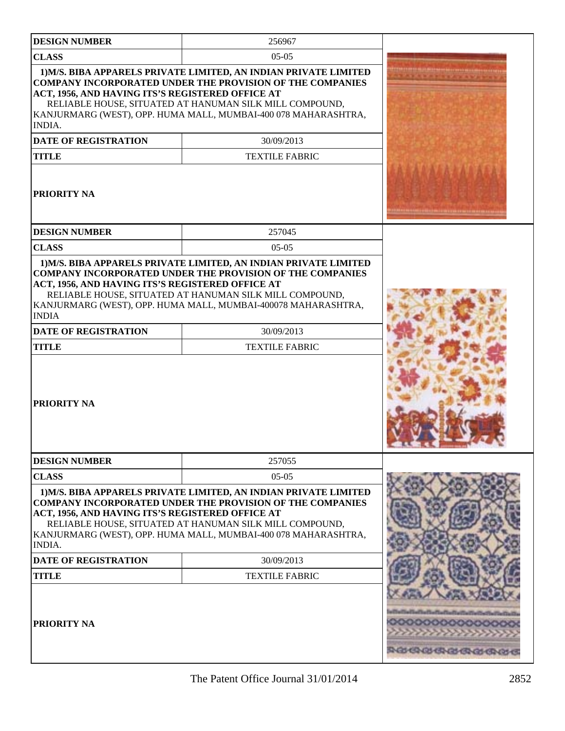| <b>DESIGN NUMBER</b>                                                                                                                   | 256967                                                                                                                                                                                                                                                                                                   |                                       |
|----------------------------------------------------------------------------------------------------------------------------------------|----------------------------------------------------------------------------------------------------------------------------------------------------------------------------------------------------------------------------------------------------------------------------------------------------------|---------------------------------------|
| <b>CLASS</b>                                                                                                                           | $05-05$                                                                                                                                                                                                                                                                                                  |                                       |
| ACT, 1956, AND HAVING ITS'S REGISTERED OFFICE AT<br><b>INDIA.</b><br><b>DATE OF REGISTRATION</b><br><b>TITLE</b><br><b>PRIORITY NA</b> | 1) M/S. BIBA APPARELS PRIVATE LIMITED, AN INDIAN PRIVATE LIMITED<br><b>COMPANY INCORPORATED UNDER THE PROVISION OF THE COMPANIES</b><br>RELIABLE HOUSE, SITUATED AT HANUMAN SILK MILL COMPOUND,<br>KANJURMARG (WEST), OPP. HUMA MALL, MUMBAI-400 078 MAHARASHTRA,<br>30/09/2013<br><b>TEXTILE FABRIC</b> |                                       |
| <b>DESIGN NUMBER</b>                                                                                                                   | 257045                                                                                                                                                                                                                                                                                                   |                                       |
| <b>CLASS</b>                                                                                                                           | $05-05$                                                                                                                                                                                                                                                                                                  |                                       |
| ACT, 1956, AND HAVING ITS'S REGISTERED OFFICE AT<br><b>INDIA</b><br><b>DATE OF REGISTRATION</b><br><b>TITLE</b><br><b>PRIORITY NA</b>  | 1) M/S. BIBA APPARELS PRIVATE LIMITED, AN INDIAN PRIVATE LIMITED<br><b>COMPANY INCORPORATED UNDER THE PROVISION OF THE COMPANIES</b><br>RELIABLE HOUSE, SITUATED AT HANUMAN SILK MILL COMPOUND,<br>KANJURMARG (WEST), OPP. HUMA MALL, MUMBAI-400078 MAHARASHTRA,<br>30/09/2013<br><b>TEXTILE FABRIC</b>  | $\begin{array}{c} \hline \end{array}$ |
| <b>DESIGN NUMBER</b>                                                                                                                   | 257055                                                                                                                                                                                                                                                                                                   |                                       |
| <b>CLASS</b>                                                                                                                           | $05-05$                                                                                                                                                                                                                                                                                                  |                                       |
| ACT, 1956, AND HAVING ITS'S REGISTERED OFFICE AT<br><b>INDIA.</b>                                                                      | 1) M/S. BIBA APPARELS PRIVATE LIMITED, AN INDIAN PRIVATE LIMITED<br><b>COMPANY INCORPORATED UNDER THE PROVISION OF THE COMPANIES</b><br>RELIABLE HOUSE, SITUATED AT HANUMAN SILK MILL COMPOUND,<br>KANJURMARG (WEST), OPP. HUMA MALL, MUMBAI-400 078 MAHARASHTRA,                                        |                                       |
| <b>DATE OF REGISTRATION</b>                                                                                                            | 30/09/2013                                                                                                                                                                                                                                                                                               |                                       |
| <b>TITLE</b>                                                                                                                           | <b>TEXTILE FABRIC</b>                                                                                                                                                                                                                                                                                    |                                       |
| <b>PRIORITY NA</b>                                                                                                                     |                                                                                                                                                                                                                                                                                                          | <b>ROUGHAGE CROLEROS</b>              |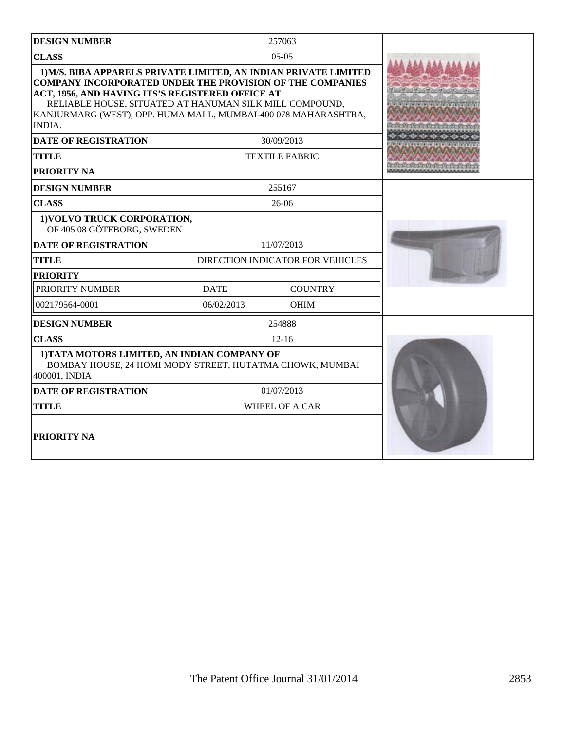| <b>DESIGN NUMBER</b>                                                                                                                                                                                                                                                                                                                   |                                  | 257063<br>$05-05$     |  |
|----------------------------------------------------------------------------------------------------------------------------------------------------------------------------------------------------------------------------------------------------------------------------------------------------------------------------------------|----------------------------------|-----------------------|--|
| <b>CLASS</b>                                                                                                                                                                                                                                                                                                                           |                                  |                       |  |
| 1) M/S. BIBA APPARELS PRIVATE LIMITED, AN INDIAN PRIVATE LIMITED<br><b>COMPANY INCORPORATED UNDER THE PROVISION OF THE COMPANIES</b><br>ACT, 1956, AND HAVING ITS'S REGISTERED OFFICE AT<br>RELIABLE HOUSE, SITUATED AT HANUMAN SILK MILL COMPOUND,<br>KANJURMARG (WEST), OPP. HUMA MALL, MUMBAI-400 078 MAHARASHTRA,<br><b>INDIA.</b> |                                  |                       |  |
| <b>DATE OF REGISTRATION</b>                                                                                                                                                                                                                                                                                                            |                                  | 30/09/2013            |  |
| <b>TITLE</b>                                                                                                                                                                                                                                                                                                                           |                                  | <b>TEXTILE FABRIC</b> |  |
| <b>PRIORITY NA</b>                                                                                                                                                                                                                                                                                                                     |                                  |                       |  |
| <b>DESIGN NUMBER</b>                                                                                                                                                                                                                                                                                                                   |                                  | 255167                |  |
| <b>CLASS</b>                                                                                                                                                                                                                                                                                                                           |                                  | 26-06                 |  |
| 1) VOLVO TRUCK CORPORATION,<br>OF 405 08 GÖTEBORG, SWEDEN                                                                                                                                                                                                                                                                              |                                  |                       |  |
| <b>DATE OF REGISTRATION</b>                                                                                                                                                                                                                                                                                                            | 11/07/2013                       |                       |  |
| <b>TITLE</b>                                                                                                                                                                                                                                                                                                                           | DIRECTION INDICATOR FOR VEHICLES |                       |  |
| <b>PRIORITY</b>                                                                                                                                                                                                                                                                                                                        |                                  |                       |  |
| PRIORITY NUMBER                                                                                                                                                                                                                                                                                                                        | <b>DATE</b><br><b>COUNTRY</b>    |                       |  |
| 002179564-0001                                                                                                                                                                                                                                                                                                                         | <b>OHIM</b><br>06/02/2013        |                       |  |
| <b>DESIGN NUMBER</b>                                                                                                                                                                                                                                                                                                                   |                                  | 254888                |  |
| <b>CLASS</b>                                                                                                                                                                                                                                                                                                                           |                                  | $12 - 16$             |  |
| 1) TATA MOTORS LIMITED, AN INDIAN COMPANY OF<br>BOMBAY HOUSE, 24 HOMI MODY STREET, HUTATMA CHOWK, MUMBAI<br>400001, INDIA                                                                                                                                                                                                              |                                  |                       |  |
| <b>DATE OF REGISTRATION</b>                                                                                                                                                                                                                                                                                                            | 01/07/2013                       |                       |  |
| <b>TITLE</b>                                                                                                                                                                                                                                                                                                                           | <b>WHEEL OF A CAR</b>            |                       |  |
| <b>PRIORITY NA</b>                                                                                                                                                                                                                                                                                                                     |                                  |                       |  |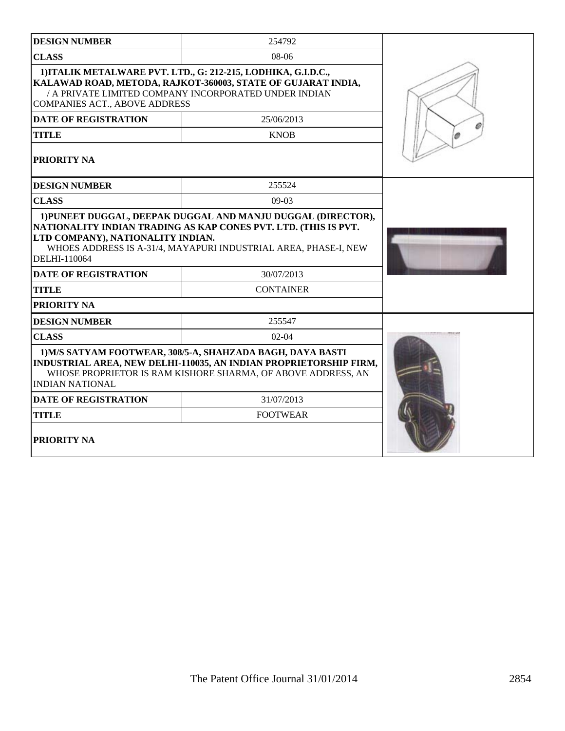| <b>DESIGN NUMBER</b>                                                             | 254792                                                                                                                                                                                          |  |
|----------------------------------------------------------------------------------|-------------------------------------------------------------------------------------------------------------------------------------------------------------------------------------------------|--|
| <b>CLASS</b>                                                                     | 08-06                                                                                                                                                                                           |  |
| <b>COMPANIES ACT., ABOVE ADDRESS</b>                                             | 1) ITALIK METALWARE PVT. LTD., G: 212-215, LODHIKA, G.I.D.C.,<br>KALAWAD ROAD, METODA, RAJKOT-360003, STATE OF GUJARAT INDIA,<br>/ A PRIVATE LIMITED COMPANY INCORPORATED UNDER INDIAN          |  |
| <b>DATE OF REGISTRATION</b>                                                      | 25/06/2013                                                                                                                                                                                      |  |
| <b>TITLE</b>                                                                     | <b>KNOB</b>                                                                                                                                                                                     |  |
| <b>PRIORITY NA</b>                                                               |                                                                                                                                                                                                 |  |
| <b>DESIGN NUMBER</b>                                                             | 255524                                                                                                                                                                                          |  |
| <b>CLASS</b>                                                                     | $09-03$                                                                                                                                                                                         |  |
| LTD COMPANY), NATIONALITY INDIAN.<br>DELHI-110064<br><b>DATE OF REGISTRATION</b> | NATIONALITY INDIAN TRADING AS KAP CONES PVT. LTD. (THIS IS PVT.<br>WHOES ADDRESS IS A-31/4, MAYAPURI INDUSTRIAL AREA, PHASE-I, NEW<br>30/07/2013                                                |  |
| <b>TITLE</b>                                                                     | <b>CONTAINER</b>                                                                                                                                                                                |  |
| PRIORITY NA                                                                      |                                                                                                                                                                                                 |  |
| <b>DESIGN NUMBER</b>                                                             | 255547                                                                                                                                                                                          |  |
| <b>CLASS</b>                                                                     | $02-04$                                                                                                                                                                                         |  |
| <b>INDIAN NATIONAL</b>                                                           | 1) M/S SATYAM FOOTWEAR, 308/5-A, SHAHZADA BAGH, DAYA BASTI<br>INDUSTRIAL AREA, NEW DELHI-110035, AN INDIAN PROPRIETORSHIP FIRM,<br>WHOSE PROPRIETOR IS RAM KISHORE SHARMA, OF ABOVE ADDRESS, AN |  |
| <b>DATE OF REGISTRATION</b>                                                      | 31/07/2013                                                                                                                                                                                      |  |
| <b>TITLE</b>                                                                     | <b>FOOTWEAR</b>                                                                                                                                                                                 |  |
| PRIORITY NA                                                                      |                                                                                                                                                                                                 |  |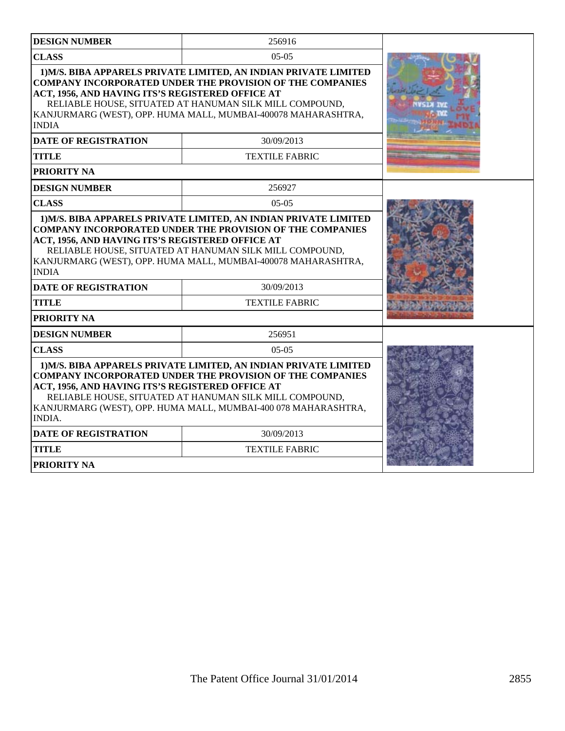| <b>DESIGN NUMBER</b>                                                                                                                                                                                                                                                                                                                   | 256916                                                                                                                                                                                                                                                           |  |
|----------------------------------------------------------------------------------------------------------------------------------------------------------------------------------------------------------------------------------------------------------------------------------------------------------------------------------------|------------------------------------------------------------------------------------------------------------------------------------------------------------------------------------------------------------------------------------------------------------------|--|
| <b>CLASS</b>                                                                                                                                                                                                                                                                                                                           |                                                                                                                                                                                                                                                                  |  |
| ACT, 1956, AND HAVING ITS'S REGISTERED OFFICE AT<br><b>INDIA</b>                                                                                                                                                                                                                                                                       | 1) M/S. BIBA APPARELS PRIVATE LIMITED, AN INDIAN PRIVATE LIMITED<br><b>COMPANY INCORPORATED UNDER THE PROVISION OF THE COMPANIES</b><br>RELIABLE HOUSE, SITUATED AT HANUMAN SILK MILL COMPOUND,<br>KANJURMARG (WEST), OPP. HUMA MALL, MUMBAI-400078 MAHARASHTRA, |  |
| <b>DATE OF REGISTRATION</b>                                                                                                                                                                                                                                                                                                            | 30/09/2013                                                                                                                                                                                                                                                       |  |
| <b>TITLE</b>                                                                                                                                                                                                                                                                                                                           | <b>TEXTILE FABRIC</b>                                                                                                                                                                                                                                            |  |
| PRIORITY NA                                                                                                                                                                                                                                                                                                                            |                                                                                                                                                                                                                                                                  |  |
| <b>DESIGN NUMBER</b>                                                                                                                                                                                                                                                                                                                   | 256927                                                                                                                                                                                                                                                           |  |
| <b>CLASS</b>                                                                                                                                                                                                                                                                                                                           | $05-05$                                                                                                                                                                                                                                                          |  |
| <b>COMPANY INCORPORATED UNDER THE PROVISION OF THE COMPANIES</b><br>ACT, 1956, AND HAVING ITS'S REGISTERED OFFICE AT<br>RELIABLE HOUSE, SITUATED AT HANUMAN SILK MILL COMPOUND,<br>KANJURMARG (WEST), OPP. HUMA MALL, MUMBAI-400078 MAHARASHTRA,<br><b>INDIA</b>                                                                       |                                                                                                                                                                                                                                                                  |  |
| <b>DATE OF REGISTRATION</b>                                                                                                                                                                                                                                                                                                            | 30/09/2013                                                                                                                                                                                                                                                       |  |
| <b>TITLE</b>                                                                                                                                                                                                                                                                                                                           | <b>TEXTILE FABRIC</b>                                                                                                                                                                                                                                            |  |
| PRIORITY NA                                                                                                                                                                                                                                                                                                                            |                                                                                                                                                                                                                                                                  |  |
| <b>DESIGN NUMBER</b>                                                                                                                                                                                                                                                                                                                   | 256951                                                                                                                                                                                                                                                           |  |
| <b>CLASS</b><br>$05-05$                                                                                                                                                                                                                                                                                                                |                                                                                                                                                                                                                                                                  |  |
| 1) M/S. BIBA APPARELS PRIVATE LIMITED, AN INDIAN PRIVATE LIMITED<br><b>COMPANY INCORPORATED UNDER THE PROVISION OF THE COMPANIES</b><br>ACT, 1956, AND HAVING ITS'S REGISTERED OFFICE AT<br>RELIABLE HOUSE, SITUATED AT HANUMAN SILK MILL COMPOUND,<br>KANJURMARG (WEST), OPP. HUMA MALL, MUMBAI-400 078 MAHARASHTRA,<br><b>INDIA.</b> |                                                                                                                                                                                                                                                                  |  |
| <b>DATE OF REGISTRATION</b>                                                                                                                                                                                                                                                                                                            | 30/09/2013                                                                                                                                                                                                                                                       |  |
| <b>TITLE</b>                                                                                                                                                                                                                                                                                                                           | <b>TEXTILE FABRIC</b>                                                                                                                                                                                                                                            |  |
| <b>PRIORITY NA</b>                                                                                                                                                                                                                                                                                                                     |                                                                                                                                                                                                                                                                  |  |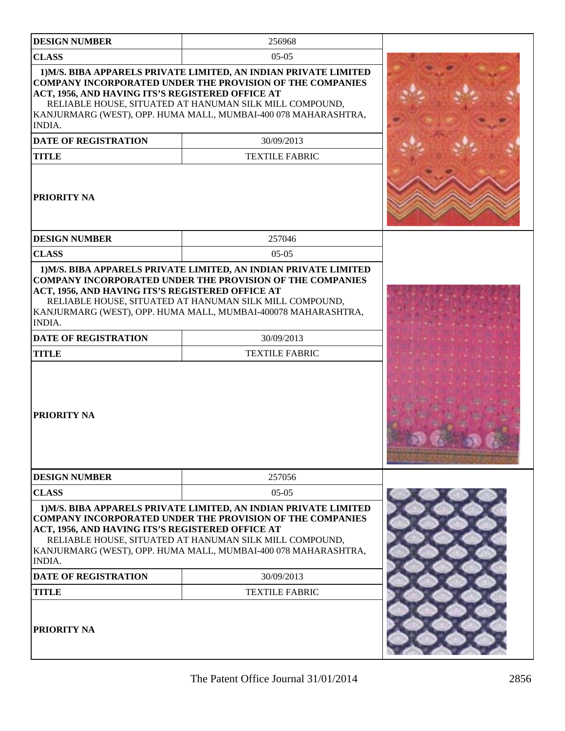| <b>DESIGN NUMBER</b>                                                                                                                   | 256968                                                                                                                                                                                                                                                                                                   |         |
|----------------------------------------------------------------------------------------------------------------------------------------|----------------------------------------------------------------------------------------------------------------------------------------------------------------------------------------------------------------------------------------------------------------------------------------------------------|---------|
| <b>CLASS</b>                                                                                                                           | $05-05$                                                                                                                                                                                                                                                                                                  |         |
| ACT, 1956, AND HAVING ITS'S REGISTERED OFFICE AT<br><b>INDIA.</b><br><b>DATE OF REGISTRATION</b><br><b>TITLE</b><br><b>PRIORITY NA</b> | 1) M/S. BIBA APPARELS PRIVATE LIMITED, AN INDIAN PRIVATE LIMITED<br><b>COMPANY INCORPORATED UNDER THE PROVISION OF THE COMPANIES</b><br>RELIABLE HOUSE, SITUATED AT HANUMAN SILK MILL COMPOUND,<br>KANJURMARG (WEST), OPP. HUMA MALL, MUMBAI-400 078 MAHARASHTRA,<br>30/09/2013<br><b>TEXTILE FABRIC</b> |         |
| <b>DESIGN NUMBER</b>                                                                                                                   | 257046                                                                                                                                                                                                                                                                                                   |         |
| <b>CLASS</b>                                                                                                                           | $05-05$                                                                                                                                                                                                                                                                                                  |         |
| <b>INDIA.</b><br><b>DATE OF REGISTRATION</b><br><b>TITLE</b><br><b>PRIORITY NA</b>                                                     | RELIABLE HOUSE, SITUATED AT HANUMAN SILK MILL COMPOUND,<br>KANJURMARG (WEST), OPP. HUMA MALL, MUMBAI-400078 MAHARASHTRA,<br>30/09/2013<br><b>TEXTILE FABRIC</b>                                                                                                                                          | 16. G C |
| <b>DESIGN NUMBER</b>                                                                                                                   | 257056                                                                                                                                                                                                                                                                                                   |         |
| <b>CLASS</b>                                                                                                                           | $05-05$                                                                                                                                                                                                                                                                                                  |         |
| ACT, 1956, AND HAVING ITS'S REGISTERED OFFICE AT<br><b>INDIA.</b><br><b>DATE OF REGISTRATION</b><br><b>TITLE</b>                       | 1) M/S. BIBA APPARELS PRIVATE LIMITED, AN INDIAN PRIVATE LIMITED<br><b>COMPANY INCORPORATED UNDER THE PROVISION OF THE COMPANIES</b><br>RELIABLE HOUSE, SITUATED AT HANUMAN SILK MILL COMPOUND,<br>KANJURMARG (WEST), OPP. HUMA MALL, MUMBAI-400 078 MAHARASHTRA,<br>30/09/2013<br><b>TEXTILE FABRIC</b> |         |
| <b>PRIORITY NA</b>                                                                                                                     |                                                                                                                                                                                                                                                                                                          |         |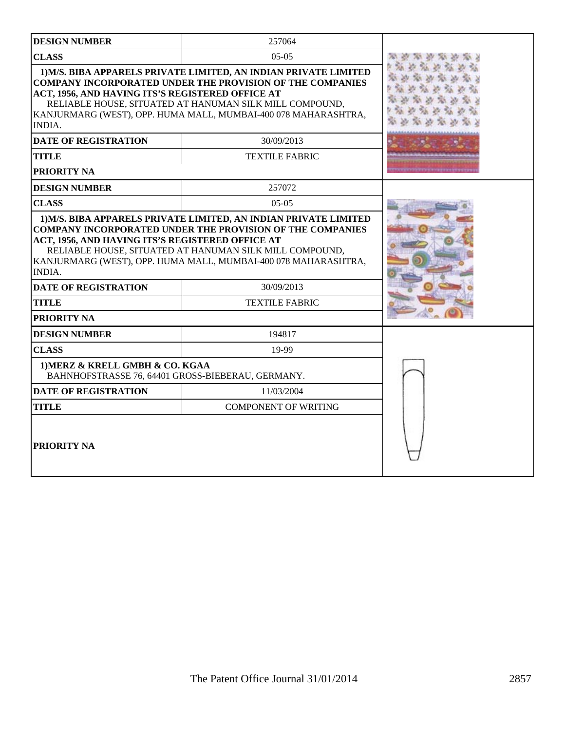| <b>DESIGN NUMBER</b>                                                                                                                                                                                                                                                                                                                                           | 257064                              |  |
|----------------------------------------------------------------------------------------------------------------------------------------------------------------------------------------------------------------------------------------------------------------------------------------------------------------------------------------------------------------|-------------------------------------|--|
| <b>CLASS</b>                                                                                                                                                                                                                                                                                                                                                   | $0.5 - 0.5$                         |  |
| 1) M/S. BIBA APPARELS PRIVATE LIMITED, AN INDIAN PRIVATE LIMITED<br><b>COMPANY INCORPORATED UNDER THE PROVISION OF THE COMPANIES</b><br>ACT, 1956, AND HAVING ITS'S REGISTERED OFFICE AT<br>RELIABLE HOUSE, SITUATED AT HANUMAN SILK MILL COMPOUND,<br>KANJURMARG (WEST), OPP. HUMA MALL, MUMBAI-400 078 MAHARASHTRA,<br><b>INDIA.</b>                         |                                     |  |
| <b>DATE OF REGISTRATION</b>                                                                                                                                                                                                                                                                                                                                    | 30/09/2013                          |  |
| <b>TITLE</b>                                                                                                                                                                                                                                                                                                                                                   | <b>TEXTILE FABRIC</b>               |  |
| <b>PRIORITY NA</b>                                                                                                                                                                                                                                                                                                                                             |                                     |  |
| <b>DESIGN NUMBER</b>                                                                                                                                                                                                                                                                                                                                           | 257072                              |  |
| <b>CLASS</b>                                                                                                                                                                                                                                                                                                                                                   | $0.5 - 0.5$                         |  |
| 1) M/S. BIBA APPARELS PRIVATE LIMITED, AN INDIAN PRIVATE LIMITED<br><b>COMPANY INCORPORATED UNDER THE PROVISION OF THE COMPANIES</b><br>ACT, 1956, AND HAVING ITS'S REGISTERED OFFICE AT<br>RELIABLE HOUSE, SITUATED AT HANUMAN SILK MILL COMPOUND,<br>KANJURMARG (WEST), OPP. HUMA MALL, MUMBAI-400 078 MAHARASHTRA,<br>INDIA.<br><b>DATE OF REGISTRATION</b> |                                     |  |
| <b>TITLE</b>                                                                                                                                                                                                                                                                                                                                                   | 30/09/2013<br><b>TEXTILE FABRIC</b> |  |
| PRIORITY NA                                                                                                                                                                                                                                                                                                                                                    |                                     |  |
| <b>DESIGN NUMBER</b>                                                                                                                                                                                                                                                                                                                                           | 194817                              |  |
| <b>CLASS</b>                                                                                                                                                                                                                                                                                                                                                   | 19-99                               |  |
| 1) MERZ & KRELL GMBH & CO. KGAA<br>BAHNHOFSTRASSE 76, 64401 GROSS-BIEBERAU, GERMANY.                                                                                                                                                                                                                                                                           |                                     |  |
| <b>DATE OF REGISTRATION</b>                                                                                                                                                                                                                                                                                                                                    | 11/03/2004                          |  |
| <b>TITLE</b>                                                                                                                                                                                                                                                                                                                                                   |                                     |  |
| <b>PRIORITY NA</b>                                                                                                                                                                                                                                                                                                                                             |                                     |  |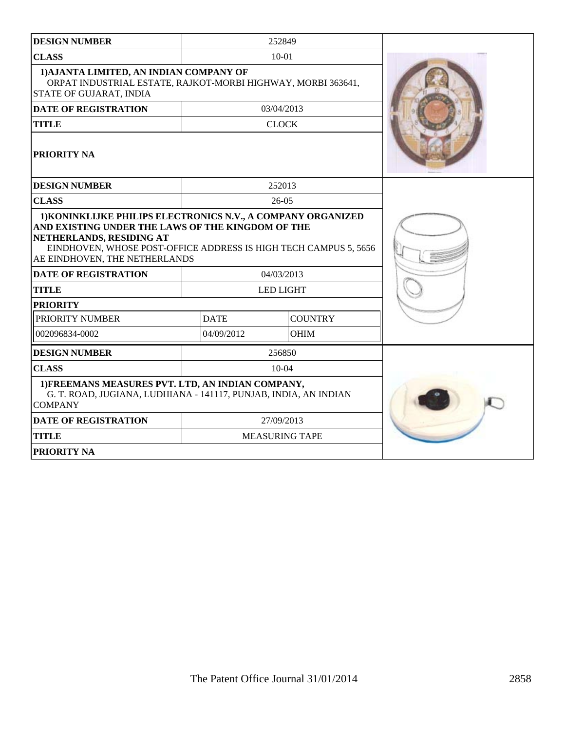| <b>DESIGN NUMBER</b>                                                                                                                                                                                                                               |                           | 252849                |  |
|----------------------------------------------------------------------------------------------------------------------------------------------------------------------------------------------------------------------------------------------------|---------------------------|-----------------------|--|
| <b>CLASS</b>                                                                                                                                                                                                                                       | $10 - 01$                 |                       |  |
| 1) AJANTA LIMITED, AN INDIAN COMPANY OF<br>ORPAT INDUSTRIAL ESTATE, RAJKOT-MORBI HIGHWAY, MORBI 363641,<br>STATE OF GUJARAT, INDIA                                                                                                                 |                           |                       |  |
| <b>DATE OF REGISTRATION</b>                                                                                                                                                                                                                        |                           | 03/04/2013            |  |
| <b>TITLE</b>                                                                                                                                                                                                                                       |                           | <b>CLOCK</b>          |  |
| PRIORITY NA                                                                                                                                                                                                                                        |                           |                       |  |
| <b>DESIGN NUMBER</b>                                                                                                                                                                                                                               |                           | 252013                |  |
| <b>CLASS</b>                                                                                                                                                                                                                                       |                           | $26-05$               |  |
| 1) KONINKLIJKE PHILIPS ELECTRONICS N.V., A COMPANY ORGANIZED<br>AND EXISTING UNDER THE LAWS OF THE KINGDOM OF THE<br>NETHERLANDS, RESIDING AT<br>EINDHOVEN, WHOSE POST-OFFICE ADDRESS IS HIGH TECH CAMPUS 5, 5656<br>AE EINDHOVEN, THE NETHERLANDS |                           |                       |  |
| <b>DATE OF REGISTRATION</b>                                                                                                                                                                                                                        | 04/03/2013                |                       |  |
| <b>TITLE</b>                                                                                                                                                                                                                                       | <b>LED LIGHT</b>          |                       |  |
| <b>PRIORITY</b>                                                                                                                                                                                                                                    |                           |                       |  |
| PRIORITY NUMBER                                                                                                                                                                                                                                    | <b>DATE</b>               | <b>COUNTRY</b>        |  |
| 002096834-0002                                                                                                                                                                                                                                     | 04/09/2012<br><b>OHIM</b> |                       |  |
| <b>DESIGN NUMBER</b>                                                                                                                                                                                                                               |                           | 256850                |  |
| <b>CLASS</b>                                                                                                                                                                                                                                       |                           | $10-04$               |  |
| 1) FREEMANS MEASURES PVT. LTD, AN INDIAN COMPANY,<br>G. T. ROAD, JUGIANA, LUDHIANA - 141117, PUNJAB, INDIA, AN INDIAN<br><b>COMPANY</b>                                                                                                            |                           |                       |  |
| <b>DATE OF REGISTRATION</b>                                                                                                                                                                                                                        | 27/09/2013                |                       |  |
| <b>TITLE</b>                                                                                                                                                                                                                                       |                           | <b>MEASURING TAPE</b> |  |
| <b>PRIORITY NA</b>                                                                                                                                                                                                                                 |                           |                       |  |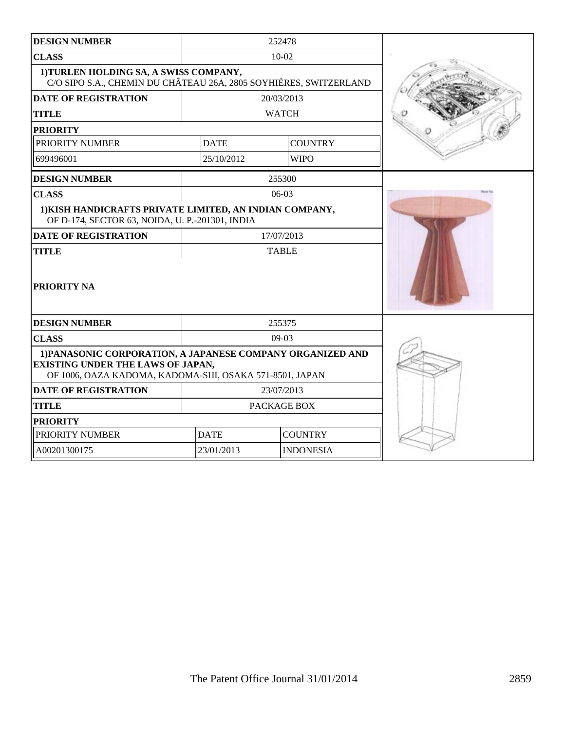| <b>DESIGN NUMBER</b>                                                                                                                                              |                                | 252478         |  |
|-------------------------------------------------------------------------------------------------------------------------------------------------------------------|--------------------------------|----------------|--|
| <b>CLASS</b>                                                                                                                                                      |                                | $10 - 02$      |  |
| 1) TURLEN HOLDING SA, A SWISS COMPANY,<br>C/O SIPO S.A., CHEMIN DU CHÂTEAU 26A, 2805 SOYHIÈRES, SWITZERLAND                                                       |                                |                |  |
| <b>DATE OF REGISTRATION</b>                                                                                                                                       |                                | 20/03/2013     |  |
| <b>TITLE</b>                                                                                                                                                      |                                | <b>WATCH</b>   |  |
| <b>PRIORITY</b>                                                                                                                                                   |                                |                |  |
| PRIORITY NUMBER                                                                                                                                                   | <b>DATE</b>                    | <b>COUNTRY</b> |  |
| 699496001                                                                                                                                                         | 25/10/2012                     | <b>WIPO</b>    |  |
| <b>DESIGN NUMBER</b>                                                                                                                                              |                                | 255300         |  |
| <b>CLASS</b>                                                                                                                                                      |                                | $06-03$        |  |
| 1) KISH HANDICRAFTS PRIVATE LIMITED, AN INDIAN COMPANY,<br>OF D-174, SECTOR 63, NOIDA, U. P.-201301, INDIA                                                        |                                |                |  |
| <b>DATE OF REGISTRATION</b>                                                                                                                                       | 17/07/2013                     |                |  |
| <b>TITLE</b>                                                                                                                                                      | <b>TABLE</b>                   |                |  |
| <b>PRIORITY NA</b>                                                                                                                                                |                                |                |  |
| <b>DESIGN NUMBER</b>                                                                                                                                              |                                | 255375         |  |
| <b>CLASS</b>                                                                                                                                                      |                                | $09-03$        |  |
| 1) PANASONIC CORPORATION, A JAPANESE COMPANY ORGANIZED AND<br><b>EXISTING UNDER THE LAWS OF JAPAN,</b><br>OF 1006, OAZA KADOMA, KADOMA-SHI, OSAKA 571-8501, JAPAN |                                |                |  |
| <b>DATE OF REGISTRATION</b>                                                                                                                                       | 23/07/2013                     |                |  |
| <b>TITLE</b>                                                                                                                                                      | PACKAGE BOX                    |                |  |
| <b>PRIORITY</b>                                                                                                                                                   |                                |                |  |
| PRIORITY NUMBER                                                                                                                                                   | <b>COUNTRY</b><br><b>DATE</b>  |                |  |
| A00201300175                                                                                                                                                      | 23/01/2013<br><b>INDONESIA</b> |                |  |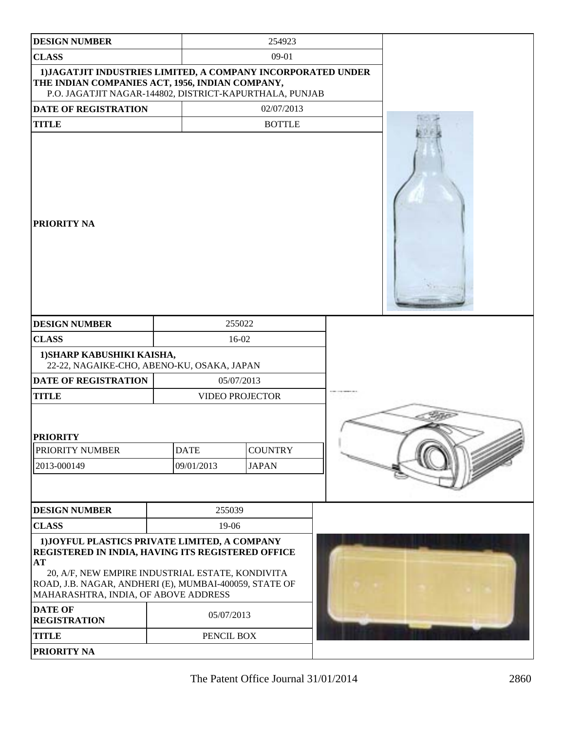| <b>DESIGN NUMBER</b>                                                                                                                                                                                                                                                             |             | 254923                 |                                                                                                                                                                                                                                      |  |
|----------------------------------------------------------------------------------------------------------------------------------------------------------------------------------------------------------------------------------------------------------------------------------|-------------|------------------------|--------------------------------------------------------------------------------------------------------------------------------------------------------------------------------------------------------------------------------------|--|
| <b>CLASS</b>                                                                                                                                                                                                                                                                     |             | $09-01$                |                                                                                                                                                                                                                                      |  |
| 1) JAGATJIT INDUSTRIES LIMITED, A COMPANY INCORPORATED UNDER<br>THE INDIAN COMPANIES ACT, 1956, INDIAN COMPANY,<br>P.O. JAGATJIT NAGAR-144802, DISTRICT-KAPURTHALA, PUNJAB                                                                                                       |             |                        |                                                                                                                                                                                                                                      |  |
| DATE OF REGISTRATION                                                                                                                                                                                                                                                             |             | 02/07/2013             |                                                                                                                                                                                                                                      |  |
| <b>TITLE</b>                                                                                                                                                                                                                                                                     |             | <b>BOTTLE</b>          |                                                                                                                                                                                                                                      |  |
| <b>PRIORITY NA</b>                                                                                                                                                                                                                                                               |             |                        |                                                                                                                                                                                                                                      |  |
| <b>DESIGN NUMBER</b>                                                                                                                                                                                                                                                             |             | 255022                 |                                                                                                                                                                                                                                      |  |
| <b>CLASS</b>                                                                                                                                                                                                                                                                     |             | 16-02                  |                                                                                                                                                                                                                                      |  |
| 1) SHARP KABUSHIKI KAISHA,<br>22-22, NAGAIKE-CHO, ABENO-KU, OSAKA, JAPAN                                                                                                                                                                                                         |             |                        |                                                                                                                                                                                                                                      |  |
| DATE OF REGISTRATION                                                                                                                                                                                                                                                             |             | 05/07/2013             |                                                                                                                                                                                                                                      |  |
| <b>TITLE</b>                                                                                                                                                                                                                                                                     |             | <b>VIDEO PROJECTOR</b> |                                                                                                                                                                                                                                      |  |
| <b>PRIORITY</b>                                                                                                                                                                                                                                                                  |             |                        |                                                                                                                                                                                                                                      |  |
| PRIORITY NUMBER                                                                                                                                                                                                                                                                  | <b>DATE</b> | <b>COUNTRY</b>         |                                                                                                                                                                                                                                      |  |
| 2013-000149                                                                                                                                                                                                                                                                      | 09/01/2013  | <b>JAPAN</b>           | <b>Constitution of the Constitution of the Constitution of the Constitution of the Constitution of the Constitution of the Constitution of the Constitution of the Constitution of the Constitution of the Constitution of the C</b> |  |
|                                                                                                                                                                                                                                                                                  |             |                        |                                                                                                                                                                                                                                      |  |
| <b>DESIGN NUMBER</b>                                                                                                                                                                                                                                                             | 255039      |                        |                                                                                                                                                                                                                                      |  |
| <b>CLASS</b>                                                                                                                                                                                                                                                                     | 19-06       |                        |                                                                                                                                                                                                                                      |  |
| 1) JOYFUL PLASTICS PRIVATE LIMITED, A COMPANY<br>REGISTERED IN INDIA, HAVING ITS REGISTERED OFFICE<br>AT<br>20, A/F, NEW EMPIRE INDUSTRIAL ESTATE, KONDIVITA<br>ROAD, J.B. NAGAR, ANDHERI (E), MUMBAI-400059, STATE OF<br>MAHARASHTRA, INDIA, OF ABOVE ADDRESS<br><b>DATE OF</b> |             |                        |                                                                                                                                                                                                                                      |  |
| <b>REGISTRATION</b>                                                                                                                                                                                                                                                              | 05/07/2013  |                        |                                                                                                                                                                                                                                      |  |
| <b>TITLE</b>                                                                                                                                                                                                                                                                     | PENCIL BOX  |                        |                                                                                                                                                                                                                                      |  |
| PRIORITY NA                                                                                                                                                                                                                                                                      |             |                        |                                                                                                                                                                                                                                      |  |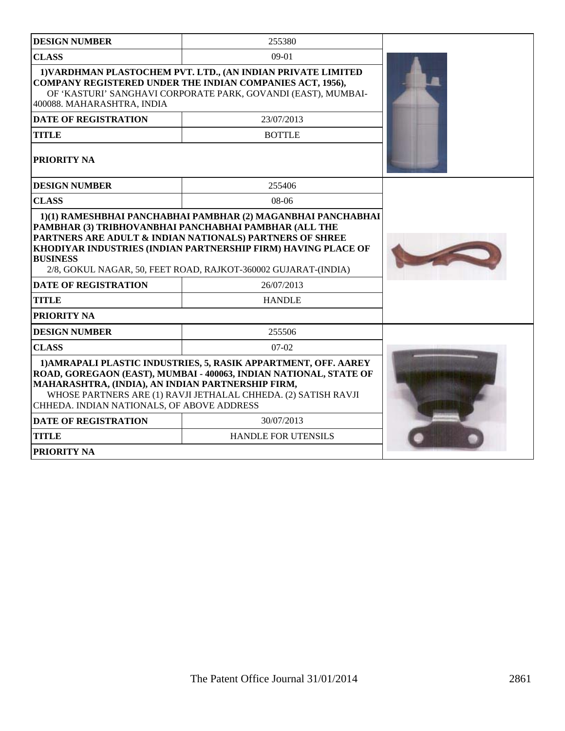| <b>DESIGN NUMBER</b>                                                                                                                                                                                                                                                                                      | 255380                                                                                                                                                                                                                                               |  |
|-----------------------------------------------------------------------------------------------------------------------------------------------------------------------------------------------------------------------------------------------------------------------------------------------------------|------------------------------------------------------------------------------------------------------------------------------------------------------------------------------------------------------------------------------------------------------|--|
| <b>CLASS</b>                                                                                                                                                                                                                                                                                              | $09-01$                                                                                                                                                                                                                                              |  |
| 400088. MAHARASHTRA, INDIA                                                                                                                                                                                                                                                                                | 1) VARDHMAN PLASTOCHEM PVT. LTD., (AN INDIAN PRIVATE LIMITED<br><b>COMPANY REGISTERED UNDER THE INDIAN COMPANIES ACT, 1956),</b><br>OF 'KASTURI' SANGHAVI CORPORATE PARK, GOVANDI (EAST), MUMBAI-                                                    |  |
| <b>DATE OF REGISTRATION</b>                                                                                                                                                                                                                                                                               | 23/07/2013                                                                                                                                                                                                                                           |  |
| TITLE                                                                                                                                                                                                                                                                                                     | <b>BOTTLE</b>                                                                                                                                                                                                                                        |  |
| PRIORITY NA                                                                                                                                                                                                                                                                                               |                                                                                                                                                                                                                                                      |  |
| <b>DESIGN NUMBER</b>                                                                                                                                                                                                                                                                                      | 255406                                                                                                                                                                                                                                               |  |
| <b>CLASS</b>                                                                                                                                                                                                                                                                                              | 08-06                                                                                                                                                                                                                                                |  |
| <b>BUSINESS</b>                                                                                                                                                                                                                                                                                           | PAMBHAR (3) TRIBHOVANBHAI PANCHABHAI PAMBHAR (ALL THE<br>PARTNERS ARE ADULT & INDIAN NATIONALS) PARTNERS OF SHREE<br>KHODIYAR INDUSTRIES (INDIAN PARTNERSHIP FIRM) HAVING PLACE OF<br>2/8, GOKUL NAGAR, 50, FEET ROAD, RAJKOT-360002 GUJARAT-(INDIA) |  |
| <b>DATE OF REGISTRATION</b>                                                                                                                                                                                                                                                                               | 26/07/2013                                                                                                                                                                                                                                           |  |
| <b>TITLE</b>                                                                                                                                                                                                                                                                                              | <b>HANDLE</b>                                                                                                                                                                                                                                        |  |
| <b>PRIORITY NA</b>                                                                                                                                                                                                                                                                                        |                                                                                                                                                                                                                                                      |  |
| <b>DESIGN NUMBER</b>                                                                                                                                                                                                                                                                                      | 255506                                                                                                                                                                                                                                               |  |
| <b>CLASS</b>                                                                                                                                                                                                                                                                                              | $07-02$                                                                                                                                                                                                                                              |  |
| 1) AMRAPALI PLASTIC INDUSTRIES, 5, RASIK APPARTMENT, OFF. AAREY<br>ROAD, GOREGAON (EAST), MUMBAI - 400063, INDIAN NATIONAL, STATE OF<br>MAHARASHTRA, (INDIA), AN INDIAN PARTNERSHIP FIRM,<br>WHOSE PARTNERS ARE (1) RAVJI JETHALAL CHHEDA. (2) SATISH RAVJI<br>CHHEDA. INDIAN NATIONALS, OF ABOVE ADDRESS |                                                                                                                                                                                                                                                      |  |
| <b>DATE OF REGISTRATION</b>                                                                                                                                                                                                                                                                               | 30/07/2013                                                                                                                                                                                                                                           |  |
| <b>TITLE</b>                                                                                                                                                                                                                                                                                              | <b>HANDLE FOR UTENSILS</b>                                                                                                                                                                                                                           |  |
| PRIORITY NA                                                                                                                                                                                                                                                                                               |                                                                                                                                                                                                                                                      |  |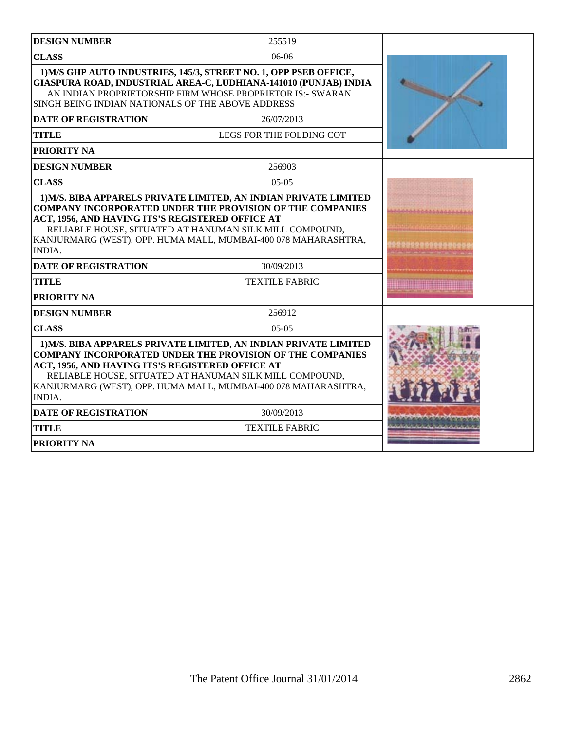| <b>DESIGN NUMBER</b>                                              | 255519                                                                                                                                                                                                                                                            |             |
|-------------------------------------------------------------------|-------------------------------------------------------------------------------------------------------------------------------------------------------------------------------------------------------------------------------------------------------------------|-------------|
| <b>CLASS</b>                                                      | $06-06$                                                                                                                                                                                                                                                           |             |
| SINGH BEING INDIAN NATIONALS OF THE ABOVE ADDRESS                 | 1) M/S GHP AUTO INDUSTRIES, 145/3, STREET NO. 1, OPP PSEB OFFICE,<br>GIASPURA ROAD, INDUSTRIAL AREA-C, LUDHIANA-141010 (PUNJAB) INDIA<br>AN INDIAN PROPRIETORSHIP FIRM WHOSE PROPRIETOR IS:- SWARAN                                                               |             |
| <b>DATE OF REGISTRATION</b>                                       | 26/07/2013                                                                                                                                                                                                                                                        |             |
| <b>TITLE</b>                                                      | LEGS FOR THE FOLDING COT                                                                                                                                                                                                                                          |             |
| PRIORITY NA                                                       |                                                                                                                                                                                                                                                                   |             |
| <b>DESIGN NUMBER</b>                                              | 256903                                                                                                                                                                                                                                                            |             |
| <b>CLASS</b>                                                      | $05-05$                                                                                                                                                                                                                                                           |             |
| ACT, 1956, AND HAVING ITS'S REGISTERED OFFICE AT<br><b>INDIA.</b> | <b>COMPANY INCORPORATED UNDER THE PROVISION OF THE COMPANIES</b><br>RELIABLE HOUSE, SITUATED AT HANUMAN SILK MILL COMPOUND,<br>KANJURMARG (WEST), OPP. HUMA MALL, MUMBAI-400 078 MAHARASHTRA,                                                                     | *********** |
| <b>DATE OF REGISTRATION</b>                                       | 30/09/2013                                                                                                                                                                                                                                                        |             |
| <b>TITLE</b>                                                      | <b>TEXTILE FABRIC</b>                                                                                                                                                                                                                                             |             |
| <b>PRIORITY NA</b>                                                |                                                                                                                                                                                                                                                                   |             |
| <b>DESIGN NUMBER</b>                                              | 256912                                                                                                                                                                                                                                                            |             |
| <b>CLASS</b>                                                      | $05-05$                                                                                                                                                                                                                                                           |             |
| ACT, 1956, AND HAVING ITS'S REGISTERED OFFICE AT<br><b>INDIA.</b> | 1) M/S. BIBA APPARELS PRIVATE LIMITED, AN INDIAN PRIVATE LIMITED<br><b>COMPANY INCORPORATED UNDER THE PROVISION OF THE COMPANIES</b><br>RELIABLE HOUSE, SITUATED AT HANUMAN SILK MILL COMPOUND,<br>KANJURMARG (WEST), OPP. HUMA MALL, MUMBAI-400 078 MAHARASHTRA, |             |
| <b>DATE OF REGISTRATION</b>                                       | 30/09/2013                                                                                                                                                                                                                                                        |             |
| <b>TITLE</b>                                                      | <b>TEXTILE FABRIC</b>                                                                                                                                                                                                                                             |             |
| PRIORITY NA                                                       |                                                                                                                                                                                                                                                                   |             |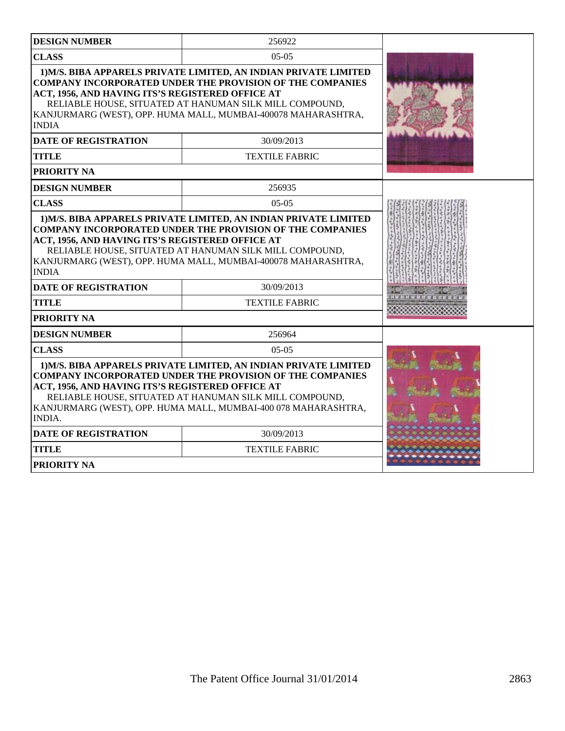| <b>DESIGN NUMBER</b>                                                                                                                                                                                                                                                                                                                   | 256922                                                                                                                                                                                                                                                           |  |
|----------------------------------------------------------------------------------------------------------------------------------------------------------------------------------------------------------------------------------------------------------------------------------------------------------------------------------------|------------------------------------------------------------------------------------------------------------------------------------------------------------------------------------------------------------------------------------------------------------------|--|
| <b>CLASS</b>                                                                                                                                                                                                                                                                                                                           | $05-05$                                                                                                                                                                                                                                                          |  |
| ACT, 1956, AND HAVING ITS'S REGISTERED OFFICE AT<br><b>INDIA</b>                                                                                                                                                                                                                                                                       | 1) M/S. BIBA APPARELS PRIVATE LIMITED, AN INDIAN PRIVATE LIMITED<br><b>COMPANY INCORPORATED UNDER THE PROVISION OF THE COMPANIES</b><br>RELIABLE HOUSE, SITUATED AT HANUMAN SILK MILL COMPOUND,<br>KANJURMARG (WEST), OPP. HUMA MALL, MUMBAI-400078 MAHARASHTRA, |  |
| <b>DATE OF REGISTRATION</b>                                                                                                                                                                                                                                                                                                            | 30/09/2013                                                                                                                                                                                                                                                       |  |
| <b>TITLE</b>                                                                                                                                                                                                                                                                                                                           | <b>TEXTILE FABRIC</b>                                                                                                                                                                                                                                            |  |
| PRIORITY NA                                                                                                                                                                                                                                                                                                                            |                                                                                                                                                                                                                                                                  |  |
| <b>DESIGN NUMBER</b>                                                                                                                                                                                                                                                                                                                   | 256935                                                                                                                                                                                                                                                           |  |
| <b>CLASS</b>                                                                                                                                                                                                                                                                                                                           | $05-05$                                                                                                                                                                                                                                                          |  |
| 1) M/S. BIBA APPARELS PRIVATE LIMITED, AN INDIAN PRIVATE LIMITED<br><b>COMPANY INCORPORATED UNDER THE PROVISION OF THE COMPANIES</b><br>ACT, 1956, AND HAVING ITS'S REGISTERED OFFICE AT<br>RELIABLE HOUSE, SITUATED AT HANUMAN SILK MILL COMPOUND,<br>KANJURMARG (WEST), OPP. HUMA MALL, MUMBAI-400078 MAHARASHTRA,<br><b>INDIA</b>   |                                                                                                                                                                                                                                                                  |  |
| <b>DATE OF REGISTRATION</b>                                                                                                                                                                                                                                                                                                            | 30/09/2013                                                                                                                                                                                                                                                       |  |
| <b>TITLE</b>                                                                                                                                                                                                                                                                                                                           | <b>TEXTILE FABRIC</b>                                                                                                                                                                                                                                            |  |
| PRIORITY NA                                                                                                                                                                                                                                                                                                                            |                                                                                                                                                                                                                                                                  |  |
| <b>DESIGN NUMBER</b>                                                                                                                                                                                                                                                                                                                   | 256964                                                                                                                                                                                                                                                           |  |
| <b>CLASS</b>                                                                                                                                                                                                                                                                                                                           | $05-05$                                                                                                                                                                                                                                                          |  |
| 1) M/S. BIBA APPARELS PRIVATE LIMITED, AN INDIAN PRIVATE LIMITED<br><b>COMPANY INCORPORATED UNDER THE PROVISION OF THE COMPANIES</b><br>ACT, 1956, AND HAVING ITS'S REGISTERED OFFICE AT<br>RELIABLE HOUSE, SITUATED AT HANUMAN SILK MILL COMPOUND,<br>KANJURMARG (WEST), OPP. HUMA MALL, MUMBAI-400 078 MAHARASHTRA,<br><b>INDIA.</b> |                                                                                                                                                                                                                                                                  |  |
| <b>DATE OF REGISTRATION</b>                                                                                                                                                                                                                                                                                                            | 30/09/2013                                                                                                                                                                                                                                                       |  |
| <b>TITLE</b>                                                                                                                                                                                                                                                                                                                           | <b>TEXTILE FABRIC</b>                                                                                                                                                                                                                                            |  |
| <b>PRIORITY NA</b>                                                                                                                                                                                                                                                                                                                     |                                                                                                                                                                                                                                                                  |  |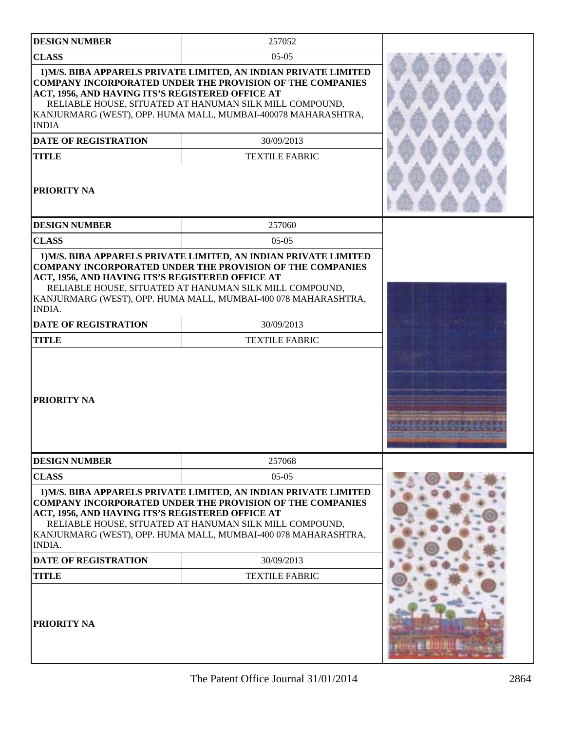| <b>DESIGN NUMBER</b>                                                                                                            | 257052                                                                                                                                                                                                                                                                                                  |          |
|---------------------------------------------------------------------------------------------------------------------------------|---------------------------------------------------------------------------------------------------------------------------------------------------------------------------------------------------------------------------------------------------------------------------------------------------------|----------|
| <b>CLASS</b>                                                                                                                    | $05-05$                                                                                                                                                                                                                                                                                                 |          |
| ACT, 1956, AND HAVING ITS'S REGISTERED OFFICE AT<br><b>INDIA</b><br><b>DATE OF REGISTRATION</b><br><b>TITLE</b><br>PRIORITY NA  | 1) M/S. BIBA APPARELS PRIVATE LIMITED, AN INDIAN PRIVATE LIMITED<br><b>COMPANY INCORPORATED UNDER THE PROVISION OF THE COMPANIES</b><br>RELIABLE HOUSE, SITUATED AT HANUMAN SILK MILL COMPOUND,<br>KANJURMARG (WEST), OPP. HUMA MALL, MUMBAI-400078 MAHARASHTRA,<br>30/09/2013<br><b>TEXTILE FABRIC</b> |          |
| <b>DESIGN NUMBER</b>                                                                                                            | 257060                                                                                                                                                                                                                                                                                                  |          |
| <b>CLASS</b>                                                                                                                    | $05-05$                                                                                                                                                                                                                                                                                                 |          |
| ACT, 1956, AND HAVING ITS'S REGISTERED OFFICE AT<br><b>INDIA.</b><br><b>DATE OF REGISTRATION</b><br><b>TITLE</b><br>PRIORITY NA | RELIABLE HOUSE, SITUATED AT HANUMAN SILK MILL COMPOUND,<br>KANJURMARG (WEST), OPP. HUMA MALL, MUMBAI-400 078 MAHARASHTRA,<br>30/09/2013<br><b>TEXTILE FABRIC</b>                                                                                                                                        |          |
|                                                                                                                                 |                                                                                                                                                                                                                                                                                                         |          |
| <b>DESIGN NUMBER</b>                                                                                                            | 257068                                                                                                                                                                                                                                                                                                  |          |
| <b>CLASS</b>                                                                                                                    | $05-05$                                                                                                                                                                                                                                                                                                 |          |
| ACT, 1956, AND HAVING ITS'S REGISTERED OFFICE AT<br>INDIA.                                                                      | 1) M/S. BIBA APPARELS PRIVATE LIMITED, AN INDIAN PRIVATE LIMITED<br><b>COMPANY INCORPORATED UNDER THE PROVISION OF THE COMPANIES</b><br>RELIABLE HOUSE, SITUATED AT HANUMAN SILK MILL COMPOUND,<br>KANJURMARG (WEST), OPP. HUMA MALL, MUMBAI-400 078 MAHARASHTRA,                                       |          |
| <b>DATE OF REGISTRATION</b>                                                                                                     | 30/09/2013                                                                                                                                                                                                                                                                                              |          |
| <b>TITLE</b>                                                                                                                    | <b>TEXTILE FABRIC</b>                                                                                                                                                                                                                                                                                   |          |
| PRIORITY NA                                                                                                                     |                                                                                                                                                                                                                                                                                                         | rai Emme |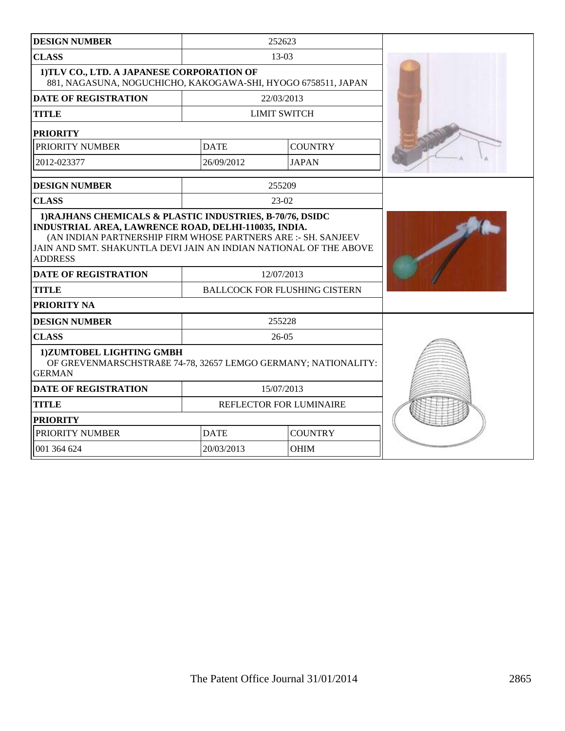| <b>DESIGN NUMBER</b>                                                                                                                                                                                |                                                    | 252623              |  |
|-----------------------------------------------------------------------------------------------------------------------------------------------------------------------------------------------------|----------------------------------------------------|---------------------|--|
| <b>CLASS</b>                                                                                                                                                                                        | 13-03                                              |                     |  |
| 1)TLV CO., LTD. A JAPANESE CORPORATION OF<br>881, NAGASUNA, NOGUCHICHO, KAKOGAWA-SHI, HYOGO 6758511, JAPAN                                                                                          |                                                    |                     |  |
| <b>DATE OF REGISTRATION</b>                                                                                                                                                                         |                                                    | 22/03/2013          |  |
| <b>TITLE</b>                                                                                                                                                                                        |                                                    | <b>LIMIT SWITCH</b> |  |
| <b>PRIORITY</b>                                                                                                                                                                                     |                                                    |                     |  |
| PRIORITY NUMBER                                                                                                                                                                                     | <b>DATE</b>                                        | <b>COUNTRY</b>      |  |
| 2012-023377                                                                                                                                                                                         | 26/09/2012                                         | <b>JAPAN</b>        |  |
| <b>DESIGN NUMBER</b>                                                                                                                                                                                |                                                    | 255209              |  |
| <b>CLASS</b>                                                                                                                                                                                        |                                                    | 23-02               |  |
| (AN INDIAN PARTNERSHIP FIRM WHOSE PARTNERS ARE :- SH. SANJEEV<br>JAIN AND SMT. SHAKUNTLA DEVI JAIN AN INDIAN NATIONAL OF THE ABOVE<br><b>ADDRESS</b><br><b>DATE OF REGISTRATION</b><br><b>TITLE</b> | 12/07/2013<br><b>BALLCOCK FOR FLUSHING CISTERN</b> |                     |  |
| PRIORITY NA                                                                                                                                                                                         |                                                    |                     |  |
| <b>DESIGN NUMBER</b>                                                                                                                                                                                |                                                    | 255228              |  |
| <b>CLASS</b>                                                                                                                                                                                        | $26-05$                                            |                     |  |
| 1)ZUMTOBEL LIGHTING GMBH<br>OF GREVENMARSCHSTRAßE 74-78, 32657 LEMGO GERMANY; NATIONALITY:<br><b>GERMAN</b>                                                                                         |                                                    |                     |  |
| <b>DATE OF REGISTRATION</b>                                                                                                                                                                         | 15/07/2013                                         |                     |  |
| <b>TITLE</b>                                                                                                                                                                                        | REFLECTOR FOR LUMINAIRE                            |                     |  |
| <b>PRIORITY</b>                                                                                                                                                                                     |                                                    |                     |  |
| PRIORITY NUMBER                                                                                                                                                                                     | <b>DATE</b><br><b>COUNTRY</b>                      |                     |  |
| 001 364 624                                                                                                                                                                                         | 20/03/2013                                         | <b>OHIM</b>         |  |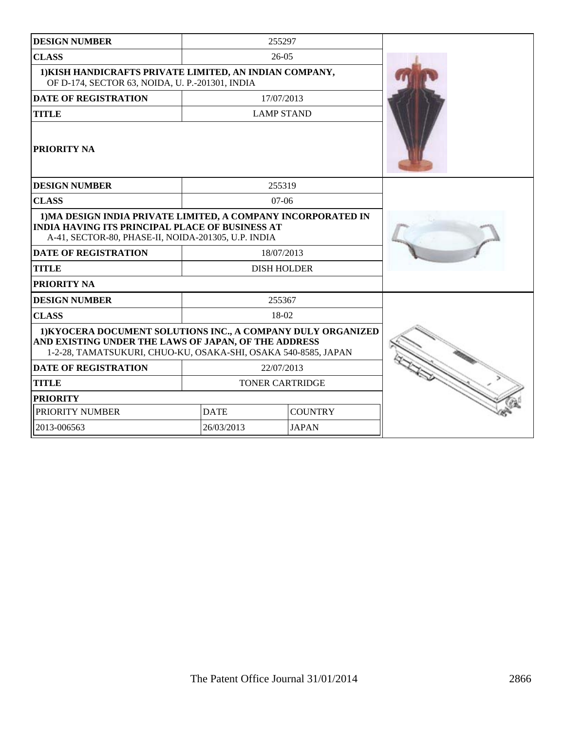| <b>DESIGN NUMBER</b>                                                                                                                                                                   |                               | 255297             |  |
|----------------------------------------------------------------------------------------------------------------------------------------------------------------------------------------|-------------------------------|--------------------|--|
| <b>CLASS</b>                                                                                                                                                                           |                               | $26-05$            |  |
| 1) KISH HANDICRAFTS PRIVATE LIMITED, AN INDIAN COMPANY,<br>OF D-174, SECTOR 63, NOIDA, U. P.-201301, INDIA                                                                             |                               |                    |  |
| <b>DATE OF REGISTRATION</b>                                                                                                                                                            |                               | 17/07/2013         |  |
| <b>TITLE</b>                                                                                                                                                                           |                               | <b>LAMP STAND</b>  |  |
| <b>PRIORITY NA</b>                                                                                                                                                                     |                               |                    |  |
| <b>DESIGN NUMBER</b>                                                                                                                                                                   |                               | 255319             |  |
| <b>CLASS</b>                                                                                                                                                                           |                               | $07-06$            |  |
| 1) MA DESIGN INDIA PRIVATE LIMITED, A COMPANY INCORPORATED IN<br><b>INDIA HAVING ITS PRINCIPAL PLACE OF BUSINESS AT</b><br>A-41, SECTOR-80, PHASE-II, NOIDA-201305, U.P. INDIA         |                               |                    |  |
| <b>DATE OF REGISTRATION</b>                                                                                                                                                            |                               | 18/07/2013         |  |
| <b>TITLE</b>                                                                                                                                                                           |                               | <b>DISH HOLDER</b> |  |
| PRIORITY NA                                                                                                                                                                            |                               |                    |  |
| <b>DESIGN NUMBER</b>                                                                                                                                                                   |                               | 255367             |  |
| <b>CLASS</b>                                                                                                                                                                           | 18-02                         |                    |  |
| 1) KYOCERA DOCUMENT SOLUTIONS INC., A COMPANY DULY ORGANIZED<br>AND EXISTING UNDER THE LAWS OF JAPAN, OF THE ADDRESS<br>1-2-28, TAMATSUKURI, CHUO-KU, OSAKA-SHI, OSAKA 540-8585, JAPAN |                               |                    |  |
| <b>DATE OF REGISTRATION</b>                                                                                                                                                            | 22/07/2013                    |                    |  |
| <b>TITLE</b>                                                                                                                                                                           | <b>TONER CARTRIDGE</b>        |                    |  |
| <b>PRIORITY</b>                                                                                                                                                                        |                               |                    |  |
| PRIORITY NUMBER                                                                                                                                                                        | <b>DATE</b><br><b>COUNTRY</b> |                    |  |
| 2013-006563                                                                                                                                                                            | 26/03/2013<br><b>JAPAN</b>    |                    |  |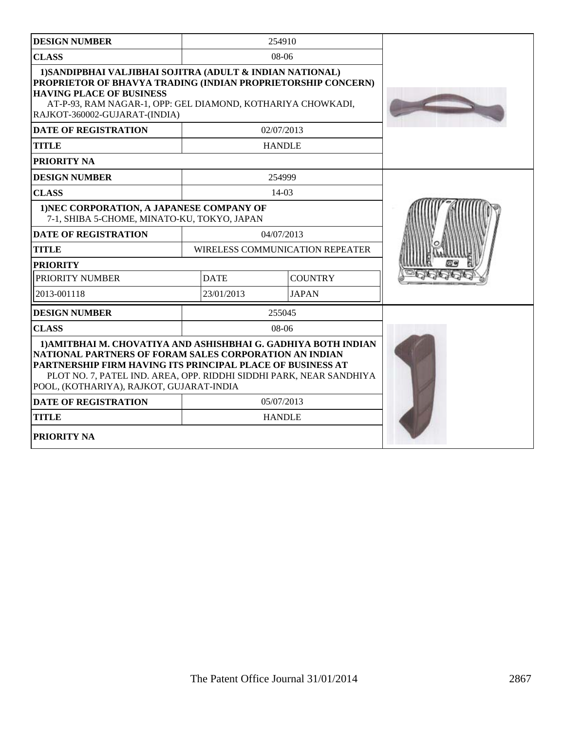| <b>DESIGN NUMBER</b>                                                                                                                                                                                                                                                                                      |             | 254910                                 |  |
|-----------------------------------------------------------------------------------------------------------------------------------------------------------------------------------------------------------------------------------------------------------------------------------------------------------|-------------|----------------------------------------|--|
| <b>CLASS</b>                                                                                                                                                                                                                                                                                              |             | 08-06                                  |  |
| 1) SANDIPBHAI VALJIBHAI SOJITRA (ADULT & INDIAN NATIONAL)<br>PROPRIETOR OF BHAVYA TRADING (INDIAN PROPRIETORSHIP CONCERN)<br><b>HAVING PLACE OF BUSINESS</b><br>AT-P-93, RAM NAGAR-1, OPP: GEL DIAMOND, KOTHARIYA CHOWKADI,<br>RAJKOT-360002-GUJARAT-(INDIA)                                              |             |                                        |  |
| <b>DATE OF REGISTRATION</b>                                                                                                                                                                                                                                                                               |             | 02/07/2013                             |  |
| <b>TITLE</b>                                                                                                                                                                                                                                                                                              |             | <b>HANDLE</b>                          |  |
| PRIORITY NA                                                                                                                                                                                                                                                                                               |             |                                        |  |
| <b>DESIGN NUMBER</b>                                                                                                                                                                                                                                                                                      |             | 254999                                 |  |
| <b>CLASS</b>                                                                                                                                                                                                                                                                                              |             | $14-03$                                |  |
| 1) NEC CORPORATION, A JAPANESE COMPANY OF<br>7-1, SHIBA 5-CHOME, MINATO-KU, TOKYO, JAPAN                                                                                                                                                                                                                  |             |                                        |  |
| <b>DATE OF REGISTRATION</b>                                                                                                                                                                                                                                                                               |             | 04/07/2013                             |  |
| <b>TITLE</b>                                                                                                                                                                                                                                                                                              |             | <b>WIRELESS COMMUNICATION REPEATER</b> |  |
| <b>PRIORITY</b>                                                                                                                                                                                                                                                                                           |             |                                        |  |
| PRIORITY NUMBER                                                                                                                                                                                                                                                                                           | <b>DATE</b> | <b>COUNTRY</b>                         |  |
| 2013-001118                                                                                                                                                                                                                                                                                               | 23/01/2013  | <b>JAPAN</b>                           |  |
| <b>DESIGN NUMBER</b>                                                                                                                                                                                                                                                                                      |             | 255045                                 |  |
| <b>CLASS</b>                                                                                                                                                                                                                                                                                              |             | $08-06$                                |  |
| 1) AMITBHAI M. CHOVATIYA AND ASHISHBHAI G. GADHIYA BOTH INDIAN<br>NATIONAL PARTNERS OF FORAM SALES CORPORATION AN INDIAN<br>PARTNERSHIP FIRM HAVING ITS PRINCIPAL PLACE OF BUSINESS AT<br>PLOT NO. 7, PATEL IND. AREA, OPP. RIDDHI SIDDHI PARK, NEAR SANDHIYA<br>POOL, (KOTHARIYA), RAJKOT, GUJARAT-INDIA |             |                                        |  |
| <b>DATE OF REGISTRATION</b>                                                                                                                                                                                                                                                                               |             | 05/07/2013                             |  |
| <b>TITLE</b>                                                                                                                                                                                                                                                                                              |             | <b>HANDLE</b>                          |  |
| PRIORITY NA                                                                                                                                                                                                                                                                                               |             |                                        |  |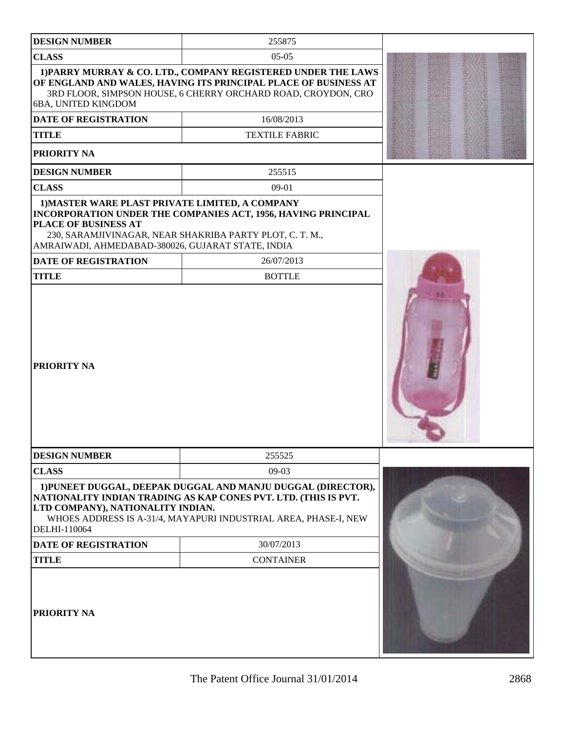| <b>DESIGN NUMBER</b>                                                                                                         | 255875                                                                                                                                                                                                          |  |
|------------------------------------------------------------------------------------------------------------------------------|-----------------------------------------------------------------------------------------------------------------------------------------------------------------------------------------------------------------|--|
| <b>CLASS</b>                                                                                                                 | $05-05$                                                                                                                                                                                                         |  |
| 6BA, UNITED KINGDOM<br><b>DATE OF REGISTRATION</b>                                                                           | 1) PARRY MURRAY & CO. LTD., COMPANY REGISTERED UNDER THE LAWS<br>OF ENGLAND AND WALES, HAVING ITS PRINCIPAL PLACE OF BUSINESS AT<br>3RD FLOOR, SIMPSON HOUSE, 6 CHERRY ORCHARD ROAD, CROYDON, CRO<br>16/08/2013 |  |
| <b>TITLE</b><br>PRIORITY NA                                                                                                  | <b>TEXTILE FABRIC</b>                                                                                                                                                                                           |  |
| <b>DESIGN NUMBER</b>                                                                                                         | 255515                                                                                                                                                                                                          |  |
| <b>CLASS</b>                                                                                                                 | $09-01$                                                                                                                                                                                                         |  |
| 1) MASTER WARE PLAST PRIVATE LIMITED, A COMPANY<br>PLACE OF BUSINESS AT<br>AMRAIWADI, AHMEDABAD-380026, GUJARAT STATE, INDIA | INCORPORATION UNDER THE COMPANIES ACT, 1956, HAVING PRINCIPAL<br>230, SARAMJIVINAGAR, NEAR SHAKRIBA PARTY PLOT, C. T. M.,                                                                                       |  |
| <b>DATE OF REGISTRATION</b>                                                                                                  | 26/07/2013                                                                                                                                                                                                      |  |
| <b>TITLE</b>                                                                                                                 | <b>BOTTLE</b>                                                                                                                                                                                                   |  |
| PRIORITY NA                                                                                                                  |                                                                                                                                                                                                                 |  |
| <b>DESIGN NUMBER</b>                                                                                                         | 255525                                                                                                                                                                                                          |  |
| <b>CLASS</b>                                                                                                                 | 09-03                                                                                                                                                                                                           |  |
| LTD COMPANY), NATIONALITY INDIAN.<br>DELHI-110064                                                                            | 1) PUNEET DUGGAL, DEEPAK DUGGAL AND MANJU DUGGAL (DIRECTOR),<br>NATIONALITY INDIAN TRADING AS KAP CONES PVT. LTD. (THIS IS PVT.<br>WHOES ADDRESS IS A-31/4, MAYAPURI INDUSTRIAL AREA, PHASE-I, NEW              |  |
| <b>DATE OF REGISTRATION</b>                                                                                                  | 30/07/2013                                                                                                                                                                                                      |  |
| <b>TITLE</b>                                                                                                                 | <b>CONTAINER</b>                                                                                                                                                                                                |  |
| PRIORITY NA                                                                                                                  |                                                                                                                                                                                                                 |  |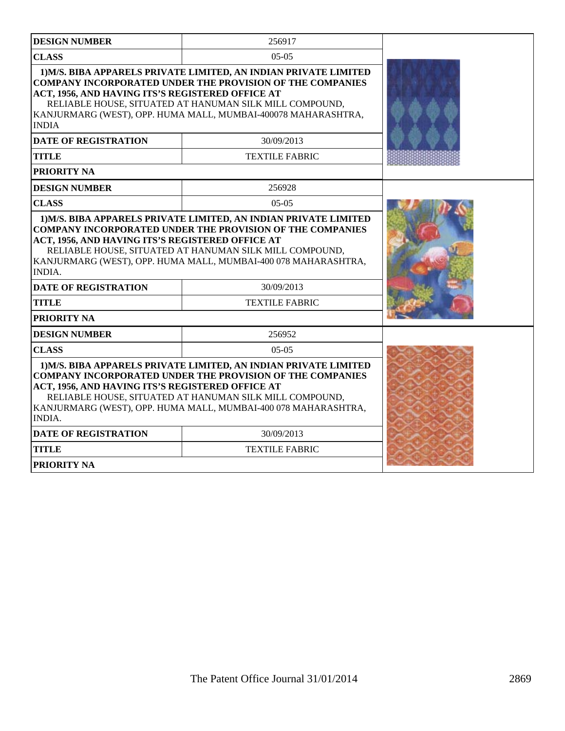| <b>DESIGN NUMBER</b>                                                                                                                                                                                                                                                                                                                   | 256917                                                                                                                                                                                                                                                           |  |
|----------------------------------------------------------------------------------------------------------------------------------------------------------------------------------------------------------------------------------------------------------------------------------------------------------------------------------------|------------------------------------------------------------------------------------------------------------------------------------------------------------------------------------------------------------------------------------------------------------------|--|
| <b>CLASS</b>                                                                                                                                                                                                                                                                                                                           |                                                                                                                                                                                                                                                                  |  |
| ACT, 1956, AND HAVING ITS'S REGISTERED OFFICE AT<br><b>INDIA</b>                                                                                                                                                                                                                                                                       | 1) M/S. BIBA APPARELS PRIVATE LIMITED, AN INDIAN PRIVATE LIMITED<br><b>COMPANY INCORPORATED UNDER THE PROVISION OF THE COMPANIES</b><br>RELIABLE HOUSE, SITUATED AT HANUMAN SILK MILL COMPOUND,<br>KANJURMARG (WEST), OPP. HUMA MALL, MUMBAI-400078 MAHARASHTRA, |  |
| <b>DATE OF REGISTRATION</b>                                                                                                                                                                                                                                                                                                            | 30/09/2013                                                                                                                                                                                                                                                       |  |
| <b>TITLE</b>                                                                                                                                                                                                                                                                                                                           | <b>TEXTILE FABRIC</b>                                                                                                                                                                                                                                            |  |
| <b>PRIORITY NA</b>                                                                                                                                                                                                                                                                                                                     |                                                                                                                                                                                                                                                                  |  |
| <b>DESIGN NUMBER</b>                                                                                                                                                                                                                                                                                                                   | 256928                                                                                                                                                                                                                                                           |  |
| <b>CLASS</b>                                                                                                                                                                                                                                                                                                                           | $05-05$                                                                                                                                                                                                                                                          |  |
| ACT, 1956, AND HAVING ITS'S REGISTERED OFFICE AT<br>RELIABLE HOUSE, SITUATED AT HANUMAN SILK MILL COMPOUND,<br>KANJURMARG (WEST), OPP. HUMA MALL, MUMBAI-400 078 MAHARASHTRA,<br><b>INDIA.</b>                                                                                                                                         |                                                                                                                                                                                                                                                                  |  |
| <b>DATE OF REGISTRATION</b>                                                                                                                                                                                                                                                                                                            | 30/09/2013                                                                                                                                                                                                                                                       |  |
| <b>TITLE</b>                                                                                                                                                                                                                                                                                                                           | <b>TEXTILE FABRIC</b>                                                                                                                                                                                                                                            |  |
| <b>PRIORITY NA</b>                                                                                                                                                                                                                                                                                                                     |                                                                                                                                                                                                                                                                  |  |
| <b>DESIGN NUMBER</b>                                                                                                                                                                                                                                                                                                                   | 256952                                                                                                                                                                                                                                                           |  |
| <b>CLASS</b>                                                                                                                                                                                                                                                                                                                           |                                                                                                                                                                                                                                                                  |  |
| 1) M/S. BIBA APPARELS PRIVATE LIMITED, AN INDIAN PRIVATE LIMITED<br><b>COMPANY INCORPORATED UNDER THE PROVISION OF THE COMPANIES</b><br>ACT, 1956, AND HAVING ITS'S REGISTERED OFFICE AT<br>RELIABLE HOUSE, SITUATED AT HANUMAN SILK MILL COMPOUND,<br>KANJURMARG (WEST), OPP. HUMA MALL, MUMBAI-400 078 MAHARASHTRA,<br><b>INDIA.</b> |                                                                                                                                                                                                                                                                  |  |
| <b>DATE OF REGISTRATION</b>                                                                                                                                                                                                                                                                                                            | 30/09/2013                                                                                                                                                                                                                                                       |  |
| <b>TITLE</b>                                                                                                                                                                                                                                                                                                                           | <b>TEXTILE FABRIC</b>                                                                                                                                                                                                                                            |  |
| <b>PRIORITY NA</b>                                                                                                                                                                                                                                                                                                                     |                                                                                                                                                                                                                                                                  |  |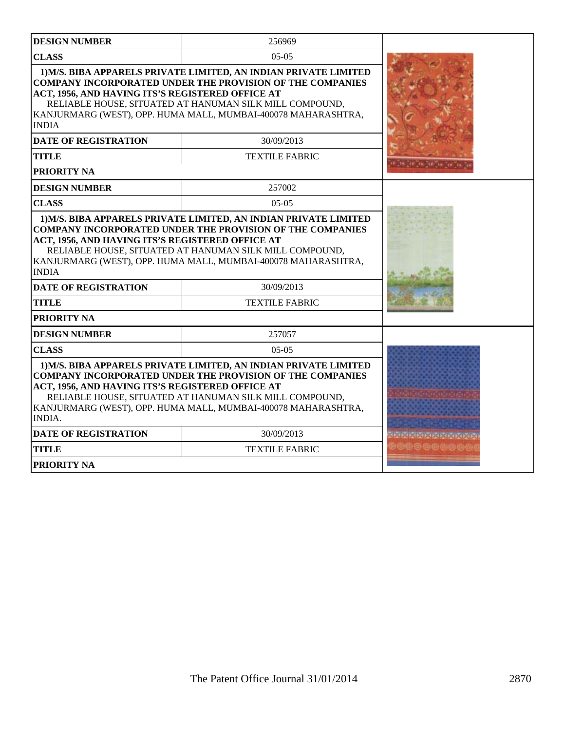| <b>DESIGN NUMBER</b>                                                                                                                                                                                                                                                                                                                  | 256969                |                        |
|---------------------------------------------------------------------------------------------------------------------------------------------------------------------------------------------------------------------------------------------------------------------------------------------------------------------------------------|-----------------------|------------------------|
| <b>CLASS</b>                                                                                                                                                                                                                                                                                                                          |                       |                        |
| 1) M/S. BIBA APPARELS PRIVATE LIMITED, AN INDIAN PRIVATE LIMITED<br><b>COMPANY INCORPORATED UNDER THE PROVISION OF THE COMPANIES</b><br>ACT, 1956, AND HAVING ITS'S REGISTERED OFFICE AT<br>RELIABLE HOUSE, SITUATED AT HANUMAN SILK MILL COMPOUND,<br>KANJURMARG (WEST), OPP. HUMA MALL, MUMBAI-400078 MAHARASHTRA,<br><b>INDIA</b>  |                       |                        |
| <b>DATE OF REGISTRATION</b>                                                                                                                                                                                                                                                                                                           | 30/09/2013            |                        |
| <b>TITLE</b>                                                                                                                                                                                                                                                                                                                          | <b>TEXTILE FABRIC</b> |                        |
| PRIORITY NA                                                                                                                                                                                                                                                                                                                           |                       |                        |
| <b>DESIGN NUMBER</b>                                                                                                                                                                                                                                                                                                                  | 257002                |                        |
| <b>CLASS</b>                                                                                                                                                                                                                                                                                                                          | $05-05$               |                        |
| 1) M/S. BIBA APPARELS PRIVATE LIMITED, AN INDIAN PRIVATE LIMITED<br><b>COMPANY INCORPORATED UNDER THE PROVISION OF THE COMPANIES</b><br>ACT, 1956, AND HAVING ITS'S REGISTERED OFFICE AT<br>RELIABLE HOUSE, SITUATED AT HANUMAN SILK MILL COMPOUND,<br>KANJURMARG (WEST), OPP. HUMA MALL, MUMBAI-400078 MAHARASHTRA,<br><b>INDIA</b>  |                       |                        |
| <b>DATE OF REGISTRATION</b>                                                                                                                                                                                                                                                                                                           | 30/09/2013            |                        |
| <b>TITLE</b>                                                                                                                                                                                                                                                                                                                          | <b>TEXTILE FABRIC</b> |                        |
| PRIORITY NA                                                                                                                                                                                                                                                                                                                           |                       |                        |
| <b>DESIGN NUMBER</b>                                                                                                                                                                                                                                                                                                                  | 257057                |                        |
| <b>CLASS</b>                                                                                                                                                                                                                                                                                                                          |                       |                        |
| 1) M/S. BIBA APPARELS PRIVATE LIMITED, AN INDIAN PRIVATE LIMITED<br><b>COMPANY INCORPORATED UNDER THE PROVISION OF THE COMPANIES</b><br>ACT, 1956, AND HAVING ITS'S REGISTERED OFFICE AT<br>RELIABLE HOUSE, SITUATED AT HANUMAN SILK MILL COMPOUND,<br>KANJURMARG (WEST), OPP. HUMA MALL, MUMBAI-400078 MAHARASHTRA,<br><b>INDIA.</b> |                       |                        |
| <b>DATE OF REGISTRATION</b><br>30/09/2013                                                                                                                                                                                                                                                                                             |                       | <b>JAPARDAREAREARE</b> |
| <b>TITLE</b>                                                                                                                                                                                                                                                                                                                          | <b>TEXTILE FABRIC</b> |                        |
| <b>PRIORITY NA</b>                                                                                                                                                                                                                                                                                                                    |                       |                        |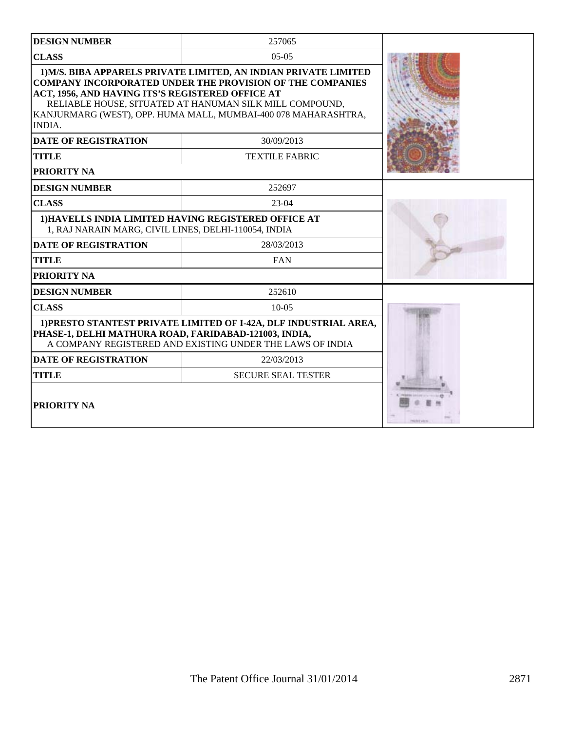| <b>DESIGN NUMBER</b>                                                                                                                                                                    | 257065                                                                                                                                                                                                                                                            |  |
|-----------------------------------------------------------------------------------------------------------------------------------------------------------------------------------------|-------------------------------------------------------------------------------------------------------------------------------------------------------------------------------------------------------------------------------------------------------------------|--|
| <b>CLASS</b>                                                                                                                                                                            |                                                                                                                                                                                                                                                                   |  |
| ACT, 1956, AND HAVING ITS'S REGISTERED OFFICE AT<br><b>INDIA.</b>                                                                                                                       | 1) M/S. BIBA APPARELS PRIVATE LIMITED, AN INDIAN PRIVATE LIMITED<br><b>COMPANY INCORPORATED UNDER THE PROVISION OF THE COMPANIES</b><br>RELIABLE HOUSE, SITUATED AT HANUMAN SILK MILL COMPOUND,<br>KANJURMARG (WEST), OPP. HUMA MALL, MUMBAI-400 078 MAHARASHTRA, |  |
| <b>DATE OF REGISTRATION</b>                                                                                                                                                             | 30/09/2013                                                                                                                                                                                                                                                        |  |
| <b>TITLE</b>                                                                                                                                                                            | <b>TEXTILE FABRIC</b>                                                                                                                                                                                                                                             |  |
| PRIORITY NA                                                                                                                                                                             |                                                                                                                                                                                                                                                                   |  |
| <b>DESIGN NUMBER</b>                                                                                                                                                                    | 252697                                                                                                                                                                                                                                                            |  |
| <b>CLASS</b>                                                                                                                                                                            |                                                                                                                                                                                                                                                                   |  |
| 1) HAVELLS INDIA LIMITED HAVING REGISTERED OFFICE AT<br>1, RAJ NARAIN MARG, CIVIL LINES, DELHI-110054, INDIA                                                                            |                                                                                                                                                                                                                                                                   |  |
| <b>DATE OF REGISTRATION</b>                                                                                                                                                             | 28/03/2013                                                                                                                                                                                                                                                        |  |
| <b>TITLE</b>                                                                                                                                                                            | <b>FAN</b>                                                                                                                                                                                                                                                        |  |
| PRIORITY NA                                                                                                                                                                             |                                                                                                                                                                                                                                                                   |  |
| <b>DESIGN NUMBER</b>                                                                                                                                                                    | 252610                                                                                                                                                                                                                                                            |  |
| <b>CLASS</b>                                                                                                                                                                            | $10-0.5$                                                                                                                                                                                                                                                          |  |
| 1) PRESTO STANTEST PRIVATE LIMITED OF I-42A, DLF INDUSTRIAL AREA,<br>PHASE-1, DELHI MATHURA ROAD, FARIDABAD-121003, INDIA,<br>A COMPANY REGISTERED AND EXISTING UNDER THE LAWS OF INDIA |                                                                                                                                                                                                                                                                   |  |
| <b>DATE OF REGISTRATION</b>                                                                                                                                                             |                                                                                                                                                                                                                                                                   |  |
| <b>TITLE</b>                                                                                                                                                                            | <b>SECURE SEAL TESTER</b>                                                                                                                                                                                                                                         |  |
| <b>PRIORITY NA</b>                                                                                                                                                                      |                                                                                                                                                                                                                                                                   |  |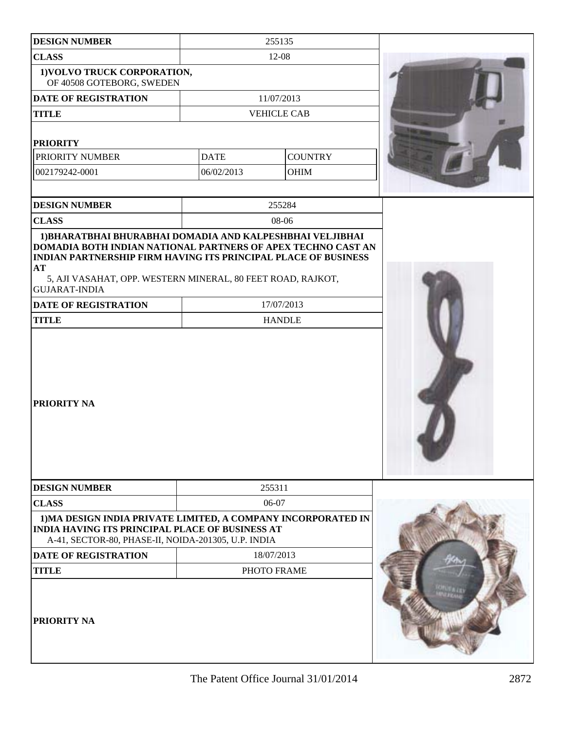| <b>DESIGN NUMBER</b>                                                                                                                                                                                                               | 255135             |                |  |
|------------------------------------------------------------------------------------------------------------------------------------------------------------------------------------------------------------------------------------|--------------------|----------------|--|
| <b>CLASS</b>                                                                                                                                                                                                                       | 12-08              |                |  |
| 1) VOLVO TRUCK CORPORATION,<br>OF 40508 GOTEBORG, SWEDEN                                                                                                                                                                           |                    |                |  |
| <b>DATE OF REGISTRATION</b>                                                                                                                                                                                                        | 11/07/2013         |                |  |
| <b>TITLE</b>                                                                                                                                                                                                                       | <b>VEHICLE CAB</b> |                |  |
| <b>PRIORITY</b>                                                                                                                                                                                                                    |                    |                |  |
| PRIORITY NUMBER                                                                                                                                                                                                                    | <b>DATE</b>        | <b>COUNTRY</b> |  |
| 002179242-0001                                                                                                                                                                                                                     | 06/02/2013         | OHIM           |  |
|                                                                                                                                                                                                                                    |                    |                |  |
| <b>DESIGN NUMBER</b>                                                                                                                                                                                                               | 255284             |                |  |
| <b>CLASS</b>                                                                                                                                                                                                                       | 08-06              |                |  |
| DOMADIA BOTH INDIAN NATIONAL PARTNERS OF APEX TECHNO CAST AN<br><b>INDIAN PARTNERSHIP FIRM HAVING ITS PRINCIPAL PLACE OF BUSINESS</b><br>AT<br>5, AJI VASAHAT, OPP. WESTERN MINERAL, 80 FEET ROAD, RAJKOT,<br><b>GUJARAT-INDIA</b> |                    |                |  |
| <b>DATE OF REGISTRATION</b>                                                                                                                                                                                                        | 17/07/2013         |                |  |
| <b>TITLE</b>                                                                                                                                                                                                                       | <b>HANDLE</b>      |                |  |
| <b>PRIORITY NA</b>                                                                                                                                                                                                                 |                    |                |  |
| <b>DESIGN NUMBER</b>                                                                                                                                                                                                               | 255311             |                |  |
| <b>CLASS</b>                                                                                                                                                                                                                       | 06-07              |                |  |
| 1) MA DESIGN INDIA PRIVATE LIMITED, A COMPANY INCORPORATED IN<br><b>INDIA HAVING ITS PRINCIPAL PLACE OF BUSINESS AT</b><br>A-41, SECTOR-80, PHASE-II, NOIDA-201305, U.P. INDIA                                                     |                    |                |  |
| <b>DATE OF REGISTRATION</b>                                                                                                                                                                                                        | 18/07/2013         |                |  |
| <b>TITLE</b>                                                                                                                                                                                                                       | PHOTO FRAME        |                |  |
| <b>PRIORITY NA</b>                                                                                                                                                                                                                 |                    |                |  |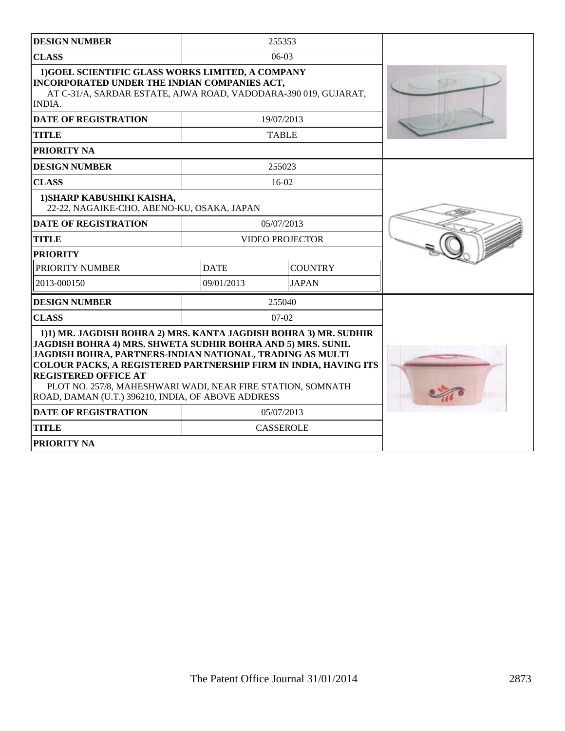| <b>DESIGN NUMBER</b>                                                                                                                                                                                                                                                                                                                                                                                                        |                               | 255353           |  |
|-----------------------------------------------------------------------------------------------------------------------------------------------------------------------------------------------------------------------------------------------------------------------------------------------------------------------------------------------------------------------------------------------------------------------------|-------------------------------|------------------|--|
| <b>CLASS</b>                                                                                                                                                                                                                                                                                                                                                                                                                |                               | $06-03$          |  |
| 1) GOEL SCIENTIFIC GLASS WORKS LIMITED, A COMPANY<br>INCORPORATED UNDER THE INDIAN COMPANIES ACT,<br>AT C-31/A, SARDAR ESTATE, AJWA ROAD, VADODARA-390 019, GUJARAT,<br>INDIA.                                                                                                                                                                                                                                              |                               |                  |  |
| <b>DATE OF REGISTRATION</b>                                                                                                                                                                                                                                                                                                                                                                                                 |                               | 19/07/2013       |  |
| <b>TITLE</b>                                                                                                                                                                                                                                                                                                                                                                                                                |                               | <b>TABLE</b>     |  |
| <b>PRIORITY NA</b>                                                                                                                                                                                                                                                                                                                                                                                                          |                               |                  |  |
| <b>DESIGN NUMBER</b>                                                                                                                                                                                                                                                                                                                                                                                                        |                               | 255023           |  |
| <b>CLASS</b>                                                                                                                                                                                                                                                                                                                                                                                                                |                               | $16-02$          |  |
| 1) SHARP KABUSHIKI KAISHA,<br>22-22, NAGAIKE-CHO, ABENO-KU, OSAKA, JAPAN                                                                                                                                                                                                                                                                                                                                                    |                               |                  |  |
| <b>DATE OF REGISTRATION</b>                                                                                                                                                                                                                                                                                                                                                                                                 |                               | 05/07/2013       |  |
| <b>TITLE</b>                                                                                                                                                                                                                                                                                                                                                                                                                | <b>VIDEO PROJECTOR</b>        |                  |  |
| <b>PRIORITY</b>                                                                                                                                                                                                                                                                                                                                                                                                             |                               |                  |  |
| PRIORITY NUMBER                                                                                                                                                                                                                                                                                                                                                                                                             | <b>COUNTRY</b><br><b>DATE</b> |                  |  |
| 2013-000150                                                                                                                                                                                                                                                                                                                                                                                                                 | 09/01/2013                    | <b>JAPAN</b>     |  |
| <b>DESIGN NUMBER</b>                                                                                                                                                                                                                                                                                                                                                                                                        |                               | 255040           |  |
| <b>CLASS</b>                                                                                                                                                                                                                                                                                                                                                                                                                |                               | $07-02$          |  |
| 1)1) MR. JAGDISH BOHRA 2) MRS. KANTA JAGDISH BOHRA 3) MR. SUDHIR<br>JAGDISH BOHRA 4) MRS. SHWETA SUDHIR BOHRA AND 5) MRS. SUNIL<br>JAGDISH BOHRA, PARTNERS-INDIAN NATIONAL, TRADING AS MULTI<br><b>COLOUR PACKS, A REGISTERED PARTNERSHIP FIRM IN INDIA, HAVING ITS</b><br><b>REGISTERED OFFICE AT</b><br>PLOT NO. 257/8, MAHESHWARI WADI, NEAR FIRE STATION, SOMNATH<br>ROAD, DAMAN (U.T.) 396210, INDIA, OF ABOVE ADDRESS |                               |                  |  |
| <b>DATE OF REGISTRATION</b>                                                                                                                                                                                                                                                                                                                                                                                                 |                               | 05/07/2013       |  |
| <b>TITLE</b>                                                                                                                                                                                                                                                                                                                                                                                                                |                               | <b>CASSEROLE</b> |  |
| <b>PRIORITY NA</b>                                                                                                                                                                                                                                                                                                                                                                                                          |                               |                  |  |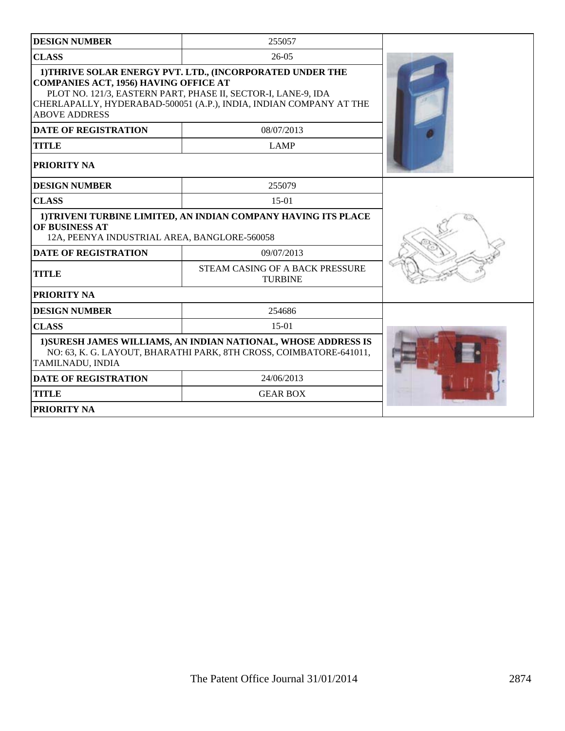| <b>DESIGN NUMBER</b>                                                                                                                    | 255057                                                                                                                                                                                           |  |  |  |
|-----------------------------------------------------------------------------------------------------------------------------------------|--------------------------------------------------------------------------------------------------------------------------------------------------------------------------------------------------|--|--|--|
| <b>CLASS</b><br>$26-05$                                                                                                                 |                                                                                                                                                                                                  |  |  |  |
| <b>COMPANIES ACT, 1956) HAVING OFFICE AT</b><br><b>ABOVE ADDRESS</b>                                                                    | 1) THRIVE SOLAR ENERGY PVT. LTD., (INCORPORATED UNDER THE<br>PLOT NO. 121/3, EASTERN PART, PHASE II, SECTOR-I, LANE-9, IDA<br>CHERLAPALLY, HYDERABAD-500051 (A.P.), INDIA, INDIAN COMPANY AT THE |  |  |  |
| <b>DATE OF REGISTRATION</b>                                                                                                             | 08/07/2013                                                                                                                                                                                       |  |  |  |
| <b>TITLE</b>                                                                                                                            | <b>LAMP</b>                                                                                                                                                                                      |  |  |  |
| <b>PRIORITY NA</b>                                                                                                                      |                                                                                                                                                                                                  |  |  |  |
| <b>DESIGN NUMBER</b>                                                                                                                    | 255079                                                                                                                                                                                           |  |  |  |
| <b>CLASS</b>                                                                                                                            | $15-01$                                                                                                                                                                                          |  |  |  |
| 1) TRIVENI TURBINE LIMITED, AN INDIAN COMPANY HAVING ITS PLACE<br><b>OF BUSINESS AT</b><br>12A, PEENYA INDUSTRIAL AREA, BANGLORE-560058 |                                                                                                                                                                                                  |  |  |  |
| <b>DATE OF REGISTRATION</b>                                                                                                             | 09/07/2013                                                                                                                                                                                       |  |  |  |
| STEAM CASING OF A BACK PRESSURE<br><b>TITLE</b><br><b>TURBINE</b>                                                                       |                                                                                                                                                                                                  |  |  |  |
| <b>PRIORITY NA</b>                                                                                                                      |                                                                                                                                                                                                  |  |  |  |
| <b>DESIGN NUMBER</b>                                                                                                                    | 254686                                                                                                                                                                                           |  |  |  |
| <b>CLASS</b>                                                                                                                            |                                                                                                                                                                                                  |  |  |  |
| TAMILNADU, INDIA                                                                                                                        | 1) SURESH JAMES WILLIAMS, AN INDIAN NATIONAL, WHOSE ADDRESS IS<br>NO: 63, K. G. LAYOUT, BHARATHI PARK, 8TH CROSS, COIMBATORE-641011,                                                             |  |  |  |
| <b>DATE OF REGISTRATION</b>                                                                                                             | 24/06/2013                                                                                                                                                                                       |  |  |  |
| <b>TITLE</b>                                                                                                                            | <b>GEAR BOX</b>                                                                                                                                                                                  |  |  |  |
| <b>PRIORITY NA</b>                                                                                                                      |                                                                                                                                                                                                  |  |  |  |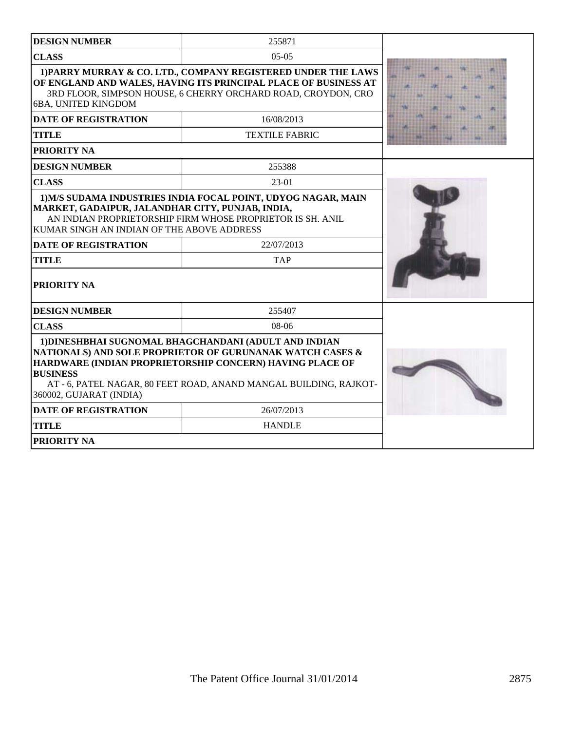| <b>DESIGN NUMBER</b>                                                                           | 255871                                                                                                                                                                                                                                              |  |
|------------------------------------------------------------------------------------------------|-----------------------------------------------------------------------------------------------------------------------------------------------------------------------------------------------------------------------------------------------------|--|
| <b>CLASS</b>                                                                                   | $0.5 - 0.5$                                                                                                                                                                                                                                         |  |
| 6BA, UNITED KINGDOM                                                                            | 1) PARRY MURRAY & CO. LTD., COMPANY REGISTERED UNDER THE LAWS<br>OF ENGLAND AND WALES, HAVING ITS PRINCIPAL PLACE OF BUSINESS AT<br>3RD FLOOR, SIMPSON HOUSE, 6 CHERRY ORCHARD ROAD, CROYDON, CRO                                                   |  |
| <b>DATE OF REGISTRATION</b>                                                                    | 16/08/2013                                                                                                                                                                                                                                          |  |
| <b>TITLE</b>                                                                                   | <b>TEXTILE FABRIC</b>                                                                                                                                                                                                                               |  |
| PRIORITY NA                                                                                    |                                                                                                                                                                                                                                                     |  |
| <b>DESIGN NUMBER</b>                                                                           | 255388                                                                                                                                                                                                                                              |  |
| <b>CLASS</b>                                                                                   | $23-01$                                                                                                                                                                                                                                             |  |
| MARKET, GADAIPUR, JALANDHAR CITY, PUNJAB, INDIA,<br>KUMAR SINGH AN INDIAN OF THE ABOVE ADDRESS | AN INDIAN PROPRIETORSHIP FIRM WHOSE PROPRIETOR IS SH. ANIL<br>22/07/2013                                                                                                                                                                            |  |
| <b>DATE OF REGISTRATION</b>                                                                    |                                                                                                                                                                                                                                                     |  |
| <b>TITLE</b>                                                                                   | <b>TAP</b>                                                                                                                                                                                                                                          |  |
| PRIORITY NA                                                                                    |                                                                                                                                                                                                                                                     |  |
| <b>DESIGN NUMBER</b>                                                                           | 255407                                                                                                                                                                                                                                              |  |
| <b>CLASS</b>                                                                                   | $08-06$                                                                                                                                                                                                                                             |  |
| <b>BUSINESS</b><br>360002, GUJARAT (INDIA)                                                     | 1) DINESHBHAI SUGNOMAL BHAGCHANDANI (ADULT AND INDIAN<br>NATIONALS) AND SOLE PROPRIETOR OF GURUNANAK WATCH CASES &<br>HARDWARE (INDIAN PROPRIETORSHIP CONCERN) HAVING PLACE OF<br>AT - 6, PATEL NAGAR, 80 FEET ROAD, ANAND MANGAL BUILDING, RAJKOT- |  |
| <b>DATE OF REGISTRATION</b>                                                                    | 26/07/2013                                                                                                                                                                                                                                          |  |
| <b>TITLE</b>                                                                                   | <b>HANDLE</b>                                                                                                                                                                                                                                       |  |
| <b>PRIORITY NA</b>                                                                             |                                                                                                                                                                                                                                                     |  |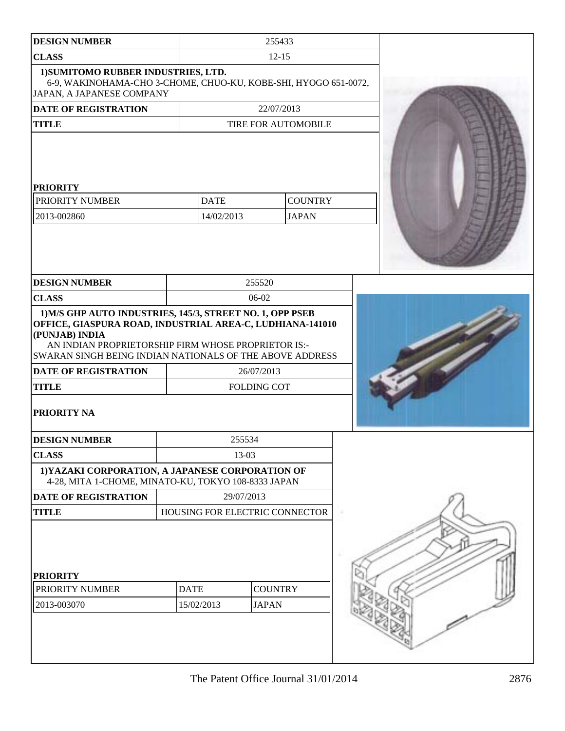| <b>DESIGN NUMBER</b>                                                                                                                                                                                                                                                       |                                | 255433                           |                |  |
|----------------------------------------------------------------------------------------------------------------------------------------------------------------------------------------------------------------------------------------------------------------------------|--------------------------------|----------------------------------|----------------|--|
| <b>CLASS</b>                                                                                                                                                                                                                                                               |                                | $12 - 15$                        |                |  |
| 1) SUMITOMO RUBBER INDUSTRIES, LTD.<br>6-9, WAKINOHAMA-CHO 3-CHOME, CHUO-KU, KOBE-SHI, HYOGO 651-0072,<br>JAPAN, A JAPANESE COMPANY                                                                                                                                        |                                |                                  |                |  |
| <b>DATE OF REGISTRATION</b>                                                                                                                                                                                                                                                |                                | 22/07/2013                       |                |  |
| <b>TITLE</b>                                                                                                                                                                                                                                                               |                                | TIRE FOR AUTOMOBILE              |                |  |
| <b>PRIORITY</b>                                                                                                                                                                                                                                                            |                                |                                  |                |  |
| PRIORITY NUMBER                                                                                                                                                                                                                                                            | <b>DATE</b>                    |                                  | <b>COUNTRY</b> |  |
| 2013-002860                                                                                                                                                                                                                                                                | 14/02/2013                     |                                  | <b>JAPAN</b>   |  |
| <b>DESIGN NUMBER</b>                                                                                                                                                                                                                                                       |                                | 255520                           |                |  |
| <b>CLASS</b>                                                                                                                                                                                                                                                               |                                | 06-02                            |                |  |
| OFFICE, GIASPURA ROAD, INDUSTRIAL AREA-C, LUDHIANA-141010<br>(PUNJAB) INDIA<br>AN INDIAN PROPRIETORSHIP FIRM WHOSE PROPRIETOR IS:-<br><b>SWARAN SINGH BEING INDIAN NATIONALS OF THE ABOVE ADDRESS</b><br><b>DATE OF REGISTRATION</b><br><b>TITLE</b><br><b>PRIORITY NA</b> |                                | 26/07/2013<br><b>FOLDING COT</b> |                |  |
| <b>DESIGN NUMBER</b>                                                                                                                                                                                                                                                       |                                | 255534                           |                |  |
| <b>CLASS</b>                                                                                                                                                                                                                                                               |                                | 13-03                            |                |  |
| 1) YAZAKI CORPORATION, A JAPANESE CORPORATION OF<br>4-28, MITA 1-CHOME, MINATO-KU, TOKYO 108-8333 JAPAN                                                                                                                                                                    |                                |                                  |                |  |
| <b>DATE OF REGISTRATION</b>                                                                                                                                                                                                                                                |                                | 29/07/2013                       |                |  |
| <b>TITLE</b>                                                                                                                                                                                                                                                               | HOUSING FOR ELECTRIC CONNECTOR |                                  |                |  |
| <b>PRIORITY</b><br>PRIORITY NUMBER<br>2013-003070                                                                                                                                                                                                                          | <b>DATE</b><br>15/02/2013      | <b>COUNTRY</b><br><b>JAPAN</b>   |                |  |
|                                                                                                                                                                                                                                                                            |                                |                                  |                |  |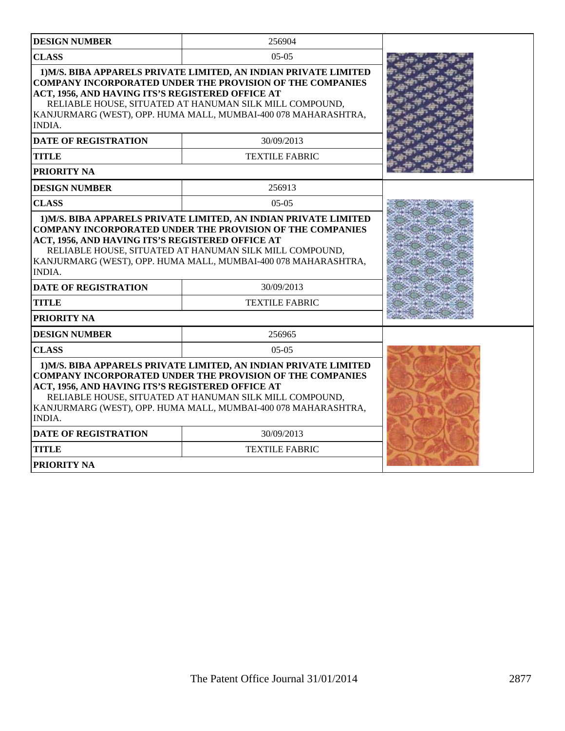| <b>DESIGN NUMBER</b>                                                                                                                                                                                                                                                                                                                   | 256904                                                                                                                                                                                                                                                            |  |
|----------------------------------------------------------------------------------------------------------------------------------------------------------------------------------------------------------------------------------------------------------------------------------------------------------------------------------------|-------------------------------------------------------------------------------------------------------------------------------------------------------------------------------------------------------------------------------------------------------------------|--|
| <b>CLASS</b><br>$05-05$                                                                                                                                                                                                                                                                                                                |                                                                                                                                                                                                                                                                   |  |
| ACT, 1956, AND HAVING ITS'S REGISTERED OFFICE AT<br>INDIA.                                                                                                                                                                                                                                                                             | 1) M/S. BIBA APPARELS PRIVATE LIMITED, AN INDIAN PRIVATE LIMITED<br><b>COMPANY INCORPORATED UNDER THE PROVISION OF THE COMPANIES</b><br>RELIABLE HOUSE, SITUATED AT HANUMAN SILK MILL COMPOUND,<br>KANJURMARG (WEST), OPP. HUMA MALL, MUMBAI-400 078 MAHARASHTRA, |  |
| <b>DATE OF REGISTRATION</b>                                                                                                                                                                                                                                                                                                            | 30/09/2013                                                                                                                                                                                                                                                        |  |
| <b>TITLE</b>                                                                                                                                                                                                                                                                                                                           | <b>TEXTILE FABRIC</b>                                                                                                                                                                                                                                             |  |
| PRIORITY NA                                                                                                                                                                                                                                                                                                                            |                                                                                                                                                                                                                                                                   |  |
| <b>DESIGN NUMBER</b>                                                                                                                                                                                                                                                                                                                   | 256913                                                                                                                                                                                                                                                            |  |
| <b>CLASS</b>                                                                                                                                                                                                                                                                                                                           | $05-05$                                                                                                                                                                                                                                                           |  |
| <b>COMPANY INCORPORATED UNDER THE PROVISION OF THE COMPANIES</b><br>ACT, 1956, AND HAVING ITS'S REGISTERED OFFICE AT<br>RELIABLE HOUSE, SITUATED AT HANUMAN SILK MILL COMPOUND,<br>KANJURMARG (WEST), OPP. HUMA MALL, MUMBAI-400 078 MAHARASHTRA,<br><b>INDIA.</b>                                                                     |                                                                                                                                                                                                                                                                   |  |
| <b>DATE OF REGISTRATION</b>                                                                                                                                                                                                                                                                                                            | 30/09/2013                                                                                                                                                                                                                                                        |  |
| <b>TITLE</b>                                                                                                                                                                                                                                                                                                                           | <b>TEXTILE FABRIC</b>                                                                                                                                                                                                                                             |  |
| PRIORITY NA                                                                                                                                                                                                                                                                                                                            |                                                                                                                                                                                                                                                                   |  |
| <b>DESIGN NUMBER</b>                                                                                                                                                                                                                                                                                                                   | 256965                                                                                                                                                                                                                                                            |  |
| <b>CLASS</b>                                                                                                                                                                                                                                                                                                                           |                                                                                                                                                                                                                                                                   |  |
| 1) M/S. BIBA APPARELS PRIVATE LIMITED, AN INDIAN PRIVATE LIMITED<br><b>COMPANY INCORPORATED UNDER THE PROVISION OF THE COMPANIES</b><br>ACT, 1956, AND HAVING ITS'S REGISTERED OFFICE AT<br>RELIABLE HOUSE, SITUATED AT HANUMAN SILK MILL COMPOUND,<br>KANJURMARG (WEST), OPP. HUMA MALL, MUMBAI-400 078 MAHARASHTRA,<br><b>INDIA.</b> |                                                                                                                                                                                                                                                                   |  |
| <b>DATE OF REGISTRATION</b>                                                                                                                                                                                                                                                                                                            | 30/09/2013                                                                                                                                                                                                                                                        |  |
| <b>TITLE</b>                                                                                                                                                                                                                                                                                                                           |                                                                                                                                                                                                                                                                   |  |
| <b>PRIORITY NA</b>                                                                                                                                                                                                                                                                                                                     |                                                                                                                                                                                                                                                                   |  |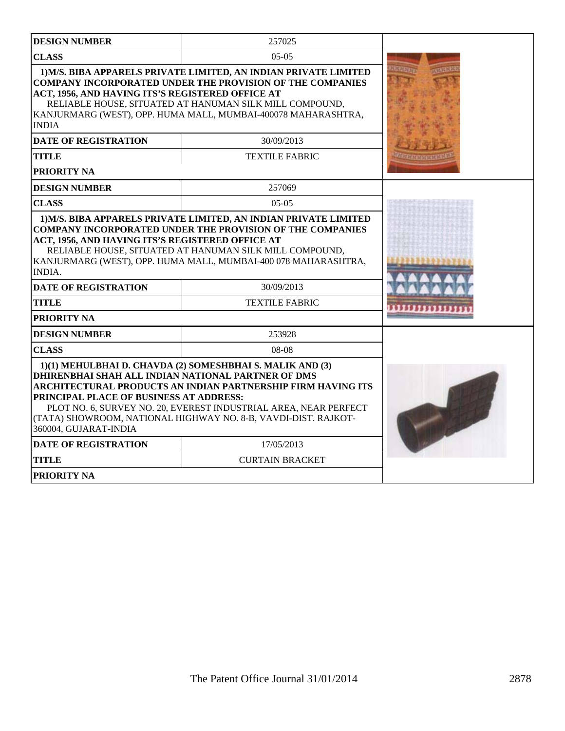| <b>DESIGN NUMBER</b>                                                                                                   | 257025                                                                                                                                                                                                                                                           |  |
|------------------------------------------------------------------------------------------------------------------------|------------------------------------------------------------------------------------------------------------------------------------------------------------------------------------------------------------------------------------------------------------------|--|
| <b>CLASS</b>                                                                                                           | $05-05$                                                                                                                                                                                                                                                          |  |
| ACT, 1956, AND HAVING ITS'S REGISTERED OFFICE AT<br><b>INDIA</b>                                                       | 1) M/S. BIBA APPARELS PRIVATE LIMITED, AN INDIAN PRIVATE LIMITED<br><b>COMPANY INCORPORATED UNDER THE PROVISION OF THE COMPANIES</b><br>RELIABLE HOUSE, SITUATED AT HANUMAN SILK MILL COMPOUND,<br>KANJURMARG (WEST), OPP. HUMA MALL, MUMBAI-400078 MAHARASHTRA, |  |
| <b>DATE OF REGISTRATION</b>                                                                                            | 30/09/2013                                                                                                                                                                                                                                                       |  |
| <b>TITLE</b>                                                                                                           | <b>TEXTILE FABRIC</b>                                                                                                                                                                                                                                            |  |
| <b>PRIORITY NA</b>                                                                                                     |                                                                                                                                                                                                                                                                  |  |
| <b>DESIGN NUMBER</b>                                                                                                   | 257069                                                                                                                                                                                                                                                           |  |
| <b>CLASS</b>                                                                                                           | $05-05$                                                                                                                                                                                                                                                          |  |
| ACT, 1956, AND HAVING ITS'S REGISTERED OFFICE AT<br><b>INDIA.</b><br><b>DATE OF REGISTRATION</b><br><b>TITLE</b>       | RELIABLE HOUSE, SITUATED AT HANUMAN SILK MILL COMPOUND,<br>KANJURMARG (WEST), OPP. HUMA MALL, MUMBAI-400 078 MAHARASHTRA,<br>30/09/2013<br><b>TEXTILE FABRIC</b>                                                                                                 |  |
| <b>PRIORITY NA</b>                                                                                                     |                                                                                                                                                                                                                                                                  |  |
| <b>DESIGN NUMBER</b>                                                                                                   | 253928                                                                                                                                                                                                                                                           |  |
| <b>CLASS</b>                                                                                                           | 08-08                                                                                                                                                                                                                                                            |  |
| DHIRENBHAI SHAH ALL INDIAN NATIONAL PARTNER OF DMS<br>PRINCIPAL PLACE OF BUSINESS AT ADDRESS:<br>360004, GUJARAT-INDIA | 1)(1) MEHULBHAI D. CHAVDA (2) SOMESHBHAI S. MALIK AND (3)<br>ARCHITECTURAL PRODUCTS AN INDIAN PARTNERSHIP FIRM HAVING ITS<br>PLOT NO. 6, SURVEY NO. 20, EVEREST INDUSTRIAL AREA, NEAR PERFECT<br>(TATA) SHOWROOM, NATIONAL HIGHWAY NO. 8-B, VAVDI-DIST. RAJKOT-  |  |
| <b>DATE OF REGISTRATION</b>                                                                                            | 17/05/2013                                                                                                                                                                                                                                                       |  |
| <b>TITLE</b>                                                                                                           | <b>CURTAIN BRACKET</b>                                                                                                                                                                                                                                           |  |
| <b>PRIORITY NA</b>                                                                                                     |                                                                                                                                                                                                                                                                  |  |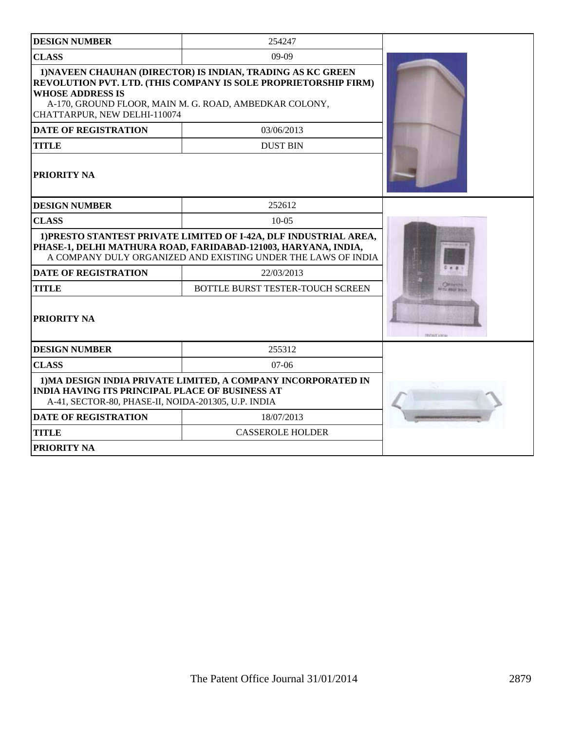| <b>DESIGN NUMBER</b>                                                                                                                                                                                 | 254247                                                                                                                                                                                   |  |
|------------------------------------------------------------------------------------------------------------------------------------------------------------------------------------------------------|------------------------------------------------------------------------------------------------------------------------------------------------------------------------------------------|--|
| <b>CLASS</b>                                                                                                                                                                                         | 09-09                                                                                                                                                                                    |  |
| <b>WHOSE ADDRESS IS</b><br>CHATTARPUR, NEW DELHI-110074                                                                                                                                              | 1) NAVEEN CHAUHAN (DIRECTOR) IS INDIAN, TRADING AS KC GREEN<br>REVOLUTION PVT. LTD. (THIS COMPANY IS SOLE PROPRIETORSHIP FIRM)<br>A-170, GROUND FLOOR, MAIN M. G. ROAD, AMBEDKAR COLONY, |  |
| <b>DATE OF REGISTRATION</b>                                                                                                                                                                          | 03/06/2013                                                                                                                                                                               |  |
| <b>TITLE</b>                                                                                                                                                                                         | <b>DUST BIN</b>                                                                                                                                                                          |  |
| <b>PRIORITY NA</b>                                                                                                                                                                                   |                                                                                                                                                                                          |  |
| <b>DESIGN NUMBER</b>                                                                                                                                                                                 | 252612                                                                                                                                                                                   |  |
| <b>CLASS</b>                                                                                                                                                                                         |                                                                                                                                                                                          |  |
| 1) PRESTO STANTEST PRIVATE LIMITED OF I-42A, DLF INDUSTRIAL AREA,<br>PHASE-1, DELHI MATHURA ROAD, FARIDABAD-121003, HARYANA, INDIA,<br>A COMPANY DULY ORGANIZED AND EXISTING UNDER THE LAWS OF INDIA |                                                                                                                                                                                          |  |
| <b>DATE OF REGISTRATION</b>                                                                                                                                                                          | 22/03/2013                                                                                                                                                                               |  |
| <b>TITLE</b>                                                                                                                                                                                         | BOTTLE BURST TESTER-TOUCH SCREEN                                                                                                                                                         |  |
| <b>PRIORITY NA</b>                                                                                                                                                                                   | <b>NUMBER</b>                                                                                                                                                                            |  |
| <b>DESIGN NUMBER</b>                                                                                                                                                                                 | 255312                                                                                                                                                                                   |  |
| <b>CLASS</b>                                                                                                                                                                                         | $07-06$                                                                                                                                                                                  |  |
| 1) MA DESIGN INDIA PRIVATE LIMITED, A COMPANY INCORPORATED IN<br><b>INDIA HAVING ITS PRINCIPAL PLACE OF BUSINESS AT</b><br>A-41, SECTOR-80, PHASE-II, NOIDA-201305, U.P. INDIA                       |                                                                                                                                                                                          |  |
| <b>DATE OF REGISTRATION</b>                                                                                                                                                                          | 18/07/2013                                                                                                                                                                               |  |
| <b>TITLE</b>                                                                                                                                                                                         | <b>CASSEROLE HOLDER</b>                                                                                                                                                                  |  |
| <b>PRIORITY NA</b>                                                                                                                                                                                   |                                                                                                                                                                                          |  |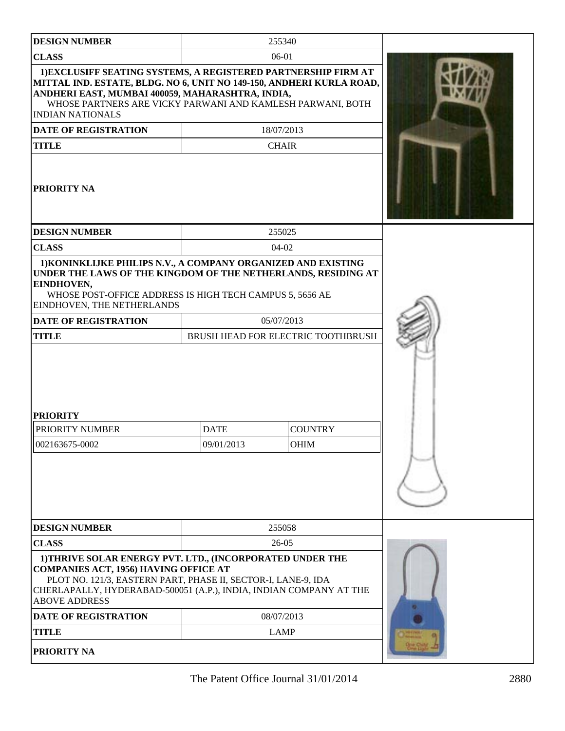| <b>DESIGN NUMBER</b>                                                                                                                                                                                                                                                                |                           | 255340                             |  |
|-------------------------------------------------------------------------------------------------------------------------------------------------------------------------------------------------------------------------------------------------------------------------------------|---------------------------|------------------------------------|--|
| <b>CLASS</b>                                                                                                                                                                                                                                                                        |                           | 06-01                              |  |
| 1) EXCLUSIFF SEATING SYSTEMS, A REGISTERED PARTNERSHIP FIRM AT<br>MITTAL IND. ESTATE, BLDG. NO 6, UNIT NO 149-150, ANDHERI KURLA ROAD,<br>ANDHERI EAST, MUMBAI 400059, MAHARASHTRA, INDIA,<br>WHOSE PARTNERS ARE VICKY PARWANI AND KAMLESH PARWANI, BOTH<br><b>INDIAN NATIONALS</b> |                           |                                    |  |
| <b>DATE OF REGISTRATION</b>                                                                                                                                                                                                                                                         |                           | 18/07/2013                         |  |
| <b>TITLE</b>                                                                                                                                                                                                                                                                        |                           | <b>CHAIR</b>                       |  |
| <b>PRIORITY NA</b>                                                                                                                                                                                                                                                                  |                           |                                    |  |
| <b>DESIGN NUMBER</b>                                                                                                                                                                                                                                                                |                           | 255025                             |  |
| <b>CLASS</b>                                                                                                                                                                                                                                                                        |                           | $04-02$                            |  |
| 1) KONINKLIJKE PHILIPS N.V., A COMPANY ORGANIZED AND EXISTING<br>UNDER THE LAWS OF THE KINGDOM OF THE NETHERLANDS, RESIDING AT<br>EINDHOVEN,<br>WHOSE POST-OFFICE ADDRESS IS HIGH TECH CAMPUS 5, 5656 AE<br>EINDHOVEN, THE NETHERLANDS                                              |                           |                                    |  |
| DATE OF REGISTRATION                                                                                                                                                                                                                                                                |                           | 05/07/2013                         |  |
| <b>TITLE</b>                                                                                                                                                                                                                                                                        |                           | BRUSH HEAD FOR ELECTRIC TOOTHBRUSH |  |
| <b>PRIORITY</b><br>PRIORITY NUMBER<br>002163675-0002                                                                                                                                                                                                                                | <b>DATE</b><br>09/01/2013 | <b>COUNTRY</b><br>OHIM             |  |
| <b>DESIGN NUMBER</b><br><b>CLASS</b>                                                                                                                                                                                                                                                |                           | 255058<br>$26 - 05$                |  |
| 1) THRIVE SOLAR ENERGY PVT. LTD., (INCORPORATED UNDER THE<br><b>COMPANIES ACT, 1956) HAVING OFFICE AT</b><br>PLOT NO. 121/3, EASTERN PART, PHASE II, SECTOR-I, LANE-9, IDA<br>CHERLAPALLY, HYDERABAD-500051 (A.P.), INDIA, INDIAN COMPANY AT THE<br><b>ABOVE ADDRESS</b>            |                           |                                    |  |
| <b>DATE OF REGISTRATION</b>                                                                                                                                                                                                                                                         | 08/07/2013                |                                    |  |
| <b>TITLE</b>                                                                                                                                                                                                                                                                        |                           | <b>LAMP</b>                        |  |
| <b>PRIORITY NA</b>                                                                                                                                                                                                                                                                  |                           |                                    |  |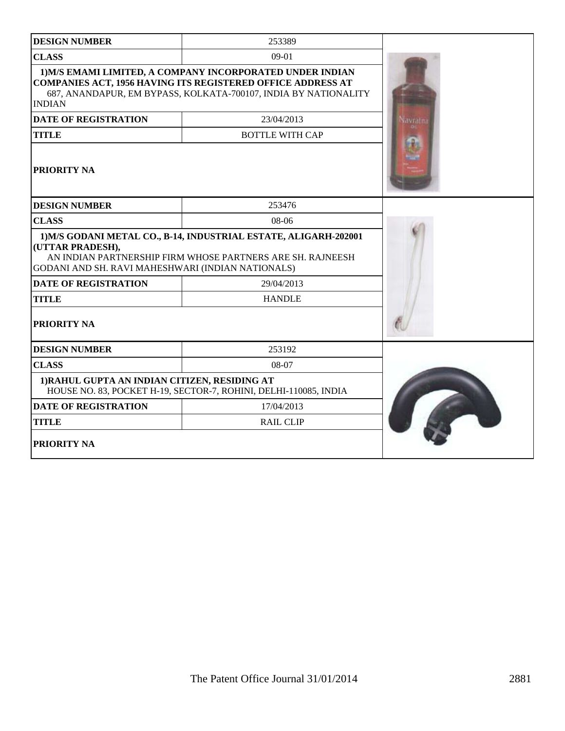| <b>DESIGN NUMBER</b>                                                                                                                                                                                                | 253389                                                           |                 |
|---------------------------------------------------------------------------------------------------------------------------------------------------------------------------------------------------------------------|------------------------------------------------------------------|-----------------|
| <b>CLASS</b>                                                                                                                                                                                                        | $09-01$                                                          |                 |
| 1) M/S EMAMI LIMITED, A COMPANY INCORPORATED UNDER INDIAN<br><b>COMPANIES ACT, 1956 HAVING ITS REGISTERED OFFICE ADDRESS AT</b><br>687, ANANDAPUR, EM BYPASS, KOLKATA-700107, INDIA BY NATIONALITY<br><b>INDIAN</b> |                                                                  |                 |
| <b>DATE OF REGISTRATION</b>                                                                                                                                                                                         | 23/04/2013                                                       | <b>Savratna</b> |
| <b>TITLE</b>                                                                                                                                                                                                        | <b>BOTTLE WITH CAP</b>                                           |                 |
| <b>PRIORITY NA</b>                                                                                                                                                                                                  |                                                                  |                 |
| <b>DESIGN NUMBER</b>                                                                                                                                                                                                | 253476                                                           |                 |
| <b>CLASS</b>                                                                                                                                                                                                        | 08-06                                                            |                 |
| 1) M/S GODANI METAL CO., B-14, INDUSTRIAL ESTATE, ALIGARH-202001<br>(UTTAR PRADESH),<br>AN INDIAN PARTNERSHIP FIRM WHOSE PARTNERS ARE SH. RAJNEESH<br>GODANI AND SH. RAVI MAHESHWARI (INDIAN NATIONALS)             |                                                                  |                 |
| <b>DATE OF REGISTRATION</b>                                                                                                                                                                                         | 29/04/2013                                                       |                 |
| <b>TITLE</b>                                                                                                                                                                                                        | <b>HANDLE</b>                                                    |                 |
| <b>PRIORITY NA</b>                                                                                                                                                                                                  |                                                                  |                 |
| <b>DESIGN NUMBER</b>                                                                                                                                                                                                | 253192                                                           |                 |
| <b>CLASS</b>                                                                                                                                                                                                        | 08-07                                                            |                 |
| 1) RAHUL GUPTA AN INDIAN CITIZEN, RESIDING AT                                                                                                                                                                       | HOUSE NO. 83, POCKET H-19, SECTOR-7, ROHINI, DELHI-110085, INDIA |                 |
| <b>DATE OF REGISTRATION</b>                                                                                                                                                                                         | 17/04/2013                                                       |                 |
| <b>TITLE</b>                                                                                                                                                                                                        | <b>RAIL CLIP</b>                                                 |                 |
| <b>PRIORITY NA</b>                                                                                                                                                                                                  |                                                                  |                 |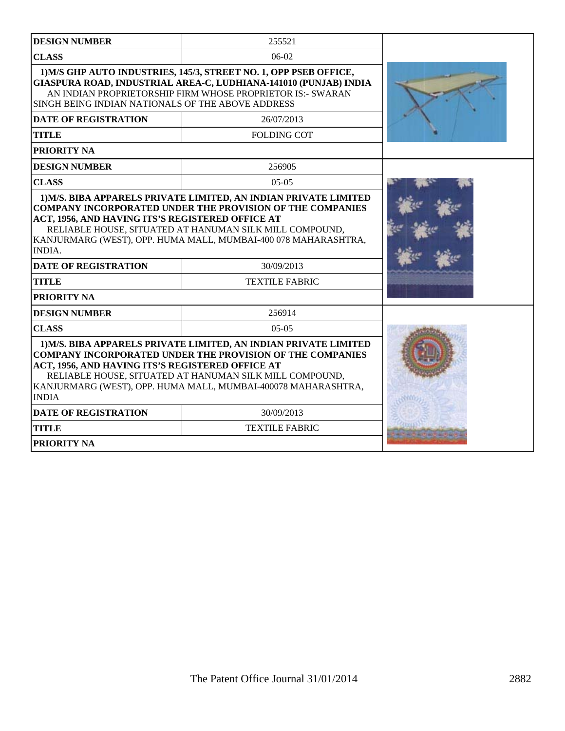| <b>DESIGN NUMBER</b>                                                                                                                                                                                                                                               | 255521                                                                                                                                                                                                                                                           |  |
|--------------------------------------------------------------------------------------------------------------------------------------------------------------------------------------------------------------------------------------------------------------------|------------------------------------------------------------------------------------------------------------------------------------------------------------------------------------------------------------------------------------------------------------------|--|
|                                                                                                                                                                                                                                                                    |                                                                                                                                                                                                                                                                  |  |
| <b>CLASS</b>                                                                                                                                                                                                                                                       | $06-02$                                                                                                                                                                                                                                                          |  |
| 1) M/S GHP AUTO INDUSTRIES, 145/3, STREET NO. 1, OPP PSEB OFFICE,<br>GIASPURA ROAD, INDUSTRIAL AREA-C, LUDHIANA-141010 (PUNJAB) INDIA<br>AN INDIAN PROPRIETORSHIP FIRM WHOSE PROPRIETOR IS:- SWARAN<br>SINGH BEING INDIAN NATIONALS OF THE ABOVE ADDRESS           |                                                                                                                                                                                                                                                                  |  |
| <b>DATE OF REGISTRATION</b>                                                                                                                                                                                                                                        | 26/07/2013                                                                                                                                                                                                                                                       |  |
| <b>TITLE</b>                                                                                                                                                                                                                                                       | <b>FOLDING COT</b>                                                                                                                                                                                                                                               |  |
| PRIORITY NA                                                                                                                                                                                                                                                        |                                                                                                                                                                                                                                                                  |  |
| <b>DESIGN NUMBER</b>                                                                                                                                                                                                                                               | 256905                                                                                                                                                                                                                                                           |  |
| <b>CLASS</b>                                                                                                                                                                                                                                                       | $05-05$                                                                                                                                                                                                                                                          |  |
| <b>COMPANY INCORPORATED UNDER THE PROVISION OF THE COMPANIES</b><br>ACT, 1956, AND HAVING ITS'S REGISTERED OFFICE AT<br>RELIABLE HOUSE, SITUATED AT HANUMAN SILK MILL COMPOUND,<br>KANJURMARG (WEST), OPP. HUMA MALL, MUMBAI-400 078 MAHARASHTRA,<br><b>INDIA.</b> |                                                                                                                                                                                                                                                                  |  |
| <b>DATE OF REGISTRATION</b>                                                                                                                                                                                                                                        | 30/09/2013                                                                                                                                                                                                                                                       |  |
| <b>TITLE</b>                                                                                                                                                                                                                                                       | <b>TEXTILE FABRIC</b>                                                                                                                                                                                                                                            |  |
| <b>PRIORITY NA</b>                                                                                                                                                                                                                                                 |                                                                                                                                                                                                                                                                  |  |
| <b>DESIGN NUMBER</b>                                                                                                                                                                                                                                               | 256914                                                                                                                                                                                                                                                           |  |
| <b>CLASS</b>                                                                                                                                                                                                                                                       | $05-05$                                                                                                                                                                                                                                                          |  |
| ACT, 1956, AND HAVING ITS'S REGISTERED OFFICE AT<br><b>INDIA</b>                                                                                                                                                                                                   | 1) M/S. BIBA APPARELS PRIVATE LIMITED, AN INDIAN PRIVATE LIMITED<br><b>COMPANY INCORPORATED UNDER THE PROVISION OF THE COMPANIES</b><br>RELIABLE HOUSE, SITUATED AT HANUMAN SILK MILL COMPOUND,<br>KANJURMARG (WEST), OPP. HUMA MALL, MUMBAI-400078 MAHARASHTRA, |  |
| <b>DATE OF REGISTRATION</b>                                                                                                                                                                                                                                        | 30/09/2013                                                                                                                                                                                                                                                       |  |
| <b>TITLE</b>                                                                                                                                                                                                                                                       | <b>TEXTILE FABRIC</b>                                                                                                                                                                                                                                            |  |
| <b>PRIORITY NA</b>                                                                                                                                                                                                                                                 |                                                                                                                                                                                                                                                                  |  |
|                                                                                                                                                                                                                                                                    |                                                                                                                                                                                                                                                                  |  |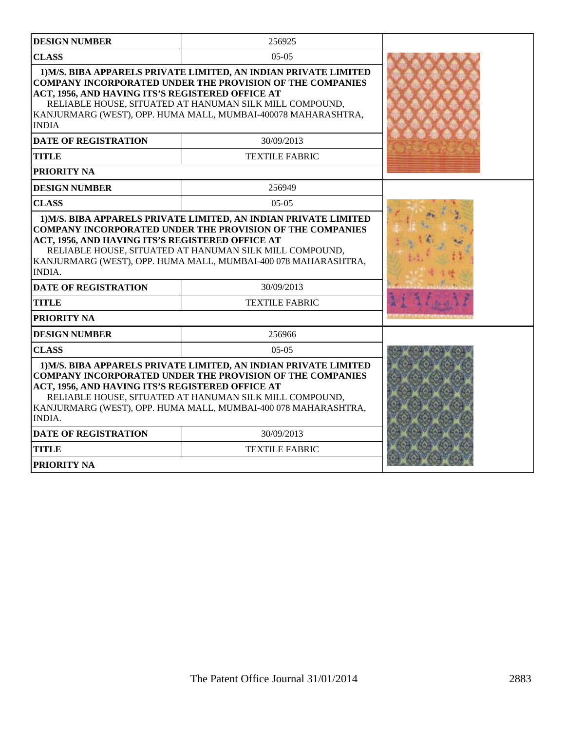| <b>DESIGN NUMBER</b>                                                                                                                                                                                                                                                                                                                   | 256925                |  |  |
|----------------------------------------------------------------------------------------------------------------------------------------------------------------------------------------------------------------------------------------------------------------------------------------------------------------------------------------|-----------------------|--|--|
| <b>CLASS</b>                                                                                                                                                                                                                                                                                                                           | $05-05$               |  |  |
| 1) M/S. BIBA APPARELS PRIVATE LIMITED, AN INDIAN PRIVATE LIMITED<br><b>COMPANY INCORPORATED UNDER THE PROVISION OF THE COMPANIES</b><br>ACT, 1956, AND HAVING ITS'S REGISTERED OFFICE AT<br>RELIABLE HOUSE, SITUATED AT HANUMAN SILK MILL COMPOUND,<br>KANJURMARG (WEST), OPP. HUMA MALL, MUMBAI-400078 MAHARASHTRA,<br><b>INDIA</b>   |                       |  |  |
| <b>DATE OF REGISTRATION</b>                                                                                                                                                                                                                                                                                                            | 30/09/2013            |  |  |
| <b>TITLE</b>                                                                                                                                                                                                                                                                                                                           | <b>TEXTILE FABRIC</b> |  |  |
| PRIORITY NA                                                                                                                                                                                                                                                                                                                            |                       |  |  |
| <b>DESIGN NUMBER</b>                                                                                                                                                                                                                                                                                                                   | 256949                |  |  |
| <b>CLASS</b>                                                                                                                                                                                                                                                                                                                           | $05-05$               |  |  |
| <b>COMPANY INCORPORATED UNDER THE PROVISION OF THE COMPANIES</b><br>ACT, 1956, AND HAVING ITS'S REGISTERED OFFICE AT<br>RELIABLE HOUSE, SITUATED AT HANUMAN SILK MILL COMPOUND,<br>KANJURMARG (WEST), OPP. HUMA MALL, MUMBAI-400 078 MAHARASHTRA,<br><b>INDIA.</b>                                                                     |                       |  |  |
| <b>DATE OF REGISTRATION</b>                                                                                                                                                                                                                                                                                                            | 30/09/2013            |  |  |
| <b>TITLE</b>                                                                                                                                                                                                                                                                                                                           | <b>TEXTILE FABRIC</b> |  |  |
| PRIORITY NA                                                                                                                                                                                                                                                                                                                            |                       |  |  |
| <b>DESIGN NUMBER</b>                                                                                                                                                                                                                                                                                                                   | 256966                |  |  |
| <b>CLASS</b>                                                                                                                                                                                                                                                                                                                           | $05-05$               |  |  |
| 1) M/S. BIBA APPARELS PRIVATE LIMITED, AN INDIAN PRIVATE LIMITED<br><b>COMPANY INCORPORATED UNDER THE PROVISION OF THE COMPANIES</b><br>ACT, 1956, AND HAVING ITS'S REGISTERED OFFICE AT<br>RELIABLE HOUSE, SITUATED AT HANUMAN SILK MILL COMPOUND,<br>KANJURMARG (WEST), OPP. HUMA MALL, MUMBAI-400 078 MAHARASHTRA,<br><b>INDIA.</b> |                       |  |  |
| <b>DATE OF REGISTRATION</b>                                                                                                                                                                                                                                                                                                            | 30/09/2013            |  |  |
| <b>TITLE</b>                                                                                                                                                                                                                                                                                                                           | <b>TEXTILE FABRIC</b> |  |  |
| <b>PRIORITY NA</b>                                                                                                                                                                                                                                                                                                                     |                       |  |  |